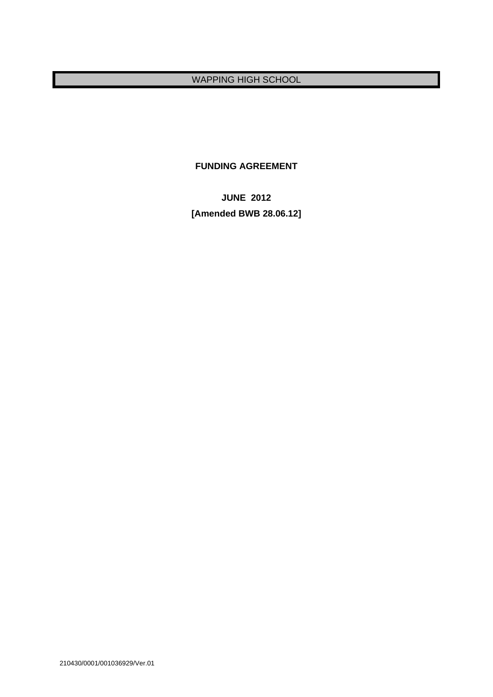# WAPPING HIGH SCHOOL

**FUNDING AGREEMENT** 

**JUNE 2012 [Amended BWB 28.06.12]**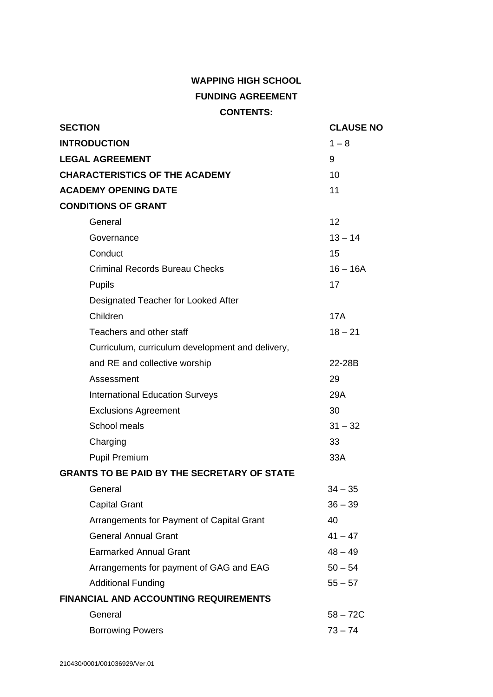# **WAPPING HIGH SCHOOL FUNDING AGREEMENT CONTENTS:**

| <b>SECTION</b>                                     | <b>CLAUSE NO</b> |
|----------------------------------------------------|------------------|
| <b>INTRODUCTION</b>                                | $1 - 8$          |
| <b>LEGAL AGREEMENT</b>                             | 9                |
| <b>CHARACTERISTICS OF THE ACADEMY</b>              | 10               |
| <b>ACADEMY OPENING DATE</b>                        | 11               |
| <b>CONDITIONS OF GRANT</b>                         |                  |
| General                                            | 12               |
| Governance                                         | $13 - 14$        |
| Conduct                                            | 15               |
| <b>Criminal Records Bureau Checks</b>              | $16 - 16A$       |
| Pupils                                             | 17               |
| Designated Teacher for Looked After                |                  |
| Children                                           | <b>17A</b>       |
| Teachers and other staff                           | $18 - 21$        |
| Curriculum, curriculum development and delivery,   |                  |
| and RE and collective worship                      | 22-28B           |
| Assessment                                         | 29               |
| <b>International Education Surveys</b>             | 29A              |
| <b>Exclusions Agreement</b>                        | 30               |
| School meals                                       | $31 - 32$        |
| Charging                                           | 33               |
| <b>Pupil Premium</b>                               | 33A              |
| <b>GRANTS TO BE PAID BY THE SECRETARY OF STATE</b> |                  |
| General                                            | $34 - 35$        |
| <b>Capital Grant</b>                               | $36 - 39$        |
| Arrangements for Payment of Capital Grant          | 40               |
| <b>General Annual Grant</b>                        | $41 - 47$        |
| <b>Earmarked Annual Grant</b>                      | $48 - 49$        |
| Arrangements for payment of GAG and EAG            | $50 - 54$        |
| <b>Additional Funding</b>                          | $55 - 57$        |
| <b>FINANCIAL AND ACCOUNTING REQUIREMENTS</b>       |                  |
| General                                            | $58 - 72C$       |
| <b>Borrowing Powers</b>                            | $73 - 74$        |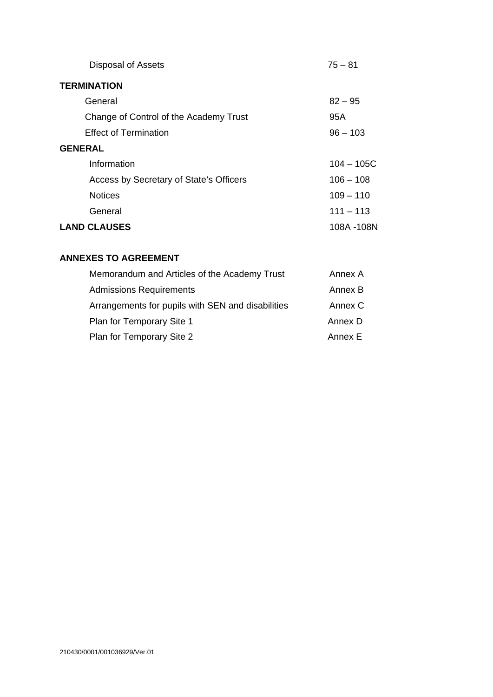| <b>Disposal of Assets</b>               | $75 - 81$    |
|-----------------------------------------|--------------|
| <b>TERMINATION</b>                      |              |
| General                                 | $82 - 95$    |
| Change of Control of the Academy Trust  | 95A          |
| <b>Effect of Termination</b>            | $96 - 103$   |
| <b>GENERAL</b>                          |              |
| Information                             | $104 - 105C$ |
| Access by Secretary of State's Officers | $106 - 108$  |
| <b>Notices</b>                          | $109 - 110$  |
| General                                 | $111 - 113$  |
| <b>LAND CLAUSES</b>                     | 108A -108N   |

# **ANNEXES TO AGREEMENT**

| Memorandum and Articles of the Academy Trust      | Annex A |
|---------------------------------------------------|---------|
| <b>Admissions Requirements</b>                    | Annex B |
| Arrangements for pupils with SEN and disabilities | Annex C |
| Plan for Temporary Site 1                         | Annex D |
| Plan for Temporary Site 2                         | Annex F |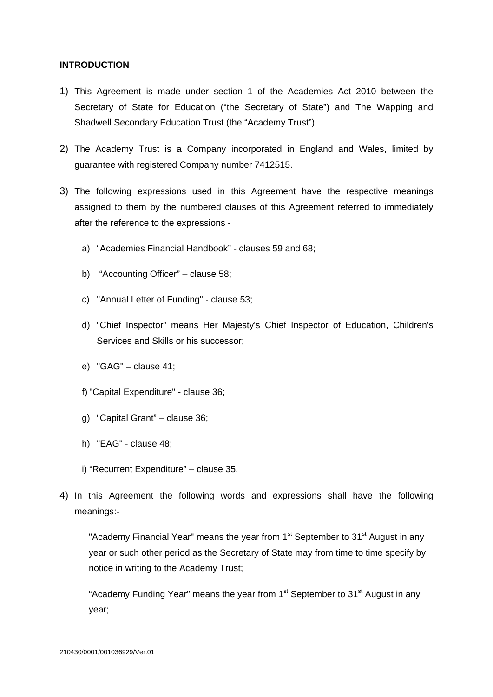#### **INTRODUCTION**

- 1) This Agreement is made under section 1 of the Academies Act 2010 between the Secretary of State for Education ("the Secretary of State") and The Wapping and Shadwell Secondary Education Trust (the "Academy Trust").
- 2) The Academy Trust is a Company incorporated in England and Wales, limited by guarantee with registered Company number 7412515.
- 3) The following expressions used in this Agreement have the respective meanings assigned to them by the numbered clauses of this Agreement referred to immediately after the reference to the expressions
	- a) "Academies Financial Handbook" clauses 59 and 68;
	- b) "Accounting Officer" clause 58;
	- c) "Annual Letter of Funding" clause 53;
	- d) "Chief Inspector" means Her Majesty's Chief Inspector of Education, Children's Services and Skills or his successor;
	- e) "GAG" clause 41;
	- f) "Capital Expenditure" clause 36;
	- g) "Capital Grant" clause 36;
	- h) "EAG" clause 48;
	- i) "Recurrent Expenditure" clause 35.
- 4) In this Agreement the following words and expressions shall have the following meanings:-

"Academy Financial Year" means the year from  $1<sup>st</sup>$  September to  $31<sup>st</sup>$  August in any year or such other period as the Secretary of State may from time to time specify by notice in writing to the Academy Trust;

"Academy Funding Year" means the year from  $1<sup>st</sup>$  September to  $31<sup>st</sup>$  August in any year;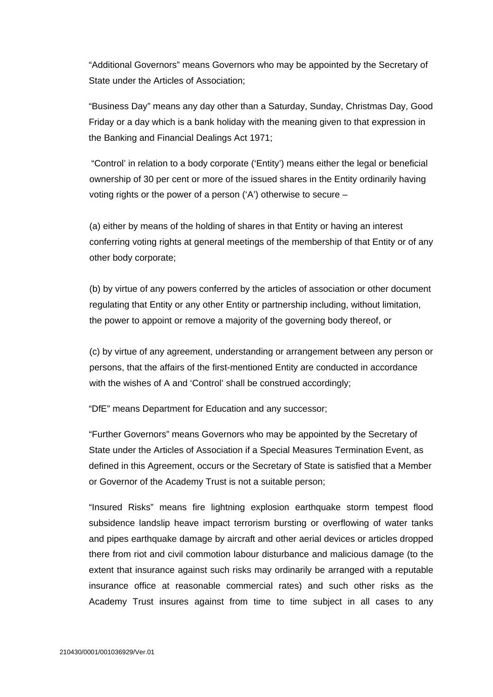"Additional Governors" means Governors who may be appointed by the Secretary of State under the Articles of Association;

"Business Day" means any day other than a Saturday, Sunday, Christmas Day, Good Friday or a day which is a bank holiday with the meaning given to that expression in the Banking and Financial Dealings Act 1971;

 "Control' in relation to a body corporate ('Entity') means either the legal or beneficial ownership of 30 per cent or more of the issued shares in the Entity ordinarily having voting rights or the power of a person ('A') otherwise to secure –

(a) either by means of the holding of shares in that Entity or having an interest conferring voting rights at general meetings of the membership of that Entity or of any other body corporate;

(b) by virtue of any powers conferred by the articles of association or other document regulating that Entity or any other Entity or partnership including, without limitation, the power to appoint or remove a majority of the governing body thereof, or

(c) by virtue of any agreement, understanding or arrangement between any person or persons, that the affairs of the first-mentioned Entity are conducted in accordance with the wishes of A and 'Control' shall be construed accordingly;

"DfE" means Department for Education and any successor;

"Further Governors" means Governors who may be appointed by the Secretary of State under the Articles of Association if a Special Measures Termination Event, as defined in this Agreement, occurs or the Secretary of State is satisfied that a Member or Governor of the Academy Trust is not a suitable person;

"Insured Risks" means fire lightning explosion earthquake storm tempest flood subsidence landslip heave impact terrorism bursting or overflowing of water tanks and pipes earthquake damage by aircraft and other aerial devices or articles dropped there from riot and civil commotion labour disturbance and malicious damage (to the extent that insurance against such risks may ordinarily be arranged with a reputable insurance office at reasonable commercial rates) and such other risks as the Academy Trust insures against from time to time subject in all cases to any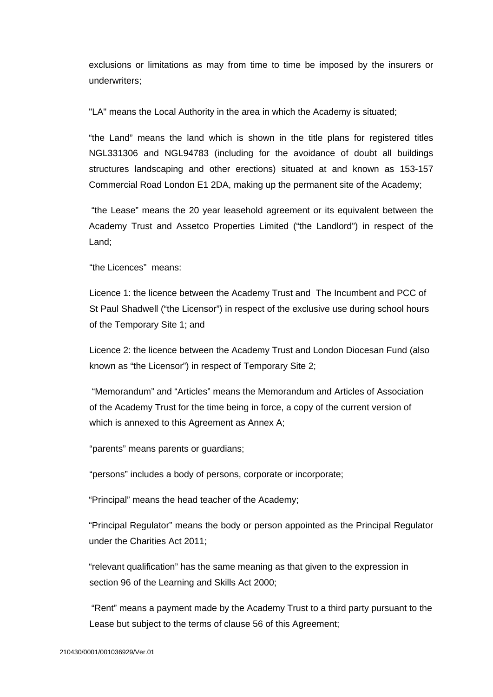exclusions or limitations as may from time to time be imposed by the insurers or underwriters;

"LA" means the Local Authority in the area in which the Academy is situated;

"the Land" means the land which is shown in the title plans for registered titles NGL331306 and NGL94783 (including for the avoidance of doubt all buildings structures landscaping and other erections) situated at and known as 153-157 Commercial Road London E1 2DA, making up the permanent site of the Academy;

 "the Lease" means the 20 year leasehold agreement or its equivalent between the Academy Trust and Assetco Properties Limited ("the Landlord") in respect of the Land;

"the Licences" means:

Licence 1: the licence between the Academy Trust and The Incumbent and PCC of St Paul Shadwell ("the Licensor") in respect of the exclusive use during school hours of the Temporary Site 1; and

Licence 2: the licence between the Academy Trust and London Diocesan Fund (also known as "the Licensor") in respect of Temporary Site 2;

 "Memorandum" and "Articles" means the Memorandum and Articles of Association of the Academy Trust for the time being in force, a copy of the current version of which is annexed to this Agreement as Annex A;

"parents" means parents or guardians;

"persons" includes a body of persons, corporate or incorporate;

"Principal" means the head teacher of the Academy;

"Principal Regulator" means the body or person appointed as the Principal Regulator under the Charities Act 2011;

"relevant qualification" has the same meaning as that given to the expression in section 96 of the Learning and Skills Act 2000;

 "Rent" means a payment made by the Academy Trust to a third party pursuant to the Lease but subject to the terms of clause 56 of this Agreement;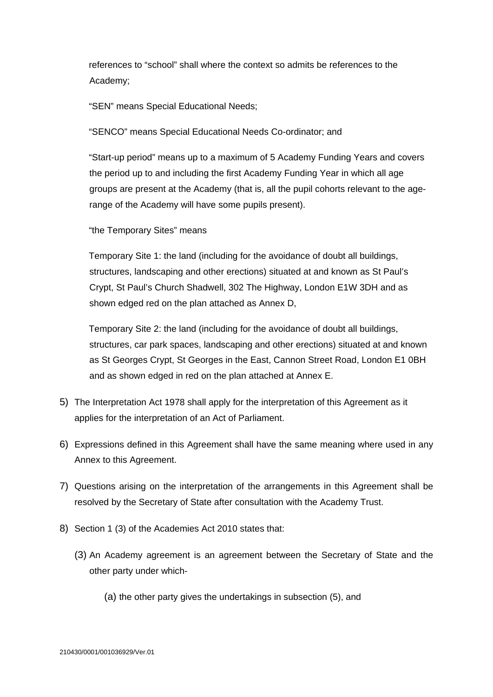references to "school" shall where the context so admits be references to the Academy;

"SEN" means Special Educational Needs;

"SENCO" means Special Educational Needs Co-ordinator; and

"Start-up period" means up to a maximum of 5 Academy Funding Years and covers the period up to and including the first Academy Funding Year in which all age groups are present at the Academy (that is, all the pupil cohorts relevant to the agerange of the Academy will have some pupils present).

"the Temporary Sites" means

Temporary Site 1: the land (including for the avoidance of doubt all buildings, structures, landscaping and other erections) situated at and known as St Paul's Crypt, St Paul's Church Shadwell, 302 The Highway, London E1W 3DH and as shown edged red on the plan attached as Annex D,

Temporary Site 2: the land (including for the avoidance of doubt all buildings, structures, car park spaces, landscaping and other erections) situated at and known as St Georges Crypt, St Georges in the East, Cannon Street Road, London E1 0BH and as shown edged in red on the plan attached at Annex E.

- 5) The Interpretation Act 1978 shall apply for the interpretation of this Agreement as it applies for the interpretation of an Act of Parliament.
- 6) Expressions defined in this Agreement shall have the same meaning where used in any Annex to this Agreement.
- 7) Questions arising on the interpretation of the arrangements in this Agreement shall be resolved by the Secretary of State after consultation with the Academy Trust.
- 8) Section 1 (3) of the Academies Act 2010 states that:
	- (3) An Academy agreement is an agreement between the Secretary of State and the other party under which-
		- (a) the other party gives the undertakings in subsection (5), and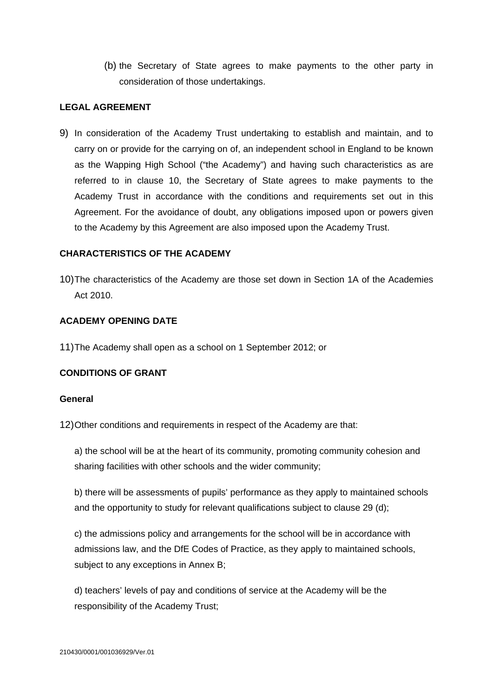(b) the Secretary of State agrees to make payments to the other party in consideration of those undertakings.

### **LEGAL AGREEMENT**

9) In consideration of the Academy Trust undertaking to establish and maintain, and to carry on or provide for the carrying on of, an independent school in England to be known as the Wapping High School ("the Academy") and having such characteristics as are referred to in clause 10, the Secretary of State agrees to make payments to the Academy Trust in accordance with the conditions and requirements set out in this Agreement. For the avoidance of doubt, any obligations imposed upon or powers given to the Academy by this Agreement are also imposed upon the Academy Trust.

## **CHARACTERISTICS OF THE ACADEMY**

10) The characteristics of the Academy are those set down in Section 1A of the Academies Act 2010.

## **ACADEMY OPENING DATE**

11) The Academy shall open as a school on 1 September 2012; or

# **CONDITIONS OF GRANT**

### **General**

12) Other conditions and requirements in respect of the Academy are that:

a) the school will be at the heart of its community, promoting community cohesion and sharing facilities with other schools and the wider community;

b) there will be assessments of pupils' performance as they apply to maintained schools and the opportunity to study for relevant qualifications subject to clause 29 (d);

c) the admissions policy and arrangements for the school will be in accordance with admissions law, and the DfE Codes of Practice, as they apply to maintained schools, subject to any exceptions in Annex B;

d) teachers' levels of pay and conditions of service at the Academy will be the responsibility of the Academy Trust;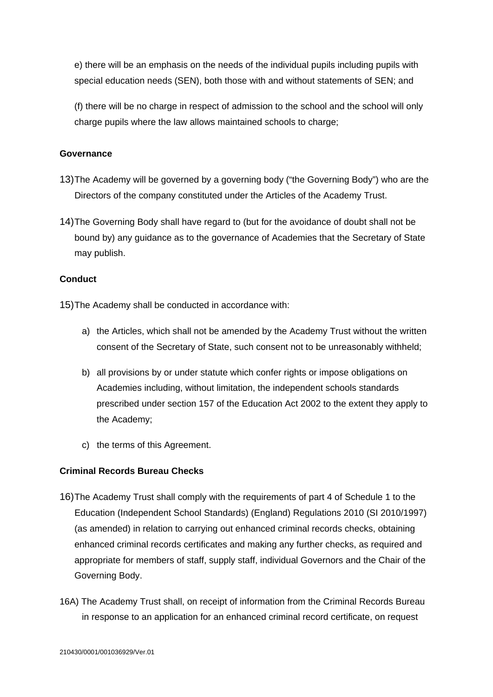e) there will be an emphasis on the needs of the individual pupils including pupils with special education needs (SEN), both those with and without statements of SEN; and

(f) there will be no charge in respect of admission to the school and the school will only charge pupils where the law allows maintained schools to charge;

## **Governance**

- 13) The Academy will be governed by a governing body ("the Governing Body") who are the Directors of the company constituted under the Articles of the Academy Trust.
- 14) The Governing Body shall have regard to (but for the avoidance of doubt shall not be bound by) any guidance as to the governance of Academies that the Secretary of State may publish.

### **Conduct**

15) The Academy shall be conducted in accordance with:

- a) the Articles, which shall not be amended by the Academy Trust without the written consent of the Secretary of State, such consent not to be unreasonably withheld;
- b) all provisions by or under statute which confer rights or impose obligations on Academies including, without limitation, the independent schools standards prescribed under section 157 of the Education Act 2002 to the extent they apply to the Academy;
- c) the terms of this Agreement.

# **Criminal Records Bureau Checks**

- 16) The Academy Trust shall comply with the requirements of part 4 of Schedule 1 to the Education (Independent School Standards) (England) Regulations 2010 (SI 2010/1997) (as amended) in relation to carrying out enhanced criminal records checks, obtaining enhanced criminal records certificates and making any further checks, as required and appropriate for members of staff, supply staff, individual Governors and the Chair of the Governing Body.
- 16A) The Academy Trust shall, on receipt of information from the Criminal Records Bureau in response to an application for an enhanced criminal record certificate, on request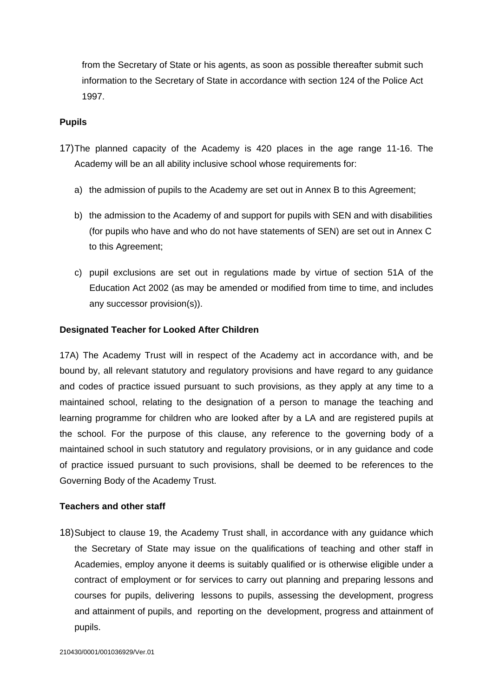from the Secretary of State or his agents, as soon as possible thereafter submit such information to the Secretary of State in accordance with section 124 of the Police Act 1997.

### **Pupils**

- 17) The planned capacity of the Academy is 420 places in the age range 11-16. The Academy will be an all ability inclusive school whose requirements for:
	- a) the admission of pupils to the Academy are set out in Annex B to this Agreement;
	- b) the admission to the Academy of and support for pupils with SEN and with disabilities (for pupils who have and who do not have statements of SEN) are set out in Annex C to this Agreement;
	- c) pupil exclusions are set out in regulations made by virtue of section 51A of the Education Act 2002 (as may be amended or modified from time to time, and includes any successor provision(s)).

#### **Designated Teacher for Looked After Children**

17A) The Academy Trust will in respect of the Academy act in accordance with, and be bound by, all relevant statutory and regulatory provisions and have regard to any guidance and codes of practice issued pursuant to such provisions, as they apply at any time to a maintained school, relating to the designation of a person to manage the teaching and learning programme for children who are looked after by a LA and are registered pupils at the school. For the purpose of this clause, any reference to the governing body of a maintained school in such statutory and regulatory provisions, or in any guidance and code of practice issued pursuant to such provisions, shall be deemed to be references to the Governing Body of the Academy Trust.

#### **Teachers and other staff**

18) Subject to clause 19, the Academy Trust shall, in accordance with any guidance which the Secretary of State may issue on the qualifications of teaching and other staff in Academies, employ anyone it deems is suitably qualified or is otherwise eligible under a contract of employment or for services to carry out planning and preparing lessons and courses for pupils, delivering lessons to pupils, assessing the development, progress and attainment of pupils, and reporting on the development, progress and attainment of pupils.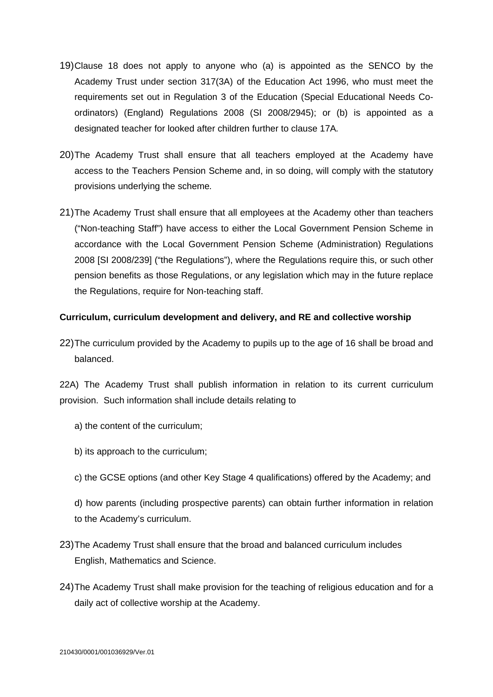- 19) Clause 18 does not apply to anyone who (a) is appointed as the SENCO by the Academy Trust under section 317(3A) of the Education Act 1996, who must meet the requirements set out in Regulation 3 of the Education (Special Educational Needs Coordinators) (England) Regulations 2008 (SI 2008/2945); or (b) is appointed as a designated teacher for looked after children further to clause 17A*.*
- 20) The Academy Trust shall ensure that all teachers employed at the Academy have access to the Teachers Pension Scheme and, in so doing, will comply with the statutory provisions underlying the scheme*.*
- 21) The Academy Trust shall ensure that all employees at the Academy other than teachers ("Non-teaching Staff") have access to either the Local Government Pension Scheme in accordance with the Local Government Pension Scheme (Administration) Regulations 2008 [SI 2008/239] ("the Regulations"), where the Regulations require this, or such other pension benefits as those Regulations, or any legislation which may in the future replace the Regulations, require for Non-teaching staff.

### **Curriculum, curriculum development and delivery, and RE and collective worship**

22) The curriculum provided by the Academy to pupils up to the age of 16 shall be broad and balanced.

22A) The Academy Trust shall publish information in relation to its current curriculum provision. Such information shall include details relating to

- a) the content of the curriculum;
- b) its approach to the curriculum;
- c) the GCSE options (and other Key Stage 4 qualifications) offered by the Academy; and
- d) how parents (including prospective parents) can obtain further information in relation to the Academy's curriculum.
- 23) The Academy Trust shall ensure that the broad and balanced curriculum includes English, Mathematics and Science.
- 24) The Academy Trust shall make provision for the teaching of religious education and for a daily act of collective worship at the Academy.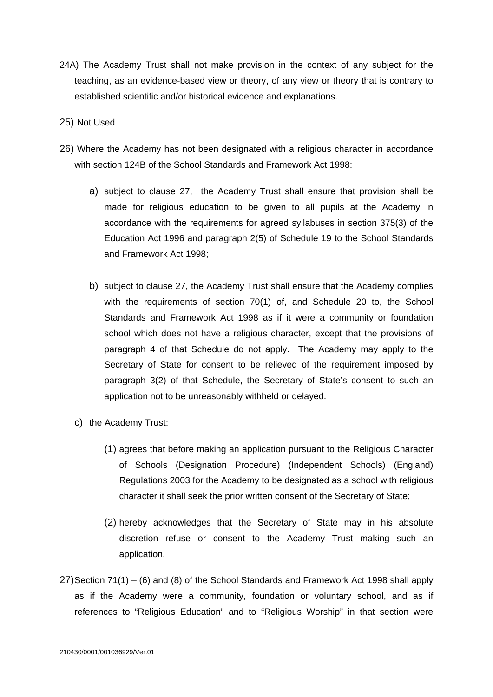- 24A) The Academy Trust shall not make provision in the context of any subject for the teaching, as an evidence-based view or theory, of any view or theory that is contrary to established scientific and/or historical evidence and explanations.
- 25) Not Used
- 26)Where the Academy has not been designated with a religious character in accordance with section 124B of the School Standards and Framework Act 1998:
	- a) subject to clause 27, the Academy Trust shall ensure that provision shall be made for religious education to be given to all pupils at the Academy in accordance with the requirements for agreed syllabuses in section 375(3) of the Education Act 1996 and paragraph 2(5) of Schedule 19 to the School Standards and Framework Act 1998;
	- b) subject to clause 27, the Academy Trust shall ensure that the Academy complies with the requirements of section 70(1) of, and Schedule 20 to, the School Standards and Framework Act 1998 as if it were a community or foundation school which does not have a religious character, except that the provisions of paragraph 4 of that Schedule do not apply. The Academy may apply to the Secretary of State for consent to be relieved of the requirement imposed by paragraph 3(2) of that Schedule, the Secretary of State's consent to such an application not to be unreasonably withheld or delayed.
	- c) the Academy Trust:
		- (1) agrees that before making an application pursuant to the Religious Character of Schools (Designation Procedure) (Independent Schools) (England) Regulations 2003 for the Academy to be designated as a school with religious character it shall seek the prior written consent of the Secretary of State;
		- (2) hereby acknowledges that the Secretary of State may in his absolute discretion refuse or consent to the Academy Trust making such an application.
- 27) Section 71(1) (6) and (8) of the School Standards and Framework Act 1998 shall apply as if the Academy were a community, foundation or voluntary school, and as if references to "Religious Education" and to "Religious Worship" in that section were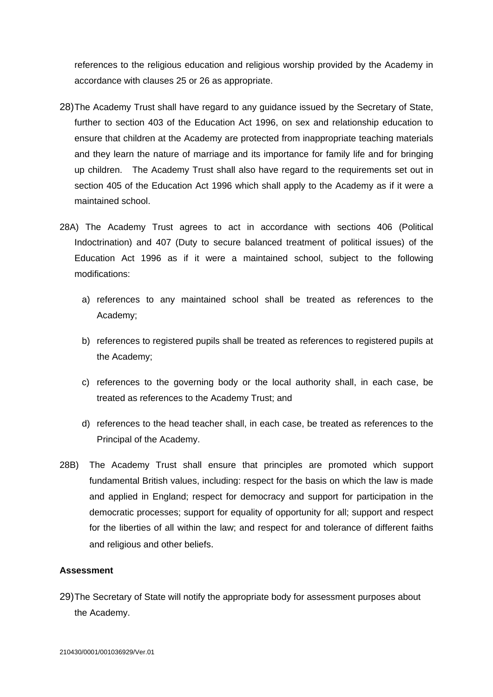references to the religious education and religious worship provided by the Academy in accordance with clauses 25 or 26 as appropriate.

- 28) The Academy Trust shall have regard to any guidance issued by the Secretary of State, further to section 403 of the Education Act 1996, on sex and relationship education to ensure that children at the Academy are protected from inappropriate teaching materials and they learn the nature of marriage and its importance for family life and for bringing up children. The Academy Trust shall also have regard to the requirements set out in section 405 of the Education Act 1996 which shall apply to the Academy as if it were a maintained school.
- 28A) The Academy Trust agrees to act in accordance with sections 406 (Political Indoctrination) and 407 (Duty to secure balanced treatment of political issues) of the Education Act 1996 as if it were a maintained school, subject to the following modifications:
	- a) references to any maintained school shall be treated as references to the Academy;
	- b) references to registered pupils shall be treated as references to registered pupils at the Academy;
	- c) references to the governing body or the local authority shall, in each case, be treated as references to the Academy Trust; and
	- d) references to the head teacher shall, in each case, be treated as references to the Principal of the Academy.
- 28B) The Academy Trust shall ensure that principles are promoted which support fundamental British values, including: respect for the basis on which the law is made and applied in England; respect for democracy and support for participation in the democratic processes; support for equality of opportunity for all; support and respect for the liberties of all within the law; and respect for and tolerance of different faiths and religious and other beliefs.

### **Assessment**

29) The Secretary of State will notify the appropriate body for assessment purposes about the Academy.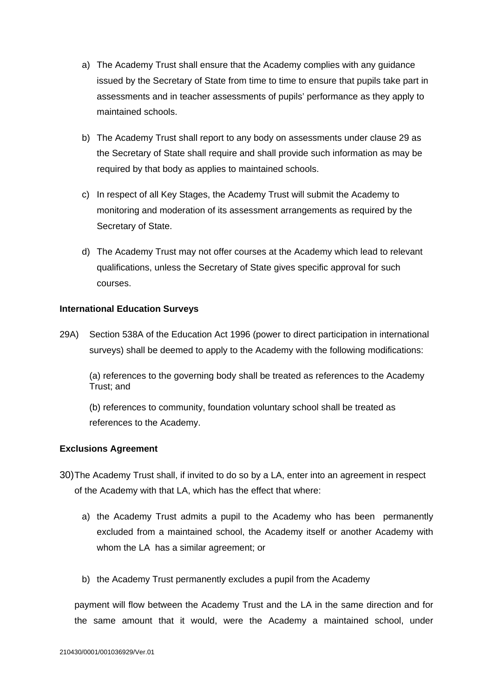- a) The Academy Trust shall ensure that the Academy complies with any guidance issued by the Secretary of State from time to time to ensure that pupils take part in assessments and in teacher assessments of pupils' performance as they apply to maintained schools.
- b) The Academy Trust shall report to any body on assessments under clause 29 as the Secretary of State shall require and shall provide such information as may be required by that body as applies to maintained schools.
- c) In respect of all Key Stages, the Academy Trust will submit the Academy to monitoring and moderation of its assessment arrangements as required by the Secretary of State.
- d) The Academy Trust may not offer courses at the Academy which lead to relevant qualifications, unless the Secretary of State gives specific approval for such courses.

#### **International Education Surveys**

29A) Section 538A of the Education Act 1996 (power to direct participation in international surveys) shall be deemed to apply to the Academy with the following modifications:

(a) references to the governing body shall be treated as references to the Academy Trust; and

(b) references to community, foundation voluntary school shall be treated as references to the Academy.

### **Exclusions Agreement**

- 30) The Academy Trust shall, if invited to do so by a LA, enter into an agreement in respect of the Academy with that LA, which has the effect that where:
	- a) the Academy Trust admits a pupil to the Academy who has been permanently excluded from a maintained school, the Academy itself or another Academy with whom the LA has a similar agreement; or
	- b) the Academy Trust permanently excludes a pupil from the Academy

payment will flow between the Academy Trust and the LA in the same direction and for the same amount that it would, were the Academy a maintained school, under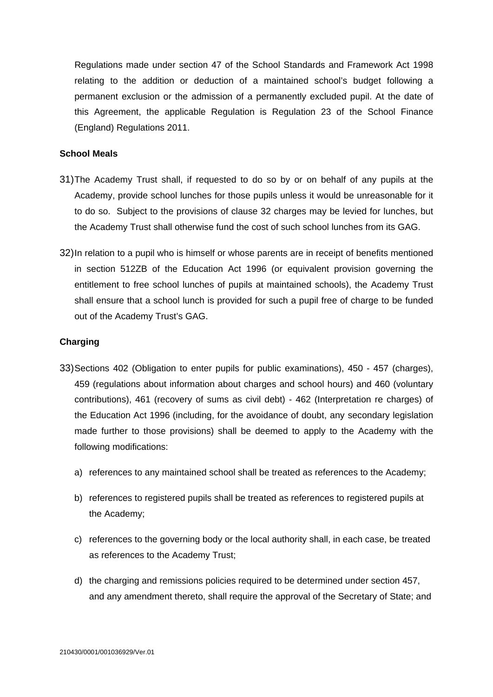Regulations made under section 47 of the School Standards and Framework Act 1998 relating to the addition or deduction of a maintained school's budget following a permanent exclusion or the admission of a permanently excluded pupil. At the date of this Agreement, the applicable Regulation is Regulation 23 of the School Finance (England) Regulations 2011.

### **School Meals**

- 31) The Academy Trust shall, if requested to do so by or on behalf of any pupils at the Academy, provide school lunches for those pupils unless it would be unreasonable for it to do so. Subject to the provisions of clause 32 charges may be levied for lunches, but the Academy Trust shall otherwise fund the cost of such school lunches from its GAG.
- 32) In relation to a pupil who is himself or whose parents are in receipt of benefits mentioned in section 512ZB of the Education Act 1996 (or equivalent provision governing the entitlement to free school lunches of pupils at maintained schools), the Academy Trust shall ensure that a school lunch is provided for such a pupil free of charge to be funded out of the Academy Trust's GAG.

#### **Charging**

- 33) Sections 402 (Obligation to enter pupils for public examinations), 450 457 (charges), 459 (regulations about information about charges and school hours) and 460 (voluntary contributions), 461 (recovery of sums as civil debt) - 462 (Interpretation re charges) of the Education Act 1996 (including, for the avoidance of doubt, any secondary legislation made further to those provisions) shall be deemed to apply to the Academy with the following modifications:
	- a) references to any maintained school shall be treated as references to the Academy;
	- b) references to registered pupils shall be treated as references to registered pupils at the Academy;
	- c) references to the governing body or the local authority shall, in each case, be treated as references to the Academy Trust;
	- d) the charging and remissions policies required to be determined under section 457, and any amendment thereto, shall require the approval of the Secretary of State; and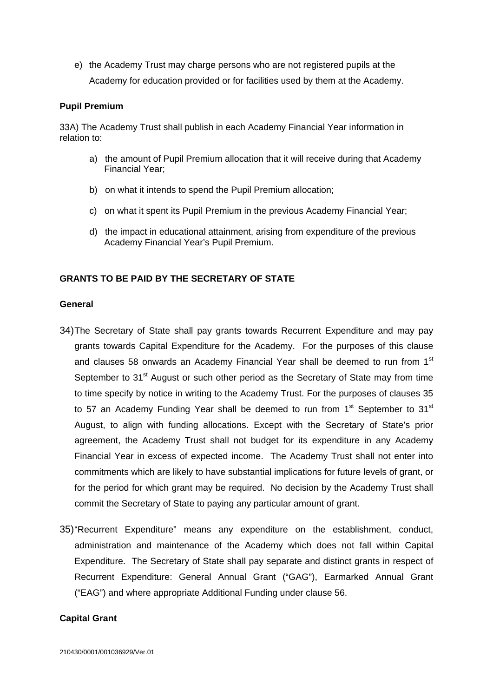e) the Academy Trust may charge persons who are not registered pupils at the Academy for education provided or for facilities used by them at the Academy.

# **Pupil Premium**

33A) The Academy Trust shall publish in each Academy Financial Year information in relation to:

- a) the amount of Pupil Premium allocation that it will receive during that Academy Financial Year;
- b) on what it intends to spend the Pupil Premium allocation;
- c) on what it spent its Pupil Premium in the previous Academy Financial Year;
- d) the impact in educational attainment, arising from expenditure of the previous Academy Financial Year's Pupil Premium.

### **GRANTS TO BE PAID BY THE SECRETARY OF STATE**

#### **General**

- 34) The Secretary of State shall pay grants towards Recurrent Expenditure and may pay grants towards Capital Expenditure for the Academy. For the purposes of this clause and clauses 58 onwards an Academy Financial Year shall be deemed to run from  $1<sup>st</sup>$ September to 31<sup>st</sup> August or such other period as the Secretary of State may from time to time specify by notice in writing to the Academy Trust. For the purposes of clauses 35 to 57 an Academy Funding Year shall be deemed to run from  $1<sup>st</sup>$  September to 31 $<sup>st</sup>$ </sup> August, to align with funding allocations. Except with the Secretary of State's prior agreement, the Academy Trust shall not budget for its expenditure in any Academy Financial Year in excess of expected income. The Academy Trust shall not enter into commitments which are likely to have substantial implications for future levels of grant, or for the period for which grant may be required. No decision by the Academy Trust shall commit the Secretary of State to paying any particular amount of grant.
- 35) "Recurrent Expenditure" means any expenditure on the establishment, conduct, administration and maintenance of the Academy which does not fall within Capital Expenditure. The Secretary of State shall pay separate and distinct grants in respect of Recurrent Expenditure: General Annual Grant ("GAG"), Earmarked Annual Grant ("EAG") and where appropriate Additional Funding under clause 56.

#### **Capital Grant**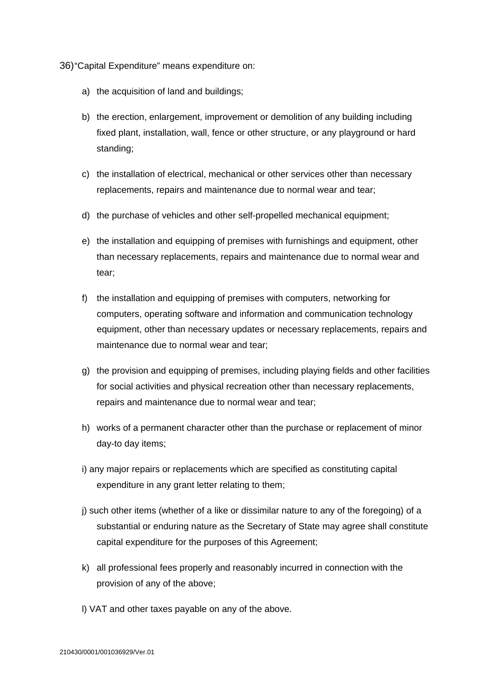36) "Capital Expenditure" means expenditure on:

- a) the acquisition of land and buildings;
- b) the erection, enlargement, improvement or demolition of any building including fixed plant, installation, wall, fence or other structure, or any playground or hard standing;
- c) the installation of electrical, mechanical or other services other than necessary replacements, repairs and maintenance due to normal wear and tear;
- d) the purchase of vehicles and other self-propelled mechanical equipment;
- e) the installation and equipping of premises with furnishings and equipment, other than necessary replacements, repairs and maintenance due to normal wear and tear;
- f) the installation and equipping of premises with computers, networking for computers, operating software and information and communication technology equipment, other than necessary updates or necessary replacements, repairs and maintenance due to normal wear and tear;
- g) the provision and equipping of premises, including playing fields and other facilities for social activities and physical recreation other than necessary replacements, repairs and maintenance due to normal wear and tear;
- h) works of a permanent character other than the purchase or replacement of minor day-to day items;
- i) any major repairs or replacements which are specified as constituting capital expenditure in any grant letter relating to them;
- j) such other items (whether of a like or dissimilar nature to any of the foregoing) of a substantial or enduring nature as the Secretary of State may agree shall constitute capital expenditure for the purposes of this Agreement;
- k) all professional fees properly and reasonably incurred in connection with the provision of any of the above;
- l) VAT and other taxes payable on any of the above.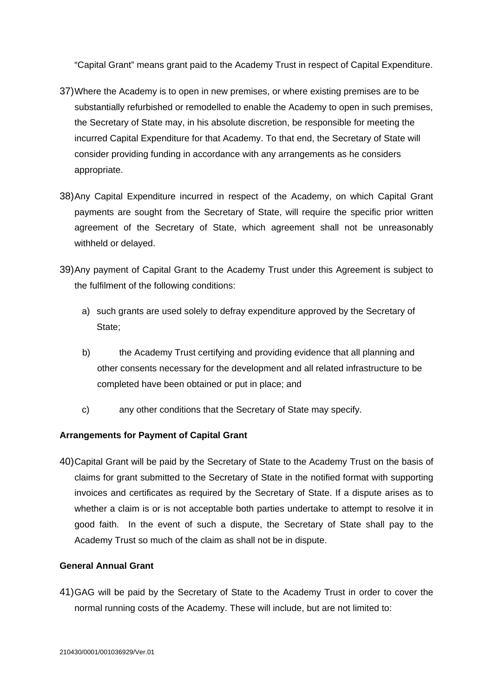"Capital Grant" means grant paid to the Academy Trust in respect of Capital Expenditure.

- 37) Where the Academy is to open in new premises, or where existing premises are to be substantially refurbished or remodelled to enable the Academy to open in such premises, the Secretary of State may, in his absolute discretion, be responsible for meeting the incurred Capital Expenditure for that Academy. To that end, the Secretary of State will consider providing funding in accordance with any arrangements as he considers appropriate.
- 38) Any Capital Expenditure incurred in respect of the Academy, on which Capital Grant payments are sought from the Secretary of State, will require the specific prior written agreement of the Secretary of State, which agreement shall not be unreasonably withheld or delayed.
- 39) Any payment of Capital Grant to the Academy Trust under this Agreement is subject to the fulfilment of the following conditions:
	- a) such grants are used solely to defray expenditure approved by the Secretary of State;
	- b) the Academy Trust certifying and providing evidence that all planning and other consents necessary for the development and all related infrastructure to be completed have been obtained or put in place; and
	- c) any other conditions that the Secretary of State may specify.

# **Arrangements for Payment of Capital Grant**

40) Capital Grant will be paid by the Secretary of State to the Academy Trust on the basis of claims for grant submitted to the Secretary of State in the notified format with supporting invoices and certificates as required by the Secretary of State. If a dispute arises as to whether a claim is or is not acceptable both parties undertake to attempt to resolve it in good faith. In the event of such a dispute, the Secretary of State shall pay to the Academy Trust so much of the claim as shall not be in dispute.

## **General Annual Grant**

41) GAG will be paid by the Secretary of State to the Academy Trust in order to cover the normal running costs of the Academy. These will include, but are not limited to: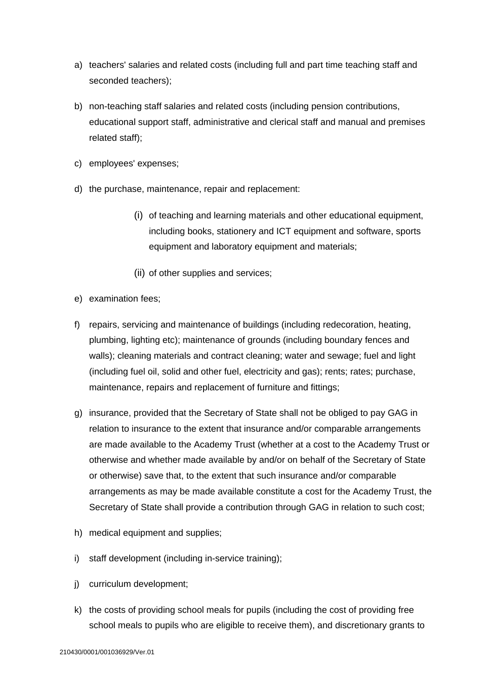- a) teachers' salaries and related costs (including full and part time teaching staff and seconded teachers);
- b) non-teaching staff salaries and related costs (including pension contributions, educational support staff, administrative and clerical staff and manual and premises related staff);
- c) employees' expenses;
- d) the purchase, maintenance, repair and replacement:
	- (i) of teaching and learning materials and other educational equipment, including books, stationery and ICT equipment and software, sports equipment and laboratory equipment and materials;
	- (ii) of other supplies and services;
- e) examination fees;
- f) repairs, servicing and maintenance of buildings (including redecoration, heating, plumbing, lighting etc); maintenance of grounds (including boundary fences and walls); cleaning materials and contract cleaning; water and sewage; fuel and light (including fuel oil, solid and other fuel, electricity and gas); rents; rates; purchase, maintenance, repairs and replacement of furniture and fittings;
- g) insurance, provided that the Secretary of State shall not be obliged to pay GAG in relation to insurance to the extent that insurance and/or comparable arrangements are made available to the Academy Trust (whether at a cost to the Academy Trust or otherwise and whether made available by and/or on behalf of the Secretary of State or otherwise) save that, to the extent that such insurance and/or comparable arrangements as may be made available constitute a cost for the Academy Trust, the Secretary of State shall provide a contribution through GAG in relation to such cost;
- h) medical equipment and supplies;
- i) staff development (including in-service training);
- j) curriculum development;
- k) the costs of providing school meals for pupils (including the cost of providing free school meals to pupils who are eligible to receive them), and discretionary grants to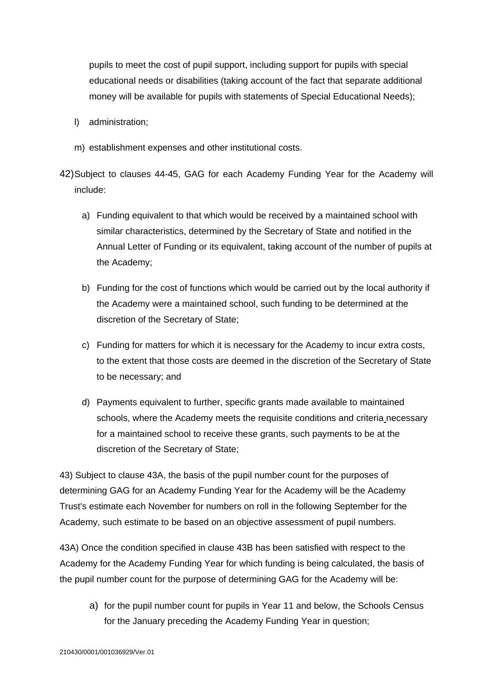pupils to meet the cost of pupil support, including support for pupils with special educational needs or disabilities (taking account of the fact that separate additional money will be available for pupils with statements of Special Educational Needs);

- l) administration;
- m) establishment expenses and other institutional costs.

42) Subject to clauses 44-45, GAG for each Academy Funding Year for the Academy will include:

- a) Funding equivalent to that which would be received by a maintained school with similar characteristics, determined by the Secretary of State and notified in the Annual Letter of Funding or its equivalent, taking account of the number of pupils at the Academy;
- b) Funding for the cost of functions which would be carried out by the local authority if the Academy were a maintained school, such funding to be determined at the discretion of the Secretary of State;
- c) Funding for matters for which it is necessary for the Academy to incur extra costs, to the extent that those costs are deemed in the discretion of the Secretary of State to be necessary; and
- d) Payments equivalent to further, specific grants made available to maintained schools, where the Academy meets the requisite conditions and criteria necessary for a maintained school to receive these grants, such payments to be at the discretion of the Secretary of State;

43) Subject to clause 43A, the basis of the pupil number count for the purposes of determining GAG for an Academy Funding Year for the Academy will be the Academy Trust's estimate each November for numbers on roll in the following September for the Academy, such estimate to be based on an objective assessment of pupil numbers.

43A) Once the condition specified in clause 43B has been satisfied with respect to the Academy for the Academy Funding Year for which funding is being calculated, the basis of the pupil number count for the purpose of determining GAG for the Academy will be:

a) for the pupil number count for pupils in Year 11 and below, the Schools Census for the January preceding the Academy Funding Year in question;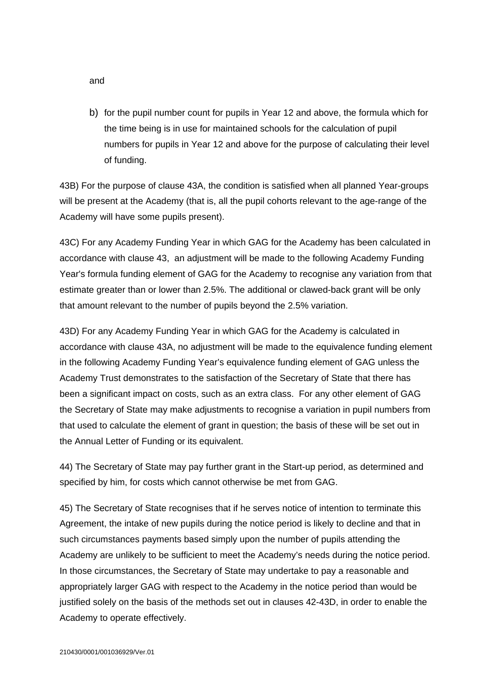and

b) for the pupil number count for pupils in Year 12 and above, the formula which for the time being is in use for maintained schools for the calculation of pupil numbers for pupils in Year 12 and above for the purpose of calculating their level of funding.

43B) For the purpose of clause 43A, the condition is satisfied when all planned Year-groups will be present at the Academy (that is, all the pupil cohorts relevant to the age-range of the Academy will have some pupils present).

43C) For any Academy Funding Year in which GAG for the Academy has been calculated in accordance with clause 43, an adjustment will be made to the following Academy Funding Year's formula funding element of GAG for the Academy to recognise any variation from that estimate greater than or lower than 2.5%. The additional or clawed-back grant will be only that amount relevant to the number of pupils beyond the 2.5% variation.

43D) For any Academy Funding Year in which GAG for the Academy is calculated in accordance with clause 43A, no adjustment will be made to the equivalence funding element in the following Academy Funding Year's equivalence funding element of GAG unless the Academy Trust demonstrates to the satisfaction of the Secretary of State that there has been a significant impact on costs, such as an extra class. For any other element of GAG the Secretary of State may make adjustments to recognise a variation in pupil numbers from that used to calculate the element of grant in question; the basis of these will be set out in the Annual Letter of Funding or its equivalent.

44) The Secretary of State may pay further grant in the Start-up period, as determined and specified by him, for costs which cannot otherwise be met from GAG.

45) The Secretary of State recognises that if he serves notice of intention to terminate this Agreement, the intake of new pupils during the notice period is likely to decline and that in such circumstances payments based simply upon the number of pupils attending the Academy are unlikely to be sufficient to meet the Academy's needs during the notice period. In those circumstances, the Secretary of State may undertake to pay a reasonable and appropriately larger GAG with respect to the Academy in the notice period than would be justified solely on the basis of the methods set out in clauses 42-43D, in order to enable the Academy to operate effectively.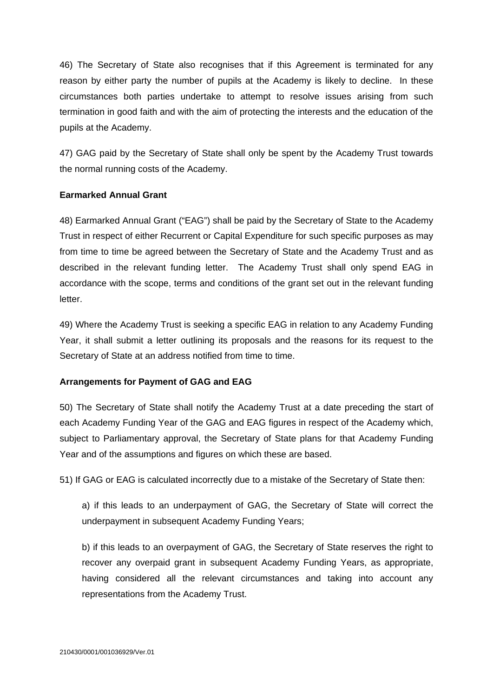46) The Secretary of State also recognises that if this Agreement is terminated for any reason by either party the number of pupils at the Academy is likely to decline. In these circumstances both parties undertake to attempt to resolve issues arising from such termination in good faith and with the aim of protecting the interests and the education of the pupils at the Academy.

47) GAG paid by the Secretary of State shall only be spent by the Academy Trust towards the normal running costs of the Academy.

## **Earmarked Annual Grant**

48) Earmarked Annual Grant ("EAG") shall be paid by the Secretary of State to the Academy Trust in respect of either Recurrent or Capital Expenditure for such specific purposes as may from time to time be agreed between the Secretary of State and the Academy Trust and as described in the relevant funding letter. The Academy Trust shall only spend EAG in accordance with the scope, terms and conditions of the grant set out in the relevant funding letter.

49) Where the Academy Trust is seeking a specific EAG in relation to any Academy Funding Year, it shall submit a letter outlining its proposals and the reasons for its request to the Secretary of State at an address notified from time to time.

# **Arrangements for Payment of GAG and EAG**

50) The Secretary of State shall notify the Academy Trust at a date preceding the start of each Academy Funding Year of the GAG and EAG figures in respect of the Academy which, subject to Parliamentary approval, the Secretary of State plans for that Academy Funding Year and of the assumptions and figures on which these are based.

51) If GAG or EAG is calculated incorrectly due to a mistake of the Secretary of State then:

a) if this leads to an underpayment of GAG, the Secretary of State will correct the underpayment in subsequent Academy Funding Years;

b) if this leads to an overpayment of GAG, the Secretary of State reserves the right to recover any overpaid grant in subsequent Academy Funding Years, as appropriate, having considered all the relevant circumstances and taking into account any representations from the Academy Trust.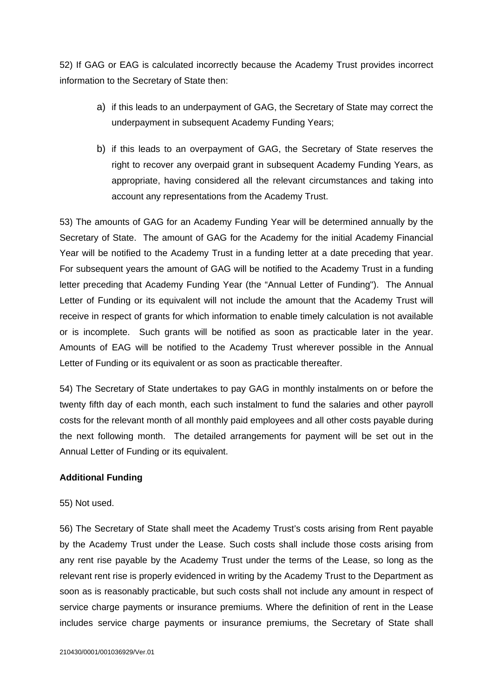52) If GAG or EAG is calculated incorrectly because the Academy Trust provides incorrect information to the Secretary of State then:

- a) if this leads to an underpayment of GAG, the Secretary of State may correct the underpayment in subsequent Academy Funding Years;
- b) if this leads to an overpayment of GAG, the Secretary of State reserves the right to recover any overpaid grant in subsequent Academy Funding Years, as appropriate, having considered all the relevant circumstances and taking into account any representations from the Academy Trust.

53) The amounts of GAG for an Academy Funding Year will be determined annually by the Secretary of State. The amount of GAG for the Academy for the initial Academy Financial Year will be notified to the Academy Trust in a funding letter at a date preceding that year. For subsequent years the amount of GAG will be notified to the Academy Trust in a funding letter preceding that Academy Funding Year (the "Annual Letter of Funding"). The Annual Letter of Funding or its equivalent will not include the amount that the Academy Trust will receive in respect of grants for which information to enable timely calculation is not available or is incomplete. Such grants will be notified as soon as practicable later in the year. Amounts of EAG will be notified to the Academy Trust wherever possible in the Annual Letter of Funding or its equivalent or as soon as practicable thereafter.

54) The Secretary of State undertakes to pay GAG in monthly instalments on or before the twenty fifth day of each month, each such instalment to fund the salaries and other payroll costs for the relevant month of all monthly paid employees and all other costs payable during the next following month. The detailed arrangements for payment will be set out in the Annual Letter of Funding or its equivalent.

### **Additional Funding**

#### 55) Not used.

56) The Secretary of State shall meet the Academy Trust's costs arising from Rent payable by the Academy Trust under the Lease. Such costs shall include those costs arising from any rent rise payable by the Academy Trust under the terms of the Lease, so long as the relevant rent rise is properly evidenced in writing by the Academy Trust to the Department as soon as is reasonably practicable, but such costs shall not include any amount in respect of service charge payments or insurance premiums. Where the definition of rent in the Lease includes service charge payments or insurance premiums, the Secretary of State shall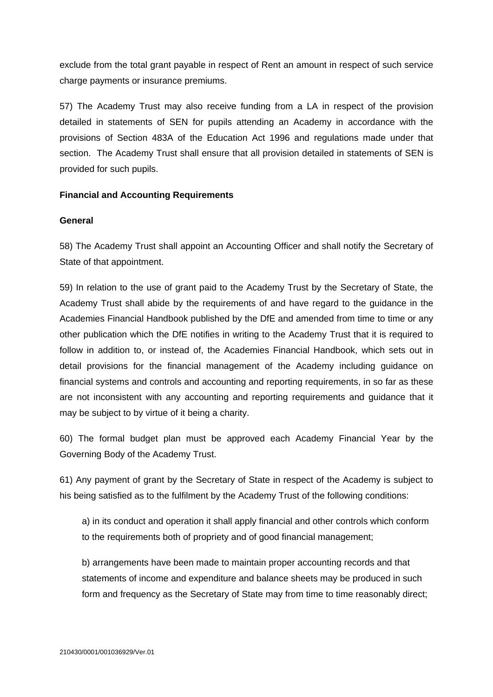exclude from the total grant payable in respect of Rent an amount in respect of such service charge payments or insurance premiums.

57) The Academy Trust may also receive funding from a LA in respect of the provision detailed in statements of SEN for pupils attending an Academy in accordance with the provisions of Section 483A of the Education Act 1996 and regulations made under that section. The Academy Trust shall ensure that all provision detailed in statements of SEN is provided for such pupils.

## **Financial and Accounting Requirements**

#### **General**

58) The Academy Trust shall appoint an Accounting Officer and shall notify the Secretary of State of that appointment.

59) In relation to the use of grant paid to the Academy Trust by the Secretary of State, the Academy Trust shall abide by the requirements of and have regard to the guidance in the Academies Financial Handbook published by the DfE and amended from time to time or any other publication which the DfE notifies in writing to the Academy Trust that it is required to follow in addition to, or instead of, the Academies Financial Handbook, which sets out in detail provisions for the financial management of the Academy including guidance on financial systems and controls and accounting and reporting requirements, in so far as these are not inconsistent with any accounting and reporting requirements and guidance that it may be subject to by virtue of it being a charity.

60) The formal budget plan must be approved each Academy Financial Year by the Governing Body of the Academy Trust.

61) Any payment of grant by the Secretary of State in respect of the Academy is subject to his being satisfied as to the fulfilment by the Academy Trust of the following conditions:

a) in its conduct and operation it shall apply financial and other controls which conform to the requirements both of propriety and of good financial management;

b) arrangements have been made to maintain proper accounting records and that statements of income and expenditure and balance sheets may be produced in such form and frequency as the Secretary of State may from time to time reasonably direct;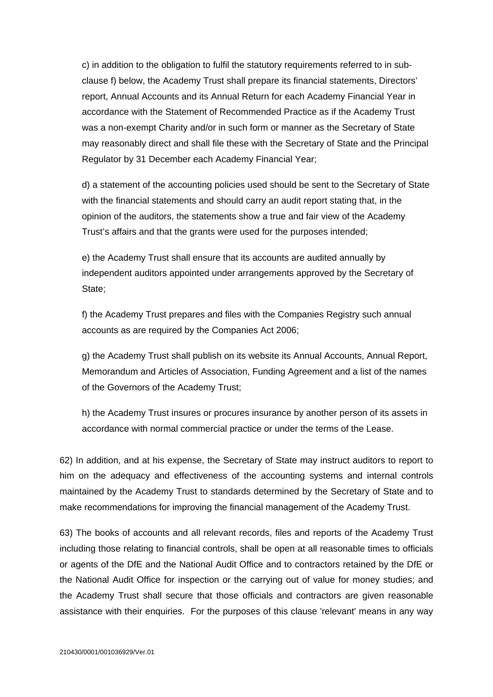c) in addition to the obligation to fulfil the statutory requirements referred to in subclause f) below, the Academy Trust shall prepare its financial statements, Directors' report, Annual Accounts and its Annual Return for each Academy Financial Year in accordance with the Statement of Recommended Practice as if the Academy Trust was a non-exempt Charity and/or in such form or manner as the Secretary of State may reasonably direct and shall file these with the Secretary of State and the Principal Regulator by 31 December each Academy Financial Year;

d) a statement of the accounting policies used should be sent to the Secretary of State with the financial statements and should carry an audit report stating that, in the opinion of the auditors, the statements show a true and fair view of the Academy Trust's affairs and that the grants were used for the purposes intended;

e) the Academy Trust shall ensure that its accounts are audited annually by independent auditors appointed under arrangements approved by the Secretary of State;

f) the Academy Trust prepares and files with the Companies Registry such annual accounts as are required by the Companies Act 2006;

g) the Academy Trust shall publish on its website its Annual Accounts, Annual Report, Memorandum and Articles of Association, Funding Agreement and a list of the names of the Governors of the Academy Trust;

h) the Academy Trust insures or procures insurance by another person of its assets in accordance with normal commercial practice or under the terms of the Lease.

62) In addition, and at his expense, the Secretary of State may instruct auditors to report to him on the adequacy and effectiveness of the accounting systems and internal controls maintained by the Academy Trust to standards determined by the Secretary of State and to make recommendations for improving the financial management of the Academy Trust.

63) The books of accounts and all relevant records, files and reports of the Academy Trust including those relating to financial controls, shall be open at all reasonable times to officials or agents of the DfE and the National Audit Office and to contractors retained by the DfE or the National Audit Office for inspection or the carrying out of value for money studies; and the Academy Trust shall secure that those officials and contractors are given reasonable assistance with their enquiries. For the purposes of this clause 'relevant' means in any way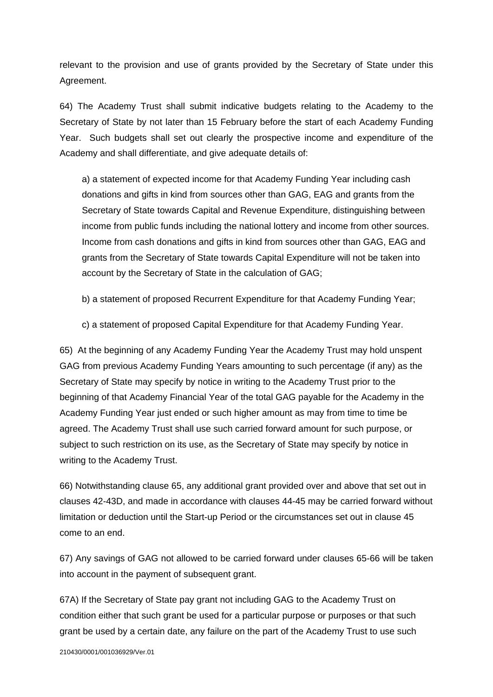relevant to the provision and use of grants provided by the Secretary of State under this Agreement.

64) The Academy Trust shall submit indicative budgets relating to the Academy to the Secretary of State by not later than 15 February before the start of each Academy Funding Year. Such budgets shall set out clearly the prospective income and expenditure of the Academy and shall differentiate, and give adequate details of:

a) a statement of expected income for that Academy Funding Year including cash donations and gifts in kind from sources other than GAG, EAG and grants from the Secretary of State towards Capital and Revenue Expenditure, distinguishing between income from public funds including the national lottery and income from other sources. Income from cash donations and gifts in kind from sources other than GAG, EAG and grants from the Secretary of State towards Capital Expenditure will not be taken into account by the Secretary of State in the calculation of GAG;

b) a statement of proposed Recurrent Expenditure for that Academy Funding Year;

c) a statement of proposed Capital Expenditure for that Academy Funding Year.

65) At the beginning of any Academy Funding Year the Academy Trust may hold unspent GAG from previous Academy Funding Years amounting to such percentage (if any) as the Secretary of State may specify by notice in writing to the Academy Trust prior to the beginning of that Academy Financial Year of the total GAG payable for the Academy in the Academy Funding Year just ended or such higher amount as may from time to time be agreed. The Academy Trust shall use such carried forward amount for such purpose, or subject to such restriction on its use, as the Secretary of State may specify by notice in writing to the Academy Trust.

66) Notwithstanding clause 65, any additional grant provided over and above that set out in clauses 42-43D, and made in accordance with clauses 44-45 may be carried forward without limitation or deduction until the Start-up Period or the circumstances set out in clause 45 come to an end.

67) Any savings of GAG not allowed to be carried forward under clauses 65-66 will be taken into account in the payment of subsequent grant.

67A) If the Secretary of State pay grant not including GAG to the Academy Trust on condition either that such grant be used for a particular purpose or purposes or that such grant be used by a certain date, any failure on the part of the Academy Trust to use such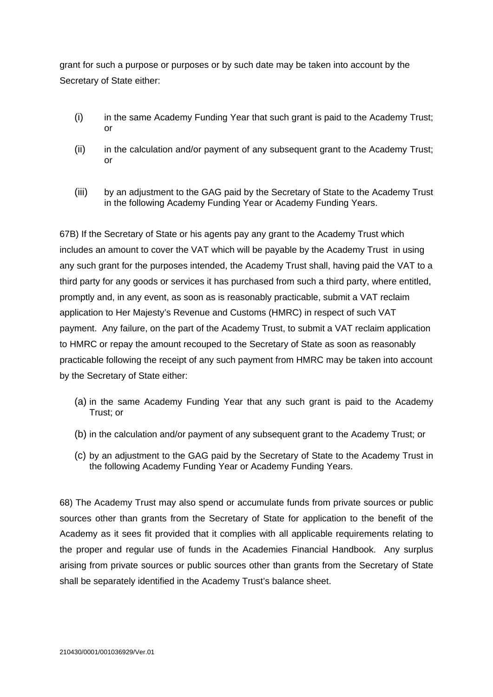grant for such a purpose or purposes or by such date may be taken into account by the Secretary of State either:

- (i) in the same Academy Funding Year that such grant is paid to the Academy Trust;  $\alpha$ r
- (ii) in the calculation and/or payment of any subsequent grant to the Academy Trust; or
- (iii) by an adjustment to the GAG paid by the Secretary of State to the Academy Trust in the following Academy Funding Year or Academy Funding Years.

67B) If the Secretary of State or his agents pay any grant to the Academy Trust which includes an amount to cover the VAT which will be payable by the Academy Trust in using any such grant for the purposes intended, the Academy Trust shall, having paid the VAT to a third party for any goods or services it has purchased from such a third party, where entitled, promptly and, in any event, as soon as is reasonably practicable, submit a VAT reclaim application to Her Majesty's Revenue and Customs (HMRC) in respect of such VAT payment. Any failure, on the part of the Academy Trust, to submit a VAT reclaim application to HMRC or repay the amount recouped to the Secretary of State as soon as reasonably practicable following the receipt of any such payment from HMRC may be taken into account by the Secretary of State either:

- (a) in the same Academy Funding Year that any such grant is paid to the Academy Trust; or
- (b) in the calculation and/or payment of any subsequent grant to the Academy Trust; or
- (c) by an adjustment to the GAG paid by the Secretary of State to the Academy Trust in the following Academy Funding Year or Academy Funding Years.

68) The Academy Trust may also spend or accumulate funds from private sources or public sources other than grants from the Secretary of State for application to the benefit of the Academy as it sees fit provided that it complies with all applicable requirements relating to the proper and regular use of funds in the Academies Financial Handbook. Any surplus arising from private sources or public sources other than grants from the Secretary of State shall be separately identified in the Academy Trust's balance sheet.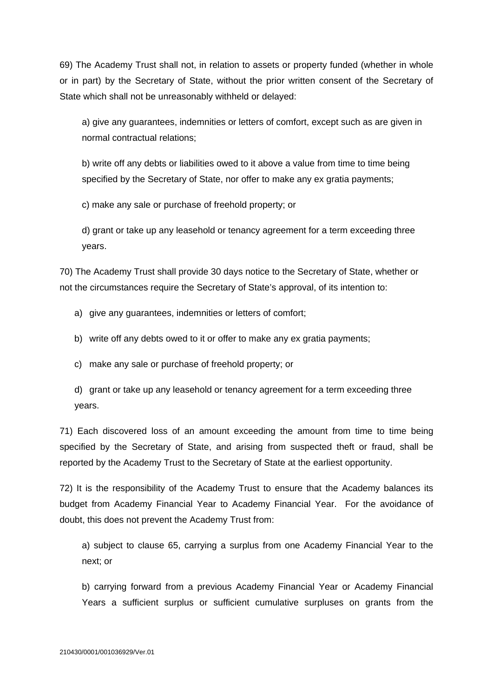69) The Academy Trust shall not, in relation to assets or property funded (whether in whole or in part) by the Secretary of State, without the prior written consent of the Secretary of State which shall not be unreasonably withheld or delayed:

a) give any guarantees, indemnities or letters of comfort, except such as are given in normal contractual relations;

b) write off any debts or liabilities owed to it above a value from time to time being specified by the Secretary of State, nor offer to make any ex gratia payments;

c) make any sale or purchase of freehold property; or

d) grant or take up any leasehold or tenancy agreement for a term exceeding three years.

70) The Academy Trust shall provide 30 days notice to the Secretary of State, whether or not the circumstances require the Secretary of State's approval, of its intention to:

- a) give any quarantees, indemnities or letters of comfort;
- b) write off any debts owed to it or offer to make any ex gratia payments;
- c) make any sale or purchase of freehold property; or
- d) grant or take up any leasehold or tenancy agreement for a term exceeding three years.

71) Each discovered loss of an amount exceeding the amount from time to time being specified by the Secretary of State, and arising from suspected theft or fraud, shall be reported by the Academy Trust to the Secretary of State at the earliest opportunity.

72) It is the responsibility of the Academy Trust to ensure that the Academy balances its budget from Academy Financial Year to Academy Financial Year. For the avoidance of doubt, this does not prevent the Academy Trust from:

a) subject to clause 65, carrying a surplus from one Academy Financial Year to the next; or

b) carrying forward from a previous Academy Financial Year or Academy Financial Years a sufficient surplus or sufficient cumulative surpluses on grants from the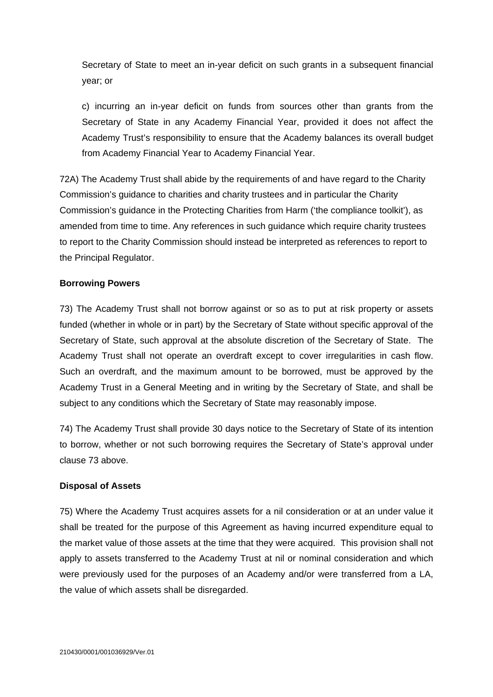Secretary of State to meet an in-year deficit on such grants in a subsequent financial year; or

c) incurring an in-year deficit on funds from sources other than grants from the Secretary of State in any Academy Financial Year, provided it does not affect the Academy Trust's responsibility to ensure that the Academy balances its overall budget from Academy Financial Year to Academy Financial Year.

72A) The Academy Trust shall abide by the requirements of and have regard to the Charity Commission's guidance to charities and charity trustees and in particular the Charity Commission's guidance in the Protecting Charities from Harm ('the compliance toolkit'), as amended from time to time. Any references in such guidance which require charity trustees to report to the Charity Commission should instead be interpreted as references to report to the Principal Regulator.

### **Borrowing Powers**

73) The Academy Trust shall not borrow against or so as to put at risk property or assets funded (whether in whole or in part) by the Secretary of State without specific approval of the Secretary of State, such approval at the absolute discretion of the Secretary of State. The Academy Trust shall not operate an overdraft except to cover irregularities in cash flow. Such an overdraft, and the maximum amount to be borrowed, must be approved by the Academy Trust in a General Meeting and in writing by the Secretary of State, and shall be subject to any conditions which the Secretary of State may reasonably impose.

74) The Academy Trust shall provide 30 days notice to the Secretary of State of its intention to borrow, whether or not such borrowing requires the Secretary of State's approval under clause 73 above.

#### **Disposal of Assets**

75) Where the Academy Trust acquires assets for a nil consideration or at an under value it shall be treated for the purpose of this Agreement as having incurred expenditure equal to the market value of those assets at the time that they were acquired. This provision shall not apply to assets transferred to the Academy Trust at nil or nominal consideration and which were previously used for the purposes of an Academy and/or were transferred from a LA, the value of which assets shall be disregarded.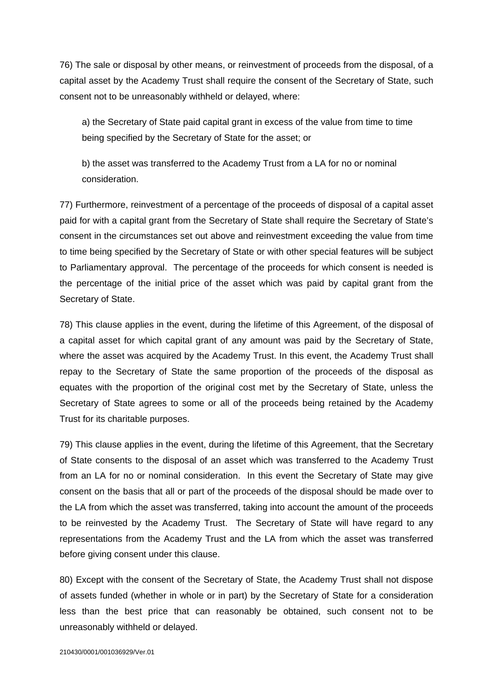76) The sale or disposal by other means, or reinvestment of proceeds from the disposal, of a capital asset by the Academy Trust shall require the consent of the Secretary of State, such consent not to be unreasonably withheld or delayed, where:

a) the Secretary of State paid capital grant in excess of the value from time to time being specified by the Secretary of State for the asset; or

b) the asset was transferred to the Academy Trust from a LA for no or nominal consideration.

77) Furthermore, reinvestment of a percentage of the proceeds of disposal of a capital asset paid for with a capital grant from the Secretary of State shall require the Secretary of State's consent in the circumstances set out above and reinvestment exceeding the value from time to time being specified by the Secretary of State or with other special features will be subject to Parliamentary approval. The percentage of the proceeds for which consent is needed is the percentage of the initial price of the asset which was paid by capital grant from the Secretary of State.

78) This clause applies in the event, during the lifetime of this Agreement, of the disposal of a capital asset for which capital grant of any amount was paid by the Secretary of State, where the asset was acquired by the Academy Trust. In this event, the Academy Trust shall repay to the Secretary of State the same proportion of the proceeds of the disposal as equates with the proportion of the original cost met by the Secretary of State, unless the Secretary of State agrees to some or all of the proceeds being retained by the Academy Trust for its charitable purposes.

79) This clause applies in the event, during the lifetime of this Agreement, that the Secretary of State consents to the disposal of an asset which was transferred to the Academy Trust from an LA for no or nominal consideration. In this event the Secretary of State may give consent on the basis that all or part of the proceeds of the disposal should be made over to the LA from which the asset was transferred, taking into account the amount of the proceeds to be reinvested by the Academy Trust. The Secretary of State will have regard to any representations from the Academy Trust and the LA from which the asset was transferred before giving consent under this clause.

80) Except with the consent of the Secretary of State, the Academy Trust shall not dispose of assets funded (whether in whole or in part) by the Secretary of State for a consideration less than the best price that can reasonably be obtained, such consent not to be unreasonably withheld or delayed.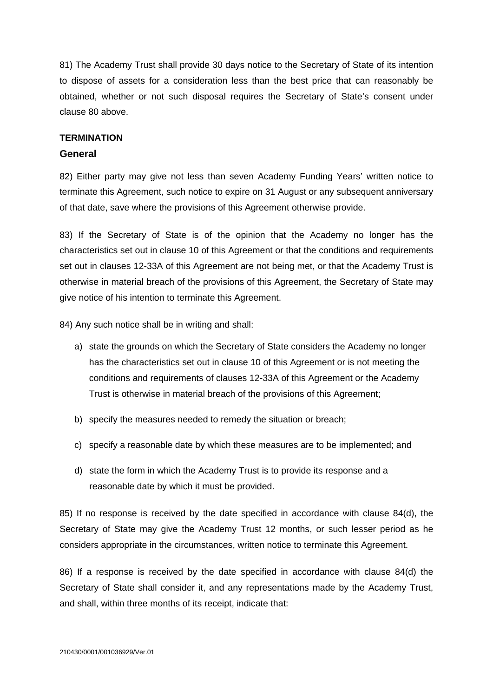81) The Academy Trust shall provide 30 days notice to the Secretary of State of its intention to dispose of assets for a consideration less than the best price that can reasonably be obtained, whether or not such disposal requires the Secretary of State's consent under clause 80 above.

#### **TERMINATION**

#### **General**

82) Either party may give not less than seven Academy Funding Years' written notice to terminate this Agreement, such notice to expire on 31 August or any subsequent anniversary of that date, save where the provisions of this Agreement otherwise provide.

83) If the Secretary of State is of the opinion that the Academy no longer has the characteristics set out in clause 10 of this Agreement or that the conditions and requirements set out in clauses 12-33A of this Agreement are not being met, or that the Academy Trust is otherwise in material breach of the provisions of this Agreement, the Secretary of State may give notice of his intention to terminate this Agreement.

84) Any such notice shall be in writing and shall:

- a) state the grounds on which the Secretary of State considers the Academy no longer has the characteristics set out in clause 10 of this Agreement or is not meeting the conditions and requirements of clauses 12-33A of this Agreement or the Academy Trust is otherwise in material breach of the provisions of this Agreement;
- b) specify the measures needed to remedy the situation or breach;
- c) specify a reasonable date by which these measures are to be implemented; and
- d) state the form in which the Academy Trust is to provide its response and a reasonable date by which it must be provided.

85) If no response is received by the date specified in accordance with clause 84(d), the Secretary of State may give the Academy Trust 12 months, or such lesser period as he considers appropriate in the circumstances, written notice to terminate this Agreement.

86) If a response is received by the date specified in accordance with clause 84(d) the Secretary of State shall consider it, and any representations made by the Academy Trust, and shall, within three months of its receipt, indicate that: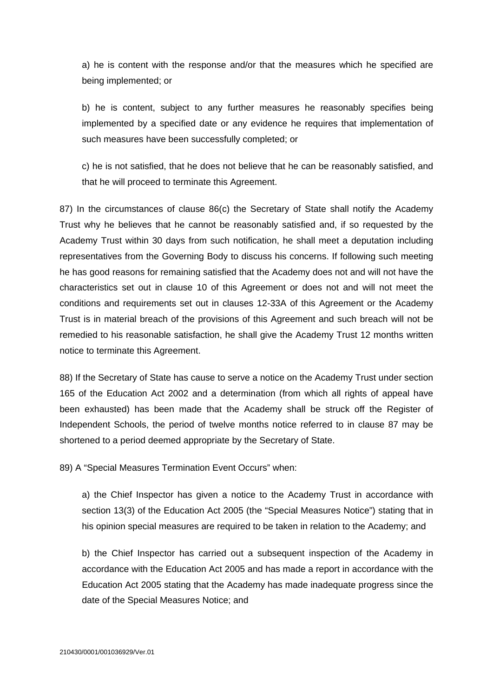a) he is content with the response and/or that the measures which he specified are being implemented; or

b) he is content, subject to any further measures he reasonably specifies being implemented by a specified date or any evidence he requires that implementation of such measures have been successfully completed; or

c) he is not satisfied, that he does not believe that he can be reasonably satisfied, and that he will proceed to terminate this Agreement.

87) In the circumstances of clause 86(c) the Secretary of State shall notify the Academy Trust why he believes that he cannot be reasonably satisfied and, if so requested by the Academy Trust within 30 days from such notification, he shall meet a deputation including representatives from the Governing Body to discuss his concerns. If following such meeting he has good reasons for remaining satisfied that the Academy does not and will not have the characteristics set out in clause 10 of this Agreement or does not and will not meet the conditions and requirements set out in clauses 12-33A of this Agreement or the Academy Trust is in material breach of the provisions of this Agreement and such breach will not be remedied to his reasonable satisfaction, he shall give the Academy Trust 12 months written notice to terminate this Agreement.

88) If the Secretary of State has cause to serve a notice on the Academy Trust under section 165 of the Education Act 2002 and a determination (from which all rights of appeal have been exhausted) has been made that the Academy shall be struck off the Register of Independent Schools, the period of twelve months notice referred to in clause 87 may be shortened to a period deemed appropriate by the Secretary of State.

89) A "Special Measures Termination Event Occurs" when:

a) the Chief Inspector has given a notice to the Academy Trust in accordance with section 13(3) of the Education Act 2005 (the "Special Measures Notice") stating that in his opinion special measures are required to be taken in relation to the Academy; and

b) the Chief Inspector has carried out a subsequent inspection of the Academy in accordance with the Education Act 2005 and has made a report in accordance with the Education Act 2005 stating that the Academy has made inadequate progress since the date of the Special Measures Notice; and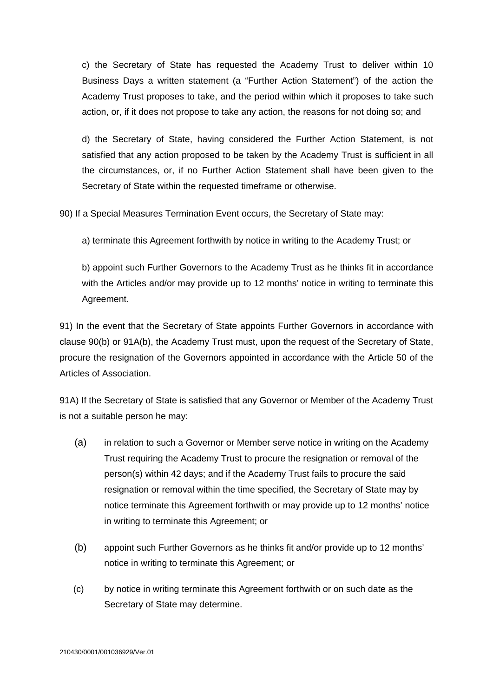c) the Secretary of State has requested the Academy Trust to deliver within 10 Business Days a written statement (a "Further Action Statement") of the action the Academy Trust proposes to take, and the period within which it proposes to take such action, or, if it does not propose to take any action, the reasons for not doing so; and

d) the Secretary of State, having considered the Further Action Statement, is not satisfied that any action proposed to be taken by the Academy Trust is sufficient in all the circumstances, or, if no Further Action Statement shall have been given to the Secretary of State within the requested timeframe or otherwise.

90) If a Special Measures Termination Event occurs, the Secretary of State may:

a) terminate this Agreement forthwith by notice in writing to the Academy Trust; or

b) appoint such Further Governors to the Academy Trust as he thinks fit in accordance with the Articles and/or may provide up to 12 months' notice in writing to terminate this Agreement.

91) In the event that the Secretary of State appoints Further Governors in accordance with clause 90(b) or 91A(b), the Academy Trust must, upon the request of the Secretary of State, procure the resignation of the Governors appointed in accordance with the Article 50 of the Articles of Association.

91A) If the Secretary of State is satisfied that any Governor or Member of the Academy Trust is not a suitable person he may:

- (a) in relation to such a Governor or Member serve notice in writing on the Academy Trust requiring the Academy Trust to procure the resignation or removal of the person(s) within 42 days; and if the Academy Trust fails to procure the said resignation or removal within the time specified, the Secretary of State may by notice terminate this Agreement forthwith or may provide up to 12 months' notice in writing to terminate this Agreement; or
- (b) appoint such Further Governors as he thinks fit and/or provide up to 12 months' notice in writing to terminate this Agreement; or
- (c) by notice in writing terminate this Agreement forthwith or on such date as the Secretary of State may determine.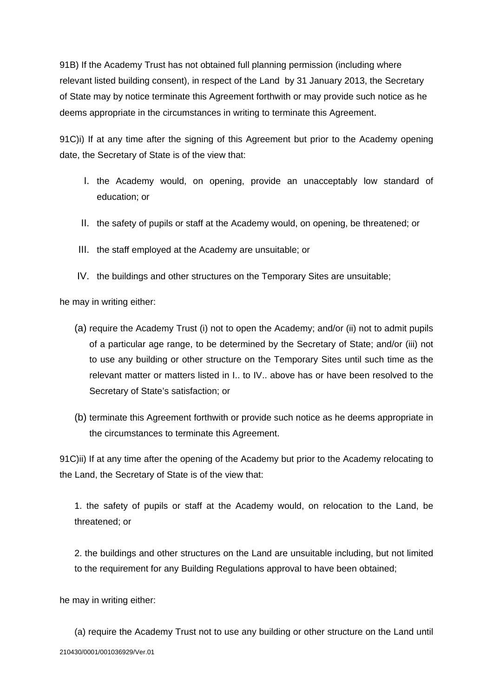91B) If the Academy Trust has not obtained full planning permission (including where relevant listed building consent), in respect of the Land by 31 January 2013, the Secretary of State may by notice terminate this Agreement forthwith or may provide such notice as he deems appropriate in the circumstances in writing to terminate this Agreement.

91C)i) If at any time after the signing of this Agreement but prior to the Academy opening date, the Secretary of State is of the view that:

- I. the Academy would, on opening, provide an unacceptably low standard of education; or
- II. the safety of pupils or staff at the Academy would, on opening, be threatened; or
- III. the staff employed at the Academy are unsuitable; or
- IV. the buildings and other structures on the Temporary Sites are unsuitable;

he may in writing either:

- (a) require the Academy Trust (i) not to open the Academy; and/or (ii) not to admit pupils of a particular age range, to be determined by the Secretary of State; and/or (iii) not to use any building or other structure on the Temporary Sites until such time as the relevant matter or matters listed in I.. to IV.. above has or have been resolved to the Secretary of State's satisfaction; or
- (b) terminate this Agreement forthwith or provide such notice as he deems appropriate in the circumstances to terminate this Agreement.

91C)ii) If at any time after the opening of the Academy but prior to the Academy relocating to the Land, the Secretary of State is of the view that:

1. the safety of pupils or staff at the Academy would, on relocation to the Land, be threatened; or

2. the buildings and other structures on the Land are unsuitable including, but not limited to the requirement for any Building Regulations approval to have been obtained;

he may in writing either:

210430/0001/001036929/Ver.01 (a) require the Academy Trust not to use any building or other structure on the Land until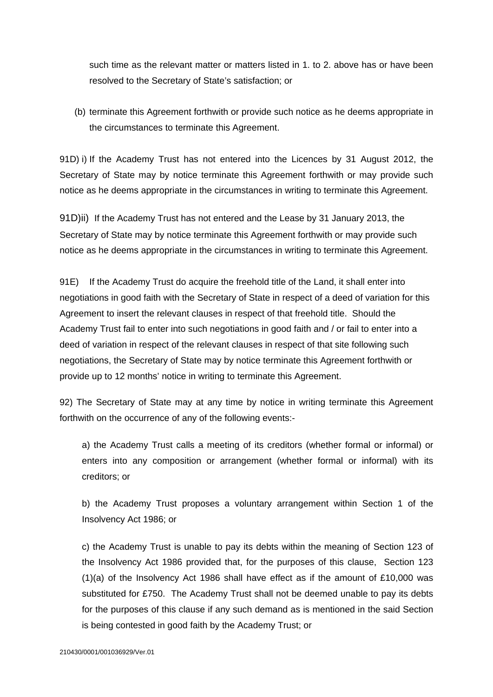such time as the relevant matter or matters listed in 1. to 2. above has or have been resolved to the Secretary of State's satisfaction; or

(b) terminate this Agreement forthwith or provide such notice as he deems appropriate in the circumstances to terminate this Agreement.

91D) i) If the Academy Trust has not entered into the Licences by 31 August 2012, the Secretary of State may by notice terminate this Agreement forthwith or may provide such notice as he deems appropriate in the circumstances in writing to terminate this Agreement.

91D)ii) If the Academy Trust has not entered and the Lease by 31 January 2013, the Secretary of State may by notice terminate this Agreement forthwith or may provide such notice as he deems appropriate in the circumstances in writing to terminate this Agreement.

91E) If the Academy Trust do acquire the freehold title of the Land, it shall enter into negotiations in good faith with the Secretary of State in respect of a deed of variation for this Agreement to insert the relevant clauses in respect of that freehold title. Should the Academy Trust fail to enter into such negotiations in good faith and / or fail to enter into a deed of variation in respect of the relevant clauses in respect of that site following such negotiations, the Secretary of State may by notice terminate this Agreement forthwith or provide up to 12 months' notice in writing to terminate this Agreement.

92) The Secretary of State may at any time by notice in writing terminate this Agreement forthwith on the occurrence of any of the following events:-

a) the Academy Trust calls a meeting of its creditors (whether formal or informal) or enters into any composition or arrangement (whether formal or informal) with its creditors; or

b) the Academy Trust proposes a voluntary arrangement within Section 1 of the Insolvency Act 1986; or

c) the Academy Trust is unable to pay its debts within the meaning of Section 123 of the Insolvency Act 1986 provided that, for the purposes of this clause, Section 123  $(1)(a)$  of the Insolvency Act 1986 shall have effect as if the amount of £10,000 was substituted for £750. The Academy Trust shall not be deemed unable to pay its debts for the purposes of this clause if any such demand as is mentioned in the said Section is being contested in good faith by the Academy Trust; or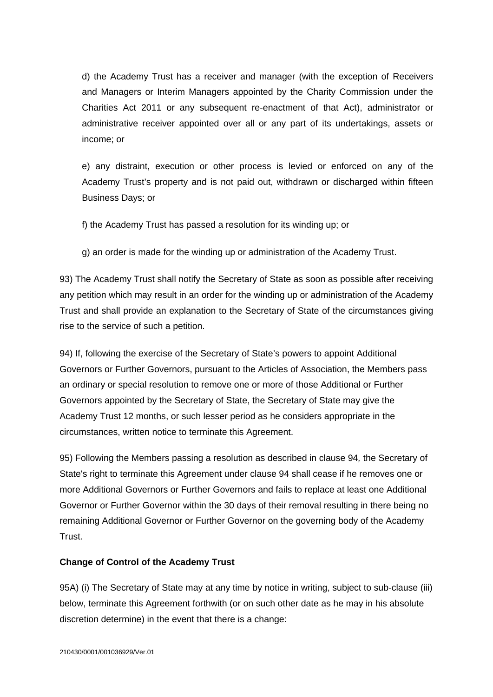d) the Academy Trust has a receiver and manager (with the exception of Receivers and Managers or Interim Managers appointed by the Charity Commission under the Charities Act 2011 or any subsequent re-enactment of that Act), administrator or administrative receiver appointed over all or any part of its undertakings, assets or income; or

e) any distraint, execution or other process is levied or enforced on any of the Academy Trust's property and is not paid out, withdrawn or discharged within fifteen Business Days; or

f) the Academy Trust has passed a resolution for its winding up; or

g) an order is made for the winding up or administration of the Academy Trust.

93) The Academy Trust shall notify the Secretary of State as soon as possible after receiving any petition which may result in an order for the winding up or administration of the Academy Trust and shall provide an explanation to the Secretary of State of the circumstances giving rise to the service of such a petition.

94) If, following the exercise of the Secretary of State's powers to appoint Additional Governors or Further Governors, pursuant to the Articles of Association, the Members pass an ordinary or special resolution to remove one or more of those Additional or Further Governors appointed by the Secretary of State, the Secretary of State may give the Academy Trust 12 months, or such lesser period as he considers appropriate in the circumstances, written notice to terminate this Agreement.

95) Following the Members passing a resolution as described in clause 94*,* the Secretary of State's right to terminate this Agreement under clause 94 shall cease if he removes one or more Additional Governors or Further Governors and fails to replace at least one Additional Governor or Further Governor within the 30 days of their removal resulting in there being no remaining Additional Governor or Further Governor on the governing body of the Academy Trust.

### **Change of Control of the Academy Trust**

95A) (i) The Secretary of State may at any time by notice in writing, subject to sub-clause (iii) below, terminate this Agreement forthwith (or on such other date as he may in his absolute discretion determine) in the event that there is a change: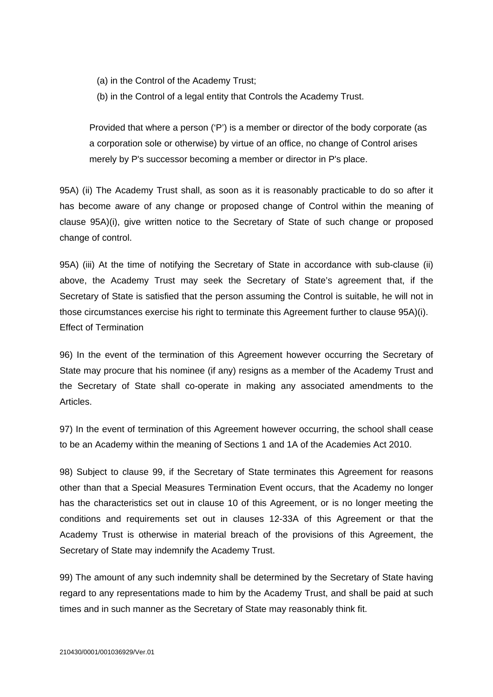(a) in the Control of the Academy Trust;

(b) in the Control of a legal entity that Controls the Academy Trust.

Provided that where a person ('P') is a member or director of the body corporate (as a corporation sole or otherwise) by virtue of an office, no change of Control arises merely by P's successor becoming a member or director in P's place.

95A) (ii) The Academy Trust shall, as soon as it is reasonably practicable to do so after it has become aware of any change or proposed change of Control within the meaning of clause 95A)(i), give written notice to the Secretary of State of such change or proposed change of control.

95A) (iii) At the time of notifying the Secretary of State in accordance with sub-clause (ii) above, the Academy Trust may seek the Secretary of State's agreement that, if the Secretary of State is satisfied that the person assuming the Control is suitable, he will not in those circumstances exercise his right to terminate this Agreement further to clause 95A)(i). Effect of Termination

96) In the event of the termination of this Agreement however occurring the Secretary of State may procure that his nominee (if any) resigns as a member of the Academy Trust and the Secretary of State shall co-operate in making any associated amendments to the Articles.

97) In the event of termination of this Agreement however occurring, the school shall cease to be an Academy within the meaning of Sections 1 and 1A of the Academies Act 2010.

98) Subject to clause 99, if the Secretary of State terminates this Agreement for reasons other than that a Special Measures Termination Event occurs, that the Academy no longer has the characteristics set out in clause 10 of this Agreement, or is no longer meeting the conditions and requirements set out in clauses 12-33A of this Agreement or that the Academy Trust is otherwise in material breach of the provisions of this Agreement, the Secretary of State may indemnify the Academy Trust.

99) The amount of any such indemnity shall be determined by the Secretary of State having regard to any representations made to him by the Academy Trust, and shall be paid at such times and in such manner as the Secretary of State may reasonably think fit.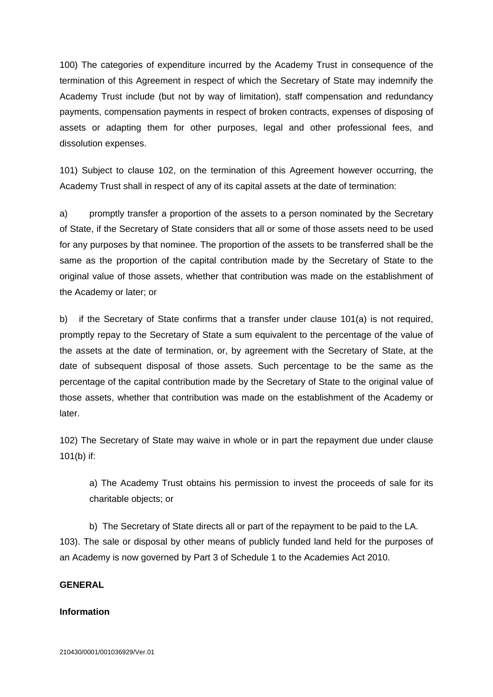100) The categories of expenditure incurred by the Academy Trust in consequence of the termination of this Agreement in respect of which the Secretary of State may indemnify the Academy Trust include (but not by way of limitation), staff compensation and redundancy payments, compensation payments in respect of broken contracts, expenses of disposing of assets or adapting them for other purposes, legal and other professional fees, and dissolution expenses.

101) Subject to clause 102, on the termination of this Agreement however occurring, the Academy Trust shall in respect of any of its capital assets at the date of termination:

a) promptly transfer a proportion of the assets to a person nominated by the Secretary of State, if the Secretary of State considers that all or some of those assets need to be used for any purposes by that nominee. The proportion of the assets to be transferred shall be the same as the proportion of the capital contribution made by the Secretary of State to the original value of those assets, whether that contribution was made on the establishment of the Academy or later; or

b) if the Secretary of State confirms that a transfer under clause 101(a) is not required, promptly repay to the Secretary of State a sum equivalent to the percentage of the value of the assets at the date of termination, or, by agreement with the Secretary of State, at the date of subsequent disposal of those assets. Such percentage to be the same as the percentage of the capital contribution made by the Secretary of State to the original value of those assets, whether that contribution was made on the establishment of the Academy or later.

102) The Secretary of State may waive in whole or in part the repayment due under clause 101(b) if:

a) The Academy Trust obtains his permission to invest the proceeds of sale for its charitable objects; or

b) The Secretary of State directs all or part of the repayment to be paid to the LA. 103). The sale or disposal by other means of publicly funded land held for the purposes of an Academy is now governed by Part 3 of Schedule 1 to the Academies Act 2010.

### **GENERAL**

#### **Information**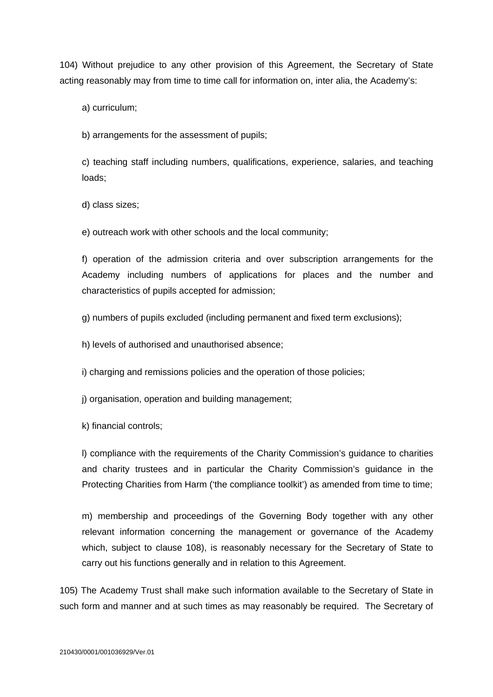104) Without prejudice to any other provision of this Agreement, the Secretary of State acting reasonably may from time to time call for information on, inter alia, the Academy's:

a) curriculum;

b) arrangements for the assessment of pupils;

c) teaching staff including numbers, qualifications, experience, salaries, and teaching loads;

d) class sizes;

e) outreach work with other schools and the local community;

f) operation of the admission criteria and over subscription arrangements for the Academy including numbers of applications for places and the number and characteristics of pupils accepted for admission;

- g) numbers of pupils excluded (including permanent and fixed term exclusions);
- h) levels of authorised and unauthorised absence;

i) charging and remissions policies and the operation of those policies;

j) organisation, operation and building management;

k) financial controls;

l) compliance with the requirements of the Charity Commission's guidance to charities and charity trustees and in particular the Charity Commission's guidance in the Protecting Charities from Harm ('the compliance toolkit') as amended from time to time;

m) membership and proceedings of the Governing Body together with any other relevant information concerning the management or governance of the Academy which, subject to clause 108), is reasonably necessary for the Secretary of State to carry out his functions generally and in relation to this Agreement.

105) The Academy Trust shall make such information available to the Secretary of State in such form and manner and at such times as may reasonably be required. The Secretary of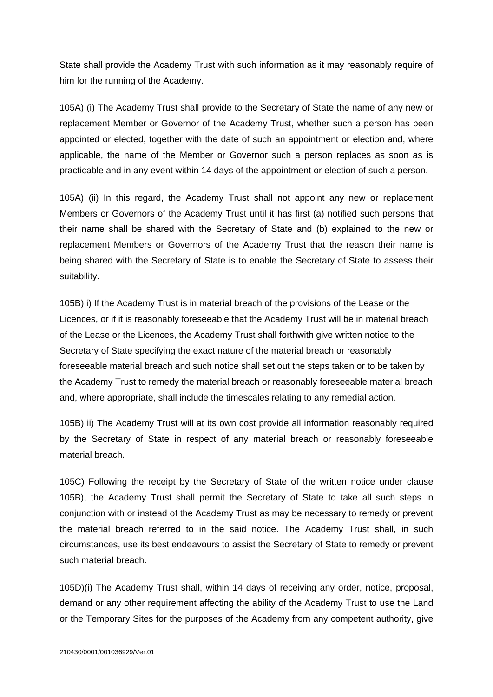State shall provide the Academy Trust with such information as it may reasonably require of him for the running of the Academy.

105A) (i) The Academy Trust shall provide to the Secretary of State the name of any new or replacement Member or Governor of the Academy Trust, whether such a person has been appointed or elected, together with the date of such an appointment or election and, where applicable, the name of the Member or Governor such a person replaces as soon as is practicable and in any event within 14 days of the appointment or election of such a person.

105A) (ii) In this regard, the Academy Trust shall not appoint any new or replacement Members or Governors of the Academy Trust until it has first (a) notified such persons that their name shall be shared with the Secretary of State and (b) explained to the new or replacement Members or Governors of the Academy Trust that the reason their name is being shared with the Secretary of State is to enable the Secretary of State to assess their suitability.

105B) i) If the Academy Trust is in material breach of the provisions of the Lease or the Licences, or if it is reasonably foreseeable that the Academy Trust will be in material breach of the Lease or the Licences, the Academy Trust shall forthwith give written notice to the Secretary of State specifying the exact nature of the material breach or reasonably foreseeable material breach and such notice shall set out the steps taken or to be taken by the Academy Trust to remedy the material breach or reasonably foreseeable material breach and, where appropriate, shall include the timescales relating to any remedial action.

105B) ii) The Academy Trust will at its own cost provide all information reasonably required by the Secretary of State in respect of any material breach or reasonably foreseeable material breach.

105C) Following the receipt by the Secretary of State of the written notice under clause 105B), the Academy Trust shall permit the Secretary of State to take all such steps in conjunction with or instead of the Academy Trust as may be necessary to remedy or prevent the material breach referred to in the said notice. The Academy Trust shall, in such circumstances, use its best endeavours to assist the Secretary of State to remedy or prevent such material breach.

105D)(i) The Academy Trust shall, within 14 days of receiving any order, notice, proposal, demand or any other requirement affecting the ability of the Academy Trust to use the Land or the Temporary Sites for the purposes of the Academy from any competent authority, give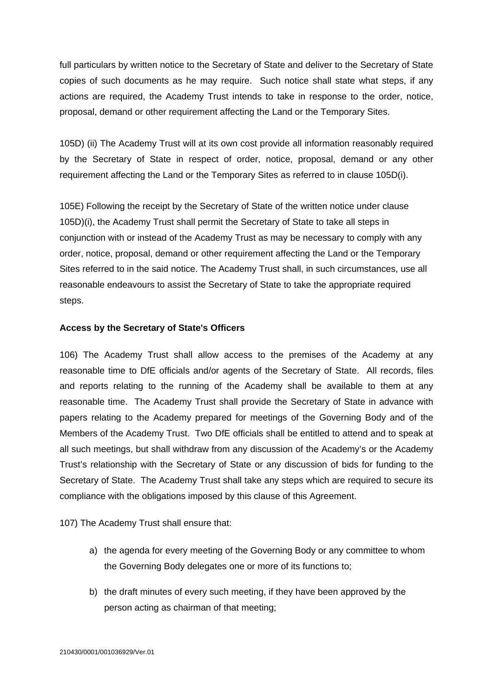full particulars by written notice to the Secretary of State and deliver to the Secretary of State copies of such documents as he may require. Such notice shall state what steps, if any actions are required, the Academy Trust intends to take in response to the order, notice, proposal, demand or other requirement affecting the Land or the Temporary Sites.

105D) (ii) The Academy Trust will at its own cost provide all information reasonably required by the Secretary of State in respect of order, notice, proposal, demand or any other requirement affecting the Land or the Temporary Sites as referred to in clause 105D(i).

105E) Following the receipt by the Secretary of State of the written notice under clause 105D)(i), the Academy Trust shall permit the Secretary of State to take all steps in conjunction with or instead of the Academy Trust as may be necessary to comply with any order, notice, proposal, demand or other requirement affecting the Land or the Temporary Sites referred to in the said notice. The Academy Trust shall, in such circumstances, use all reasonable endeavours to assist the Secretary of State to take the appropriate required steps.

### **Access by the Secretary of State's Officers**

106) The Academy Trust shall allow access to the premises of the Academy at any reasonable time to DfE officials and/or agents of the Secretary of State. All records, files and reports relating to the running of the Academy shall be available to them at any reasonable time. The Academy Trust shall provide the Secretary of State in advance with papers relating to the Academy prepared for meetings of the Governing Body and of the Members of the Academy Trust. Two DfE officials shall be entitled to attend and to speak at all such meetings, but shall withdraw from any discussion of the Academy's or the Academy Trust's relationship with the Secretary of State or any discussion of bids for funding to the Secretary of State. The Academy Trust shall take any steps which are required to secure its compliance with the obligations imposed by this clause of this Agreement.

107) The Academy Trust shall ensure that:

- a) the agenda for every meeting of the Governing Body or any committee to whom the Governing Body delegates one or more of its functions to;
- b) the draft minutes of every such meeting, if they have been approved by the person acting as chairman of that meeting;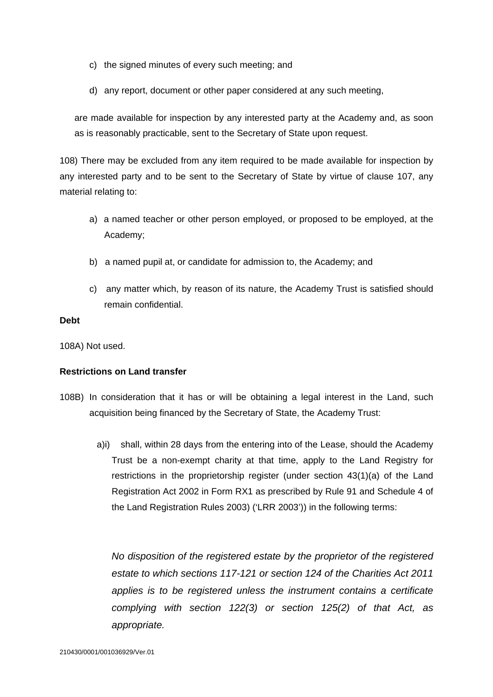- c) the signed minutes of every such meeting; and
- d) any report, document or other paper considered at any such meeting,

are made available for inspection by any interested party at the Academy and, as soon as is reasonably practicable, sent to the Secretary of State upon request.

108) There may be excluded from any item required to be made available for inspection by any interested party and to be sent to the Secretary of State by virtue of clause 107, any material relating to:

- a) a named teacher or other person employed, or proposed to be employed, at the Academy;
- b) a named pupil at, or candidate for admission to, the Academy; and
- c) any matter which, by reason of its nature, the Academy Trust is satisfied should remain confidential.

#### **Debt**

108A) Not used.

#### **Restrictions on Land transfer**

- 108B) In consideration that it has or will be obtaining a legal interest in the Land, such acquisition being financed by the Secretary of State, the Academy Trust:
	- a)i) shall, within 28 days from the entering into of the Lease, should the Academy Trust be a non-exempt charity at that time, apply to the Land Registry for restrictions in the proprietorship register (under section 43(1)(a) of the Land Registration Act 2002 in Form RX1 as prescribed by Rule 91 and Schedule 4 of the Land Registration Rules 2003) ('LRR 2003')) in the following terms:

*No disposition of the registered estate by the proprietor of the registered estate to which sections 117-121 or section 124 of the Charities Act 2011 applies is to be registered unless the instrument contains a certificate complying with section 122(3) or section 125(2) of that Act, as appropriate.*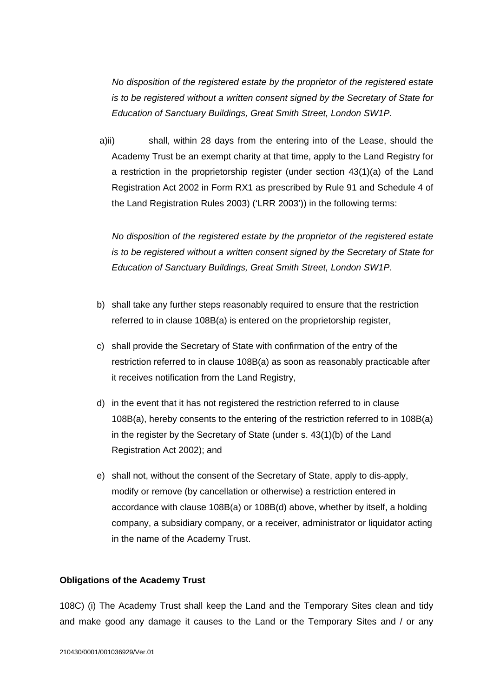*No disposition of the registered estate by the proprietor of the registered estate is to be registered without a written consent signed by the Secretary of State for Education of Sanctuary Buildings, Great Smith Street, London SW1P*.

a)ii) shall, within 28 days from the entering into of the Lease, should the Academy Trust be an exempt charity at that time, apply to the Land Registry for a restriction in the proprietorship register (under section 43(1)(a) of the Land Registration Act 2002 in Form RX1 as prescribed by Rule 91 and Schedule 4 of the Land Registration Rules 2003) ('LRR 2003')) in the following terms:

 *No disposition of the registered estate by the proprietor of the registered estate is to be registered without a written consent signed by the Secretary of State for Education of Sanctuary Buildings, Great Smith Street, London SW1P*.

- b) shall take any further steps reasonably required to ensure that the restriction referred to in clause 108B(a) is entered on the proprietorship register,
- c) shall provide the Secretary of State with confirmation of the entry of the restriction referred to in clause 108B(a) as soon as reasonably practicable after it receives notification from the Land Registry,
- d) in the event that it has not registered the restriction referred to in clause 108B(a), hereby consents to the entering of the restriction referred to in 108B(a) in the register by the Secretary of State (under s. 43(1)(b) of the Land Registration Act 2002); and
- e) shall not, without the consent of the Secretary of State, apply to dis-apply, modify or remove (by cancellation or otherwise) a restriction entered in accordance with clause 108B(a) or 108B(d) above, whether by itself, a holding company, a subsidiary company, or a receiver, administrator or liquidator acting in the name of the Academy Trust.

#### **Obligations of the Academy Trust**

108C) (i) The Academy Trust shall keep the Land and the Temporary Sites clean and tidy and make good any damage it causes to the Land or the Temporary Sites and / or any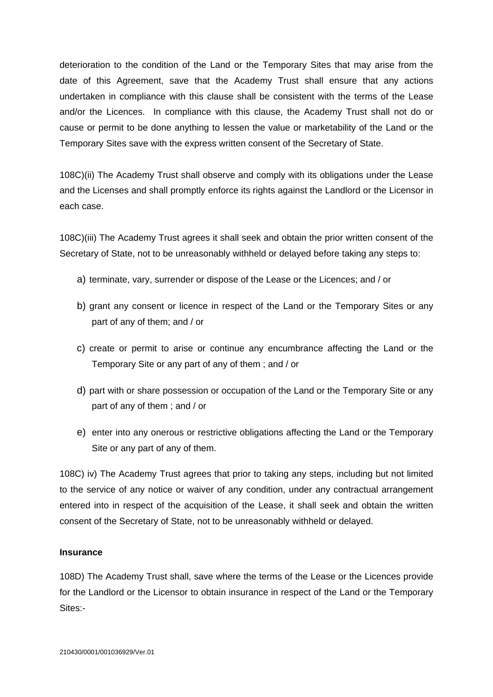deterioration to the condition of the Land or the Temporary Sites that may arise from the date of this Agreement, save that the Academy Trust shall ensure that any actions undertaken in compliance with this clause shall be consistent with the terms of the Lease and/or the Licences. In compliance with this clause, the Academy Trust shall not do or cause or permit to be done anything to lessen the value or marketability of the Land or the Temporary Sites save with the express written consent of the Secretary of State.

108C)(ii) The Academy Trust shall observe and comply with its obligations under the Lease and the Licenses and shall promptly enforce its rights against the Landlord or the Licensor in each case.

108C)(iii) The Academy Trust agrees it shall seek and obtain the prior written consent of the Secretary of State, not to be unreasonably withheld or delayed before taking any steps to:

- a) terminate, vary, surrender or dispose of the Lease or the Licences; and / or
- b) grant any consent or licence in respect of the Land or the Temporary Sites or any part of any of them; and / or
- c) create or permit to arise or continue any encumbrance affecting the Land or the Temporary Site or any part of any of them ; and / or
- d) part with or share possession or occupation of the Land or the Temporary Site or any part of any of them ; and / or
- e) enter into any onerous or restrictive obligations affecting the Land or the Temporary Site or any part of any of them.

108C) iv) The Academy Trust agrees that prior to taking any steps, including but not limited to the service of any notice or waiver of any condition, under any contractual arrangement entered into in respect of the acquisition of the Lease, it shall seek and obtain the written consent of the Secretary of State, not to be unreasonably withheld or delayed.

### **Insurance**

108D) The Academy Trust shall, save where the terms of the Lease or the Licences provide for the Landlord or the Licensor to obtain insurance in respect of the Land or the Temporary Sites:-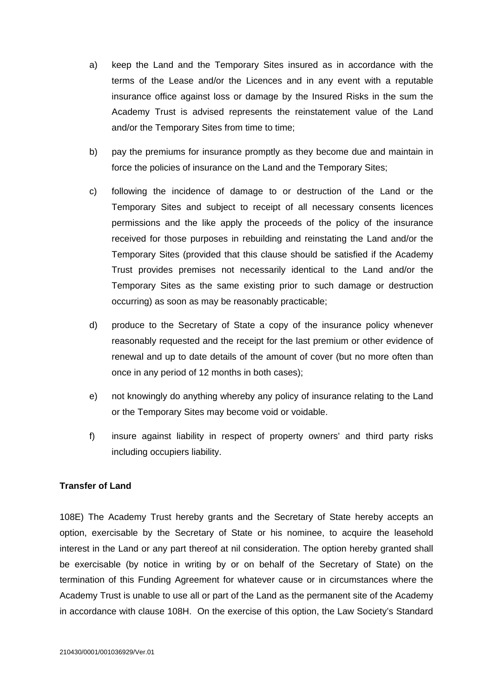- a) keep the Land and the Temporary Sites insured as in accordance with the terms of the Lease and/or the Licences and in any event with a reputable insurance office against loss or damage by the Insured Risks in the sum the Academy Trust is advised represents the reinstatement value of the Land and/or the Temporary Sites from time to time;
- b) pay the premiums for insurance promptly as they become due and maintain in force the policies of insurance on the Land and the Temporary Sites;
- c) following the incidence of damage to or destruction of the Land or the Temporary Sites and subject to receipt of all necessary consents licences permissions and the like apply the proceeds of the policy of the insurance received for those purposes in rebuilding and reinstating the Land and/or the Temporary Sites (provided that this clause should be satisfied if the Academy Trust provides premises not necessarily identical to the Land and/or the Temporary Sites as the same existing prior to such damage or destruction occurring) as soon as may be reasonably practicable;
- d) produce to the Secretary of State a copy of the insurance policy whenever reasonably requested and the receipt for the last premium or other evidence of renewal and up to date details of the amount of cover (but no more often than once in any period of 12 months in both cases);
- e) not knowingly do anything whereby any policy of insurance relating to the Land or the Temporary Sites may become void or voidable.
- f) insure against liability in respect of property owners' and third party risks including occupiers liability.

### **Transfer of Land**

108E) The Academy Trust hereby grants and the Secretary of State hereby accepts an option, exercisable by the Secretary of State or his nominee, to acquire the leasehold interest in the Land or any part thereof at nil consideration. The option hereby granted shall be exercisable (by notice in writing by or on behalf of the Secretary of State) on the termination of this Funding Agreement for whatever cause or in circumstances where the Academy Trust is unable to use all or part of the Land as the permanent site of the Academy in accordance with clause 108H. On the exercise of this option, the Law Society's Standard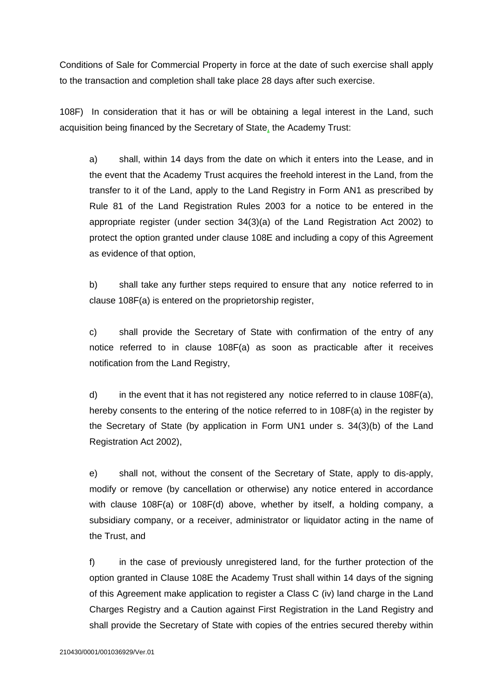Conditions of Sale for Commercial Property in force at the date of such exercise shall apply to the transaction and completion shall take place 28 days after such exercise.

108F) In consideration that it has or will be obtaining a legal interest in the Land, such acquisition being financed by the Secretary of State, the Academy Trust:

a) shall, within 14 days from the date on which it enters into the Lease, and in the event that the Academy Trust acquires the freehold interest in the Land, from the transfer to it of the Land, apply to the Land Registry in Form AN1 as prescribed by Rule 81 of the Land Registration Rules 2003 for a notice to be entered in the appropriate register (under section 34(3)(a) of the Land Registration Act 2002) to protect the option granted under clause 108E and including a copy of this Agreement as evidence of that option,

b) shall take any further steps required to ensure that any notice referred to in clause 108F(a) is entered on the proprietorship register,

c) shall provide the Secretary of State with confirmation of the entry of any notice referred to in clause 108F(a) as soon as practicable after it receives notification from the Land Registry,

d) in the event that it has not registered any notice referred to in clause  $108F(a)$ , hereby consents to the entering of the notice referred to in 108F(a) in the register by the Secretary of State (by application in Form UN1 under s. 34(3)(b) of the Land Registration Act 2002),

e) shall not, without the consent of the Secretary of State, apply to dis-apply, modify or remove (by cancellation or otherwise) any notice entered in accordance with clause 108F(a) or 108F(d) above, whether by itself, a holding company, a subsidiary company, or a receiver, administrator or liquidator acting in the name of the Trust, and

f) in the case of previously unregistered land, for the further protection of the option granted in Clause 108E the Academy Trust shall within 14 days of the signing of this Agreement make application to register a Class C (iv) land charge in the Land Charges Registry and a Caution against First Registration in the Land Registry and shall provide the Secretary of State with copies of the entries secured thereby within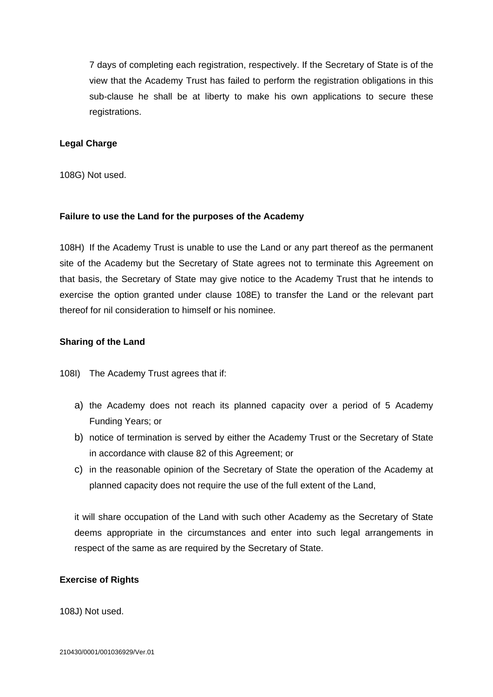7 days of completing each registration, respectively. If the Secretary of State is of the view that the Academy Trust has failed to perform the registration obligations in this sub-clause he shall be at liberty to make his own applications to secure these registrations.

#### **Legal Charge**

108G) Not used.

#### **Failure to use the Land for the purposes of the Academy**

108H) If the Academy Trust is unable to use the Land or any part thereof as the permanent site of the Academy but the Secretary of State agrees not to terminate this Agreement on that basis, the Secretary of State may give notice to the Academy Trust that he intends to exercise the option granted under clause 108E) to transfer the Land or the relevant part thereof for nil consideration to himself or his nominee.

#### **Sharing of the Land**

108I) The Academy Trust agrees that if:

- a) the Academy does not reach its planned capacity over a period of 5 Academy Funding Years; or
- b) notice of termination is served by either the Academy Trust or the Secretary of State in accordance with clause 82 of this Agreement; or
- c) in the reasonable opinion of the Secretary of State the operation of the Academy at planned capacity does not require the use of the full extent of the Land,

it will share occupation of the Land with such other Academy as the Secretary of State deems appropriate in the circumstances and enter into such legal arrangements in respect of the same as are required by the Secretary of State.

#### **Exercise of Rights**

108J) Not used.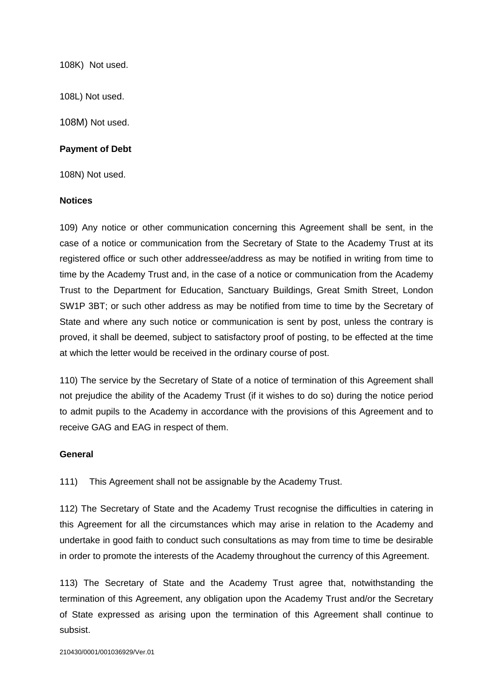108K) Not used.

108L) Not used.

108M) Not used.

#### **Payment of Debt**

108N) Not used.

#### **Notices**

109) Any notice or other communication concerning this Agreement shall be sent, in the case of a notice or communication from the Secretary of State to the Academy Trust at its registered office or such other addressee/address as may be notified in writing from time to time by the Academy Trust and, in the case of a notice or communication from the Academy Trust to the Department for Education, Sanctuary Buildings, Great Smith Street, London SW1P 3BT; or such other address as may be notified from time to time by the Secretary of State and where any such notice or communication is sent by post, unless the contrary is proved, it shall be deemed, subject to satisfactory proof of posting, to be effected at the time at which the letter would be received in the ordinary course of post.

110) The service by the Secretary of State of a notice of termination of this Agreement shall not prejudice the ability of the Academy Trust (if it wishes to do so) during the notice period to admit pupils to the Academy in accordance with the provisions of this Agreement and to receive GAG and EAG in respect of them.

#### **General**

111) This Agreement shall not be assignable by the Academy Trust.

112) The Secretary of State and the Academy Trust recognise the difficulties in catering in this Agreement for all the circumstances which may arise in relation to the Academy and undertake in good faith to conduct such consultations as may from time to time be desirable in order to promote the interests of the Academy throughout the currency of this Agreement.

113) The Secretary of State and the Academy Trust agree that, notwithstanding the termination of this Agreement, any obligation upon the Academy Trust and/or the Secretary of State expressed as arising upon the termination of this Agreement shall continue to subsist.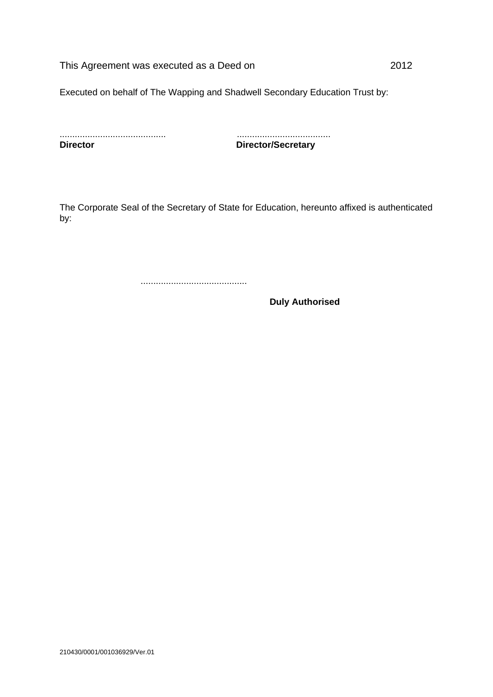This Agreement was executed as a Deed on 2012

Executed on behalf of The Wapping and Shadwell Secondary Education Trust by:

| <b>Director</b> |  |  |  |
|-----------------|--|--|--|

.......................................... ..................................... **Director/Secretary** 

The Corporate Seal of the Secretary of State for Education, hereunto affixed is authenticated by:

..........................................

**Duly Authorised**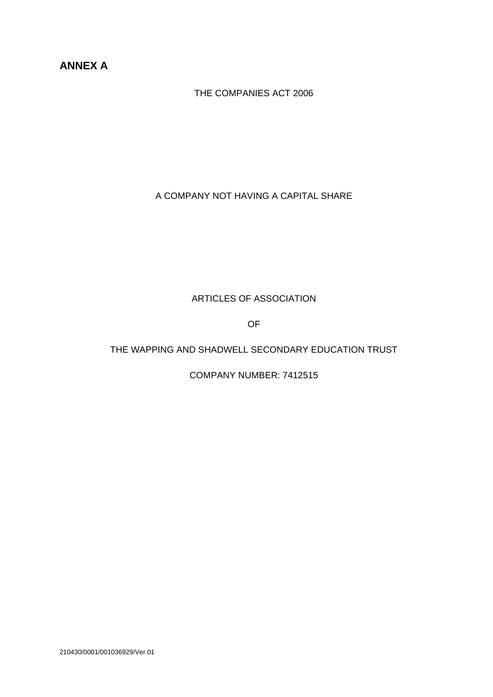## **ANNEX A**

THE COMPANIES ACT 2006

A COMPANY NOT HAVING A CAPITAL SHARE

### ARTICLES OF ASSOCIATION

OF

### THE WAPPING AND SHADWELL SECONDARY EDUCATION TRUST

COMPANY NUMBER: 7412515

210430/0001/001036929/Ver.01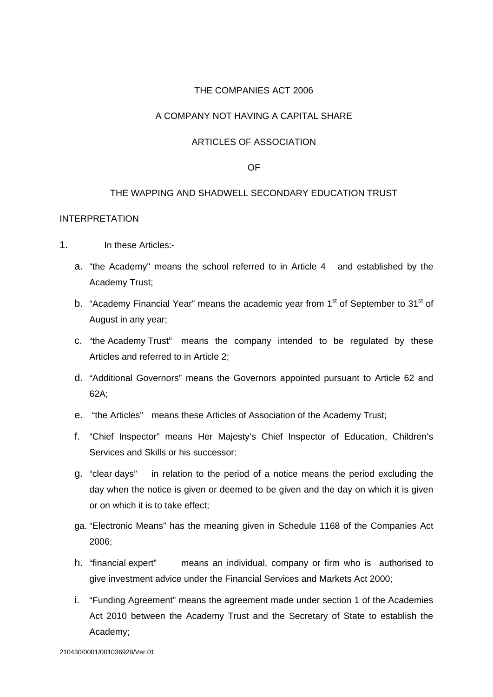### THE COMPANIES ACT 2006

### A COMPANY NOT HAVING A CAPITAL SHARE

### ARTICLES OF ASSOCIATION

#### OF

### THE WAPPING AND SHADWELL SECONDARY EDUCATION TRUST

#### INTERPRETATION

- 1. In these Articles:
	- a. "the Academy" means the school referred to in Article 4 and established by the Academy Trust;
	- b. "Academy Financial Year" means the academic year from 1<sup>st</sup> of September to 31<sup>st</sup> of August in any year;
	- c. "the Academy Trust" means the company intended to be regulated by these Articles and referred to in Article 2;
	- d. "Additional Governors" means the Governors appointed pursuant to Article 62 and 62A;
	- e. "the Articles" means these Articles of Association of the Academy Trust;
	- f. "Chief Inspector" means Her Majesty's Chief Inspector of Education, Children's Services and Skills or his successor:
	- g. "clear days" in relation to the period of a notice means the period excluding the day when the notice is given or deemed to be given and the day on which it is given or on which it is to take effect;
	- ga. "Electronic Means" has the meaning given in Schedule 1168 of the Companies Act 2006;
	- h. "financial expert" means an individual, company or firm who is authorised to give investment advice under the Financial Services and Markets Act 2000;
	- i. "Funding Agreement" means the agreement made under section 1 of the Academies Act 2010 between the Academy Trust and the Secretary of State to establish the Academy;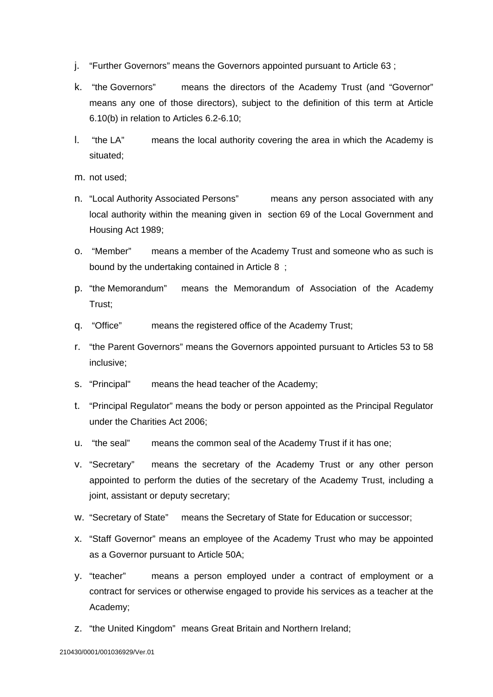- j. "Further Governors" means the Governors appointed pursuant to Article 63 ;
- k. "the Governors" means the directors of the Academy Trust (and "Governor" means any one of those directors), subject to the definition of this term at Article 6.10(b) in relation to Articles 6.2-6.10;
- l. "the LA" means the local authority covering the area in which the Academy is situated;
- m. not used;
- n. "Local Authority Associated Persons" means any person associated with any local authority within the meaning given in section 69 of the Local Government and Housing Act 1989;
- o. "Member" means a member of the Academy Trust and someone who as such is bound by the undertaking contained in Article 8 ;
- p. "the Memorandum" means the Memorandum of Association of the Academy Trust;
- q. "Office" means the registered office of the Academy Trust;
- r. "the Parent Governors" means the Governors appointed pursuant to Articles 53 to 58 inclusive;
- s. "Principal" means the head teacher of the Academy;
- t. "Principal Regulator" means the body or person appointed as the Principal Regulator under the Charities Act 2006;
- u. "the seal" means the common seal of the Academy Trust if it has one;
- v. "Secretary" means the secretary of the Academy Trust or any other person appointed to perform the duties of the secretary of the Academy Trust, including a joint, assistant or deputy secretary;
- w. "Secretary of State" means the Secretary of State for Education or successor;
- x. "Staff Governor" means an employee of the Academy Trust who may be appointed as a Governor pursuant to Article 50A;
- y. "teacher" means a person employed under a contract of employment or a contract for services or otherwise engaged to provide his services as a teacher at the Academy;
- z. "the United Kingdom" means Great Britain and Northern Ireland;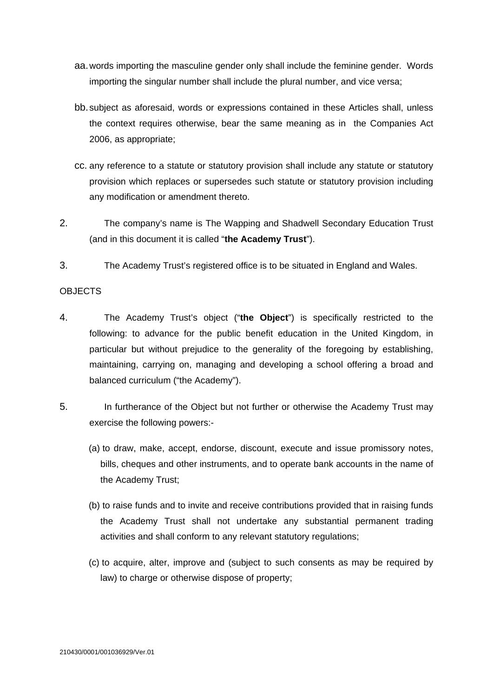- aa. words importing the masculine gender only shall include the feminine gender. Words importing the singular number shall include the plural number, and vice versa;
- bb. subject as aforesaid, words or expressions contained in these Articles shall, unless the context requires otherwise, bear the same meaning as in the Companies Act 2006, as appropriate;
- cc. any reference to a statute or statutory provision shall include any statute or statutory provision which replaces or supersedes such statute or statutory provision including any modification or amendment thereto.
- 2. The company's name is The Wapping and Shadwell Secondary Education Trust (and in this document it is called "**the Academy Trust**").
- 3. The Academy Trust's registered office is to be situated in England and Wales.

### OBJECTS

- 4. The Academy Trust's object ("**the Object**") is specifically restricted to the following: to advance for the public benefit education in the United Kingdom, in particular but without prejudice to the generality of the foregoing by establishing, maintaining, carrying on, managing and developing a school offering a broad and balanced curriculum ("the Academy").
- 5. In furtherance of the Object but not further or otherwise the Academy Trust may exercise the following powers:-
	- (a) to draw, make, accept, endorse, discount, execute and issue promissory notes, bills, cheques and other instruments, and to operate bank accounts in the name of the Academy Trust;
	- (b) to raise funds and to invite and receive contributions provided that in raising funds the Academy Trust shall not undertake any substantial permanent trading activities and shall conform to any relevant statutory regulations;
	- (c) to acquire, alter, improve and (subject to such consents as may be required by law) to charge or otherwise dispose of property;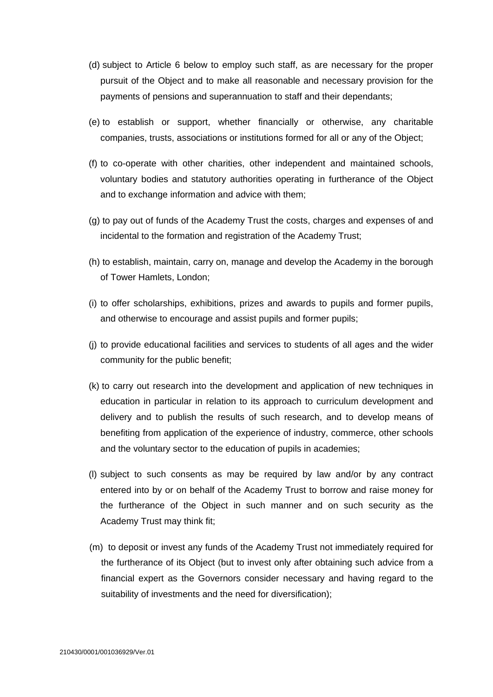- (d) subject to Article 6 below to employ such staff, as are necessary for the proper pursuit of the Object and to make all reasonable and necessary provision for the payments of pensions and superannuation to staff and their dependants;
- (e) to establish or support, whether financially or otherwise, any charitable companies, trusts, associations or institutions formed for all or any of the Object;
- (f) to co-operate with other charities, other independent and maintained schools, voluntary bodies and statutory authorities operating in furtherance of the Object and to exchange information and advice with them;
- (g) to pay out of funds of the Academy Trust the costs, charges and expenses of and incidental to the formation and registration of the Academy Trust;
- (h) to establish, maintain, carry on, manage and develop the Academy in the borough of Tower Hamlets, London;
- (i) to offer scholarships, exhibitions, prizes and awards to pupils and former pupils, and otherwise to encourage and assist pupils and former pupils;
- (j) to provide educational facilities and services to students of all ages and the wider community for the public benefit;
- (k) to carry out research into the development and application of new techniques in education in particular in relation to its approach to curriculum development and delivery and to publish the results of such research, and to develop means of benefiting from application of the experience of industry, commerce, other schools and the voluntary sector to the education of pupils in academies;
- (l) subject to such consents as may be required by law and/or by any contract entered into by or on behalf of the Academy Trust to borrow and raise money for the furtherance of the Object in such manner and on such security as the Academy Trust may think fit;
- (m) to deposit or invest any funds of the Academy Trust not immediately required for the furtherance of its Object (but to invest only after obtaining such advice from a financial expert as the Governors consider necessary and having regard to the suitability of investments and the need for diversification);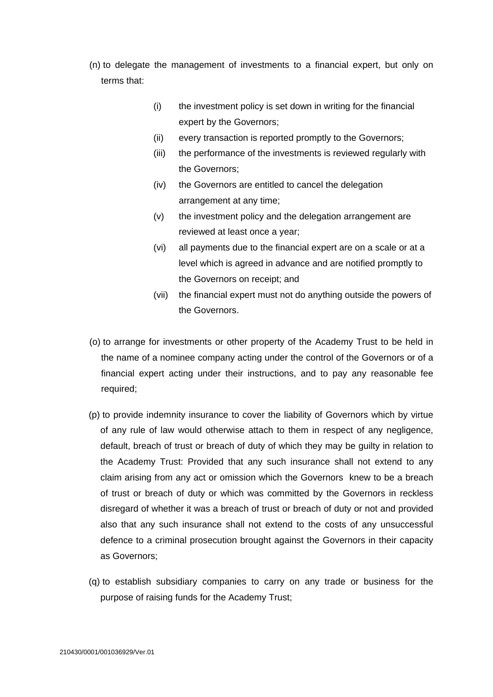- (n) to delegate the management of investments to a financial expert, but only on terms that:
	- (i) the investment policy is set down in writing for the financial expert by the Governors;
	- (ii) every transaction is reported promptly to the Governors;
	- (iii) the performance of the investments is reviewed regularly with the Governors;
	- (iv) the Governors are entitled to cancel the delegation arrangement at any time;
	- (v) the investment policy and the delegation arrangement are reviewed at least once a year;
	- (vi) all payments due to the financial expert are on a scale or at a level which is agreed in advance and are notified promptly to the Governors on receipt; and
	- (vii) the financial expert must not do anything outside the powers of the Governors.
- (o) to arrange for investments or other property of the Academy Trust to be held in the name of a nominee company acting under the control of the Governors or of a financial expert acting under their instructions, and to pay any reasonable fee required;
- (p) to provide indemnity insurance to cover the liability of Governors which by virtue of any rule of law would otherwise attach to them in respect of any negligence, default, breach of trust or breach of duty of which they may be guilty in relation to the Academy Trust: Provided that any such insurance shall not extend to any claim arising from any act or omission which the Governors knew to be a breach of trust or breach of duty or which was committed by the Governors in reckless disregard of whether it was a breach of trust or breach of duty or not and provided also that any such insurance shall not extend to the costs of any unsuccessful defence to a criminal prosecution brought against the Governors in their capacity as Governors;
- (q) to establish subsidiary companies to carry on any trade or business for the purpose of raising funds for the Academy Trust;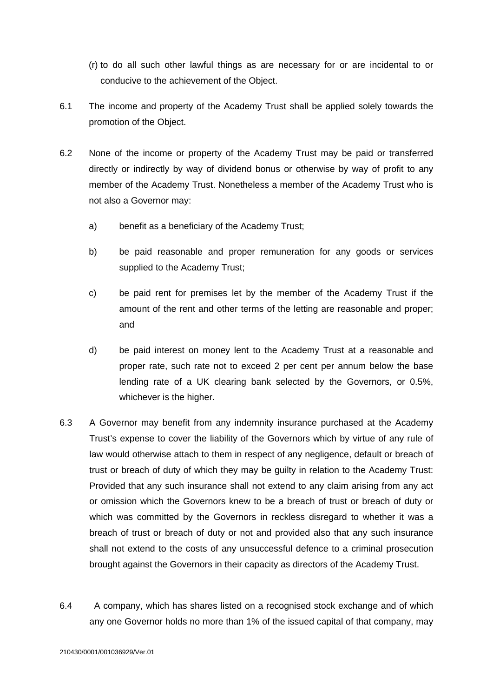- (r) to do all such other lawful things as are necessary for or are incidental to or conducive to the achievement of the Object.
- 6.1 The income and property of the Academy Trust shall be applied solely towards the promotion of the Object.
- 6.2 None of the income or property of the Academy Trust may be paid or transferred directly or indirectly by way of dividend bonus or otherwise by way of profit to any member of the Academy Trust. Nonetheless a member of the Academy Trust who is not also a Governor may:
	- a) benefit as a beneficiary of the Academy Trust;
	- b) be paid reasonable and proper remuneration for any goods or services supplied to the Academy Trust;
	- c) be paid rent for premises let by the member of the Academy Trust if the amount of the rent and other terms of the letting are reasonable and proper; and
	- d) be paid interest on money lent to the Academy Trust at a reasonable and proper rate, such rate not to exceed 2 per cent per annum below the base lending rate of a UK clearing bank selected by the Governors, or 0.5%, whichever is the higher.
- 6.3 A Governor may benefit from any indemnity insurance purchased at the Academy Trust's expense to cover the liability of the Governors which by virtue of any rule of law would otherwise attach to them in respect of any negligence, default or breach of trust or breach of duty of which they may be guilty in relation to the Academy Trust: Provided that any such insurance shall not extend to any claim arising from any act or omission which the Governors knew to be a breach of trust or breach of duty or which was committed by the Governors in reckless disregard to whether it was a breach of trust or breach of duty or not and provided also that any such insurance shall not extend to the costs of any unsuccessful defence to a criminal prosecution brought against the Governors in their capacity as directors of the Academy Trust.
- 6.4 A company, which has shares listed on a recognised stock exchange and of which any one Governor holds no more than 1% of the issued capital of that company, may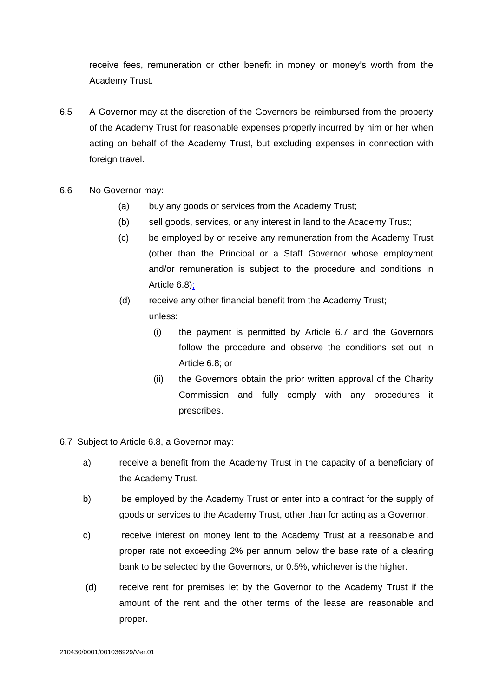receive fees, remuneration or other benefit in money or money's worth from the Academy Trust.

- 6.5 A Governor may at the discretion of the Governors be reimbursed from the property of the Academy Trust for reasonable expenses properly incurred by him or her when acting on behalf of the Academy Trust, but excluding expenses in connection with foreign travel.
- 6.6 No Governor may:
	- (a) buy any goods or services from the Academy Trust;
	- (b) sell goods, services, or any interest in land to the Academy Trust;
	- (c) be employed by or receive any remuneration from the Academy Trust (other than the Principal or a Staff Governor whose employment and/or remuneration is subject to the procedure and conditions in Article 6.8);

# (d) receive any other financial benefit from the Academy Trust; unless:

- (i) the payment is permitted by Article 6.7 and the Governors follow the procedure and observe the conditions set out in Article 6.8; or
- (ii) the Governors obtain the prior written approval of the Charity Commission and fully comply with any procedures it prescribes.
- 6.7 Subject to Article 6.8, a Governor may:
	- a) receive a benefit from the Academy Trust in the capacity of a beneficiary of the Academy Trust.
	- b) be employed by the Academy Trust or enter into a contract for the supply of goods or services to the Academy Trust, other than for acting as a Governor.
	- c) receive interest on money lent to the Academy Trust at a reasonable and proper rate not exceeding 2% per annum below the base rate of a clearing bank to be selected by the Governors, or 0.5%, whichever is the higher.
	- (d) receive rent for premises let by the Governor to the Academy Trust if the amount of the rent and the other terms of the lease are reasonable and proper.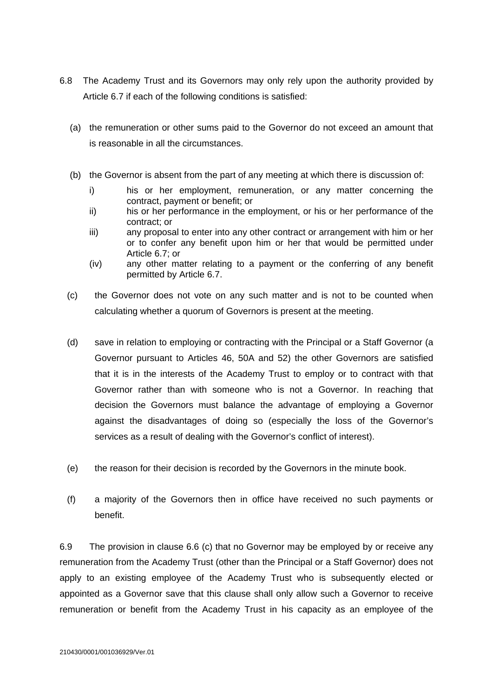- 6.8 The Academy Trust and its Governors may only rely upon the authority provided by Article 6.7 if each of the following conditions is satisfied:
	- (a) the remuneration or other sums paid to the Governor do not exceed an amount that is reasonable in all the circumstances.
	- (b) the Governor is absent from the part of any meeting at which there is discussion of:
		- i) his or her employment, remuneration, or any matter concerning the contract, payment or benefit; or
		- ii) his or her performance in the employment, or his or her performance of the contract; or
		- iii) any proposal to enter into any other contract or arrangement with him or her or to confer any benefit upon him or her that would be permitted under Article 6.7; or
		- (iv) any other matter relating to a payment or the conferring of any benefit permitted by Article 6.7.
	- (c) the Governor does not vote on any such matter and is not to be counted when calculating whether a quorum of Governors is present at the meeting.
	- (d) save in relation to employing or contracting with the Principal or a Staff Governor (a Governor pursuant to Articles 46, 50A and 52) the other Governors are satisfied that it is in the interests of the Academy Trust to employ or to contract with that Governor rather than with someone who is not a Governor. In reaching that decision the Governors must balance the advantage of employing a Governor against the disadvantages of doing so (especially the loss of the Governor's services as a result of dealing with the Governor's conflict of interest).
	- (e) the reason for their decision is recorded by the Governors in the minute book.
	- (f) a majority of the Governors then in office have received no such payments or benefit.

6.9 The provision in clause 6.6 (c) that no Governor may be employed by or receive any remuneration from the Academy Trust (other than the Principal or a Staff Governor) does not apply to an existing employee of the Academy Trust who is subsequently elected or appointed as a Governor save that this clause shall only allow such a Governor to receive remuneration or benefit from the Academy Trust in his capacity as an employee of the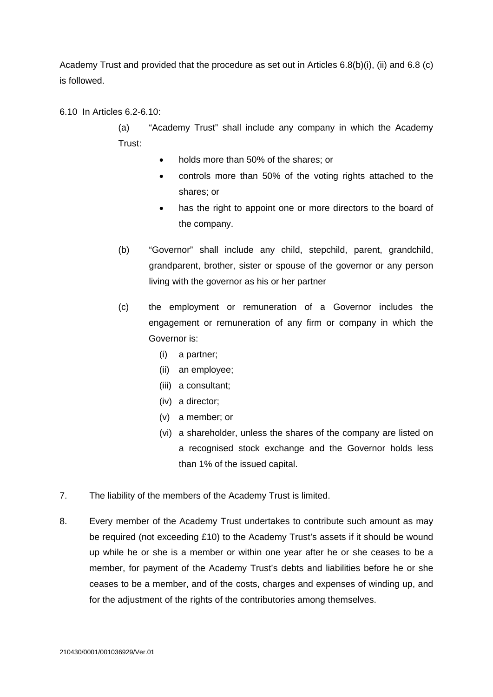Academy Trust and provided that the procedure as set out in Articles 6.8(b)(i), (ii) and 6.8 (c) is followed.

### 6.10 In Articles 6.2-6.10:

(a) "Academy Trust" shall include any company in which the Academy Trust:

- holds more than 50% of the shares; or
- controls more than 50% of the voting rights attached to the shares; or
- has the right to appoint one or more directors to the board of the company.
- (b) "Governor" shall include any child, stepchild, parent, grandchild, grandparent, brother, sister or spouse of the governor or any person living with the governor as his or her partner
- (c) the employment or remuneration of a Governor includes the engagement or remuneration of any firm or company in which the Governor is:
	- (i) a partner;
	- (ii) an employee;
	- (iii) a consultant;
	- (iv) a director;
	- (v) a member; or
	- (vi) a shareholder, unless the shares of the company are listed on a recognised stock exchange and the Governor holds less than 1% of the issued capital.
- 7. The liability of the members of the Academy Trust is limited.
- 8. Every member of the Academy Trust undertakes to contribute such amount as may be required (not exceeding £10) to the Academy Trust's assets if it should be wound up while he or she is a member or within one year after he or she ceases to be a member, for payment of the Academy Trust's debts and liabilities before he or she ceases to be a member, and of the costs, charges and expenses of winding up, and for the adjustment of the rights of the contributories among themselves.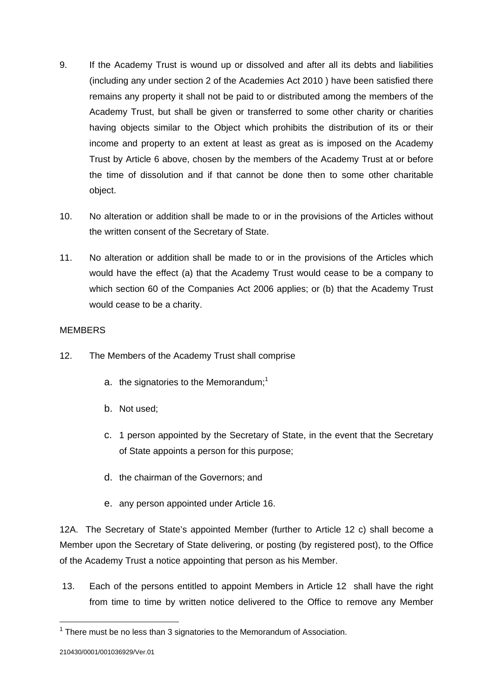- 9. If the Academy Trust is wound up or dissolved and after all its debts and liabilities (including any under section 2 of the Academies Act 2010 ) have been satisfied there remains any property it shall not be paid to or distributed among the members of the Academy Trust, but shall be given or transferred to some other charity or charities having objects similar to the Object which prohibits the distribution of its or their income and property to an extent at least as great as is imposed on the Academy Trust by Article 6 above, chosen by the members of the Academy Trust at or before the time of dissolution and if that cannot be done then to some other charitable object.
- 10. No alteration or addition shall be made to or in the provisions of the Articles without the written consent of the Secretary of State.
- 11. No alteration or addition shall be made to or in the provisions of the Articles which would have the effect (a) that the Academy Trust would cease to be a company to which section 60 of the Companies Act 2006 applies; or (b) that the Academy Trust would cease to be a charity.

### **MEMBERS**

- 12. The Members of the Academy Trust shall comprise
	- a. the signatories to the Memorandum;<sup>1</sup>
	- b. Not used;
	- c. 1 person appointed by the Secretary of State, in the event that the Secretary of State appoints a person for this purpose;
	- d. the chairman of the Governors; and
	- e. any person appointed under Article 16.

12A. The Secretary of State's appointed Member (further to Article 12 c) shall become a Member upon the Secretary of State delivering, or posting (by registered post), to the Office of the Academy Trust a notice appointing that person as his Member.

 13. Each of the persons entitled to appoint Members in Article 12 shall have the right from time to time by written notice delivered to the Office to remove any Member

1

 $1$  There must be no less than 3 signatories to the Memorandum of Association.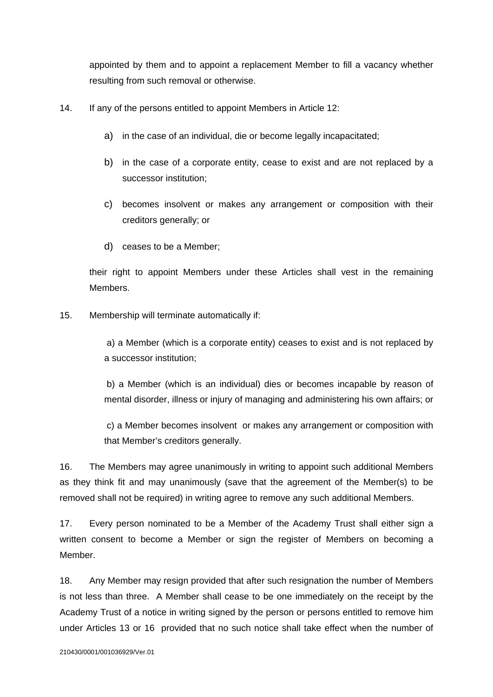appointed by them and to appoint a replacement Member to fill a vacancy whether resulting from such removal or otherwise.

- 14. If any of the persons entitled to appoint Members in Article 12:
	- a) in the case of an individual, die or become legally incapacitated;
	- b) in the case of a corporate entity, cease to exist and are not replaced by a successor institution;
	- c) becomes insolvent or makes any arrangement or composition with their creditors generally; or
	- d) ceases to be a Member;

their right to appoint Members under these Articles shall vest in the remaining Members.

15. Membership will terminate automatically if:

 a) a Member (which is a corporate entity) ceases to exist and is not replaced by a successor institution;

 b) a Member (which is an individual) dies or becomes incapable by reason of mental disorder, illness or injury of managing and administering his own affairs; or

 c) a Member becomes insolvent or makes any arrangement or composition with that Member's creditors generally.

16. The Members may agree unanimously in writing to appoint such additional Members as they think fit and may unanimously (save that the agreement of the Member(s) to be removed shall not be required) in writing agree to remove any such additional Members.

17. Every person nominated to be a Member of the Academy Trust shall either sign a written consent to become a Member or sign the register of Members on becoming a Member.

18. Any Member may resign provided that after such resignation the number of Members is not less than three. A Member shall cease to be one immediately on the receipt by the Academy Trust of a notice in writing signed by the person or persons entitled to remove him under Articles 13 or 16 provided that no such notice shall take effect when the number of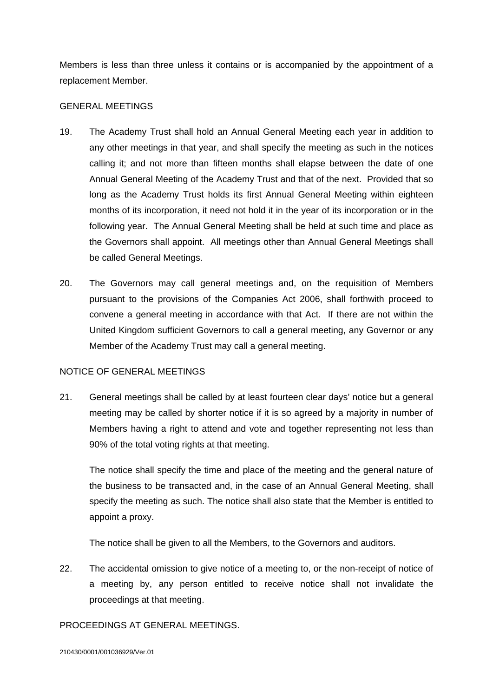Members is less than three unless it contains or is accompanied by the appointment of a replacement Member.

#### GENERAL MEETINGS

- 19. The Academy Trust shall hold an Annual General Meeting each year in addition to any other meetings in that year, and shall specify the meeting as such in the notices calling it; and not more than fifteen months shall elapse between the date of one Annual General Meeting of the Academy Trust and that of the next. Provided that so long as the Academy Trust holds its first Annual General Meeting within eighteen months of its incorporation, it need not hold it in the year of its incorporation or in the following year. The Annual General Meeting shall be held at such time and place as the Governors shall appoint. All meetings other than Annual General Meetings shall be called General Meetings.
- 20. The Governors may call general meetings and, on the requisition of Members pursuant to the provisions of the Companies Act 2006, shall forthwith proceed to convene a general meeting in accordance with that Act. If there are not within the United Kingdom sufficient Governors to call a general meeting, any Governor or any Member of the Academy Trust may call a general meeting.

### NOTICE OF GENERAL MEETINGS

21. General meetings shall be called by at least fourteen clear days' notice but a general meeting may be called by shorter notice if it is so agreed by a majority in number of Members having a right to attend and vote and together representing not less than 90% of the total voting rights at that meeting.

The notice shall specify the time and place of the meeting and the general nature of the business to be transacted and, in the case of an Annual General Meeting, shall specify the meeting as such. The notice shall also state that the Member is entitled to appoint a proxy.

The notice shall be given to all the Members, to the Governors and auditors.

22. The accidental omission to give notice of a meeting to, or the non-receipt of notice of a meeting by, any person entitled to receive notice shall not invalidate the proceedings at that meeting.

### PROCEEDINGS AT GENERAL MEETINGS.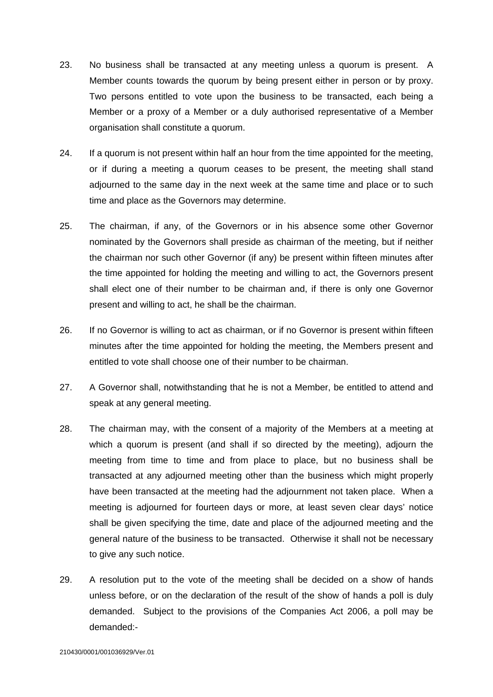- 23. No business shall be transacted at any meeting unless a quorum is present. A Member counts towards the quorum by being present either in person or by proxy. Two persons entitled to vote upon the business to be transacted, each being a Member or a proxy of a Member or a duly authorised representative of a Member organisation shall constitute a quorum.
- 24. If a quorum is not present within half an hour from the time appointed for the meeting, or if during a meeting a quorum ceases to be present, the meeting shall stand adjourned to the same day in the next week at the same time and place or to such time and place as the Governors may determine.
- 25. The chairman, if any, of the Governors or in his absence some other Governor nominated by the Governors shall preside as chairman of the meeting, but if neither the chairman nor such other Governor (if any) be present within fifteen minutes after the time appointed for holding the meeting and willing to act, the Governors present shall elect one of their number to be chairman and, if there is only one Governor present and willing to act, he shall be the chairman.
- 26. If no Governor is willing to act as chairman, or if no Governor is present within fifteen minutes after the time appointed for holding the meeting, the Members present and entitled to vote shall choose one of their number to be chairman.
- 27. A Governor shall, notwithstanding that he is not a Member, be entitled to attend and speak at any general meeting.
- 28. The chairman may, with the consent of a majority of the Members at a meeting at which a quorum is present (and shall if so directed by the meeting), adjourn the meeting from time to time and from place to place, but no business shall be transacted at any adjourned meeting other than the business which might properly have been transacted at the meeting had the adjournment not taken place. When a meeting is adjourned for fourteen days or more, at least seven clear days' notice shall be given specifying the time, date and place of the adjourned meeting and the general nature of the business to be transacted. Otherwise it shall not be necessary to give any such notice.
- 29. A resolution put to the vote of the meeting shall be decided on a show of hands unless before, or on the declaration of the result of the show of hands a poll is duly demanded. Subject to the provisions of the Companies Act 2006, a poll may be demanded:-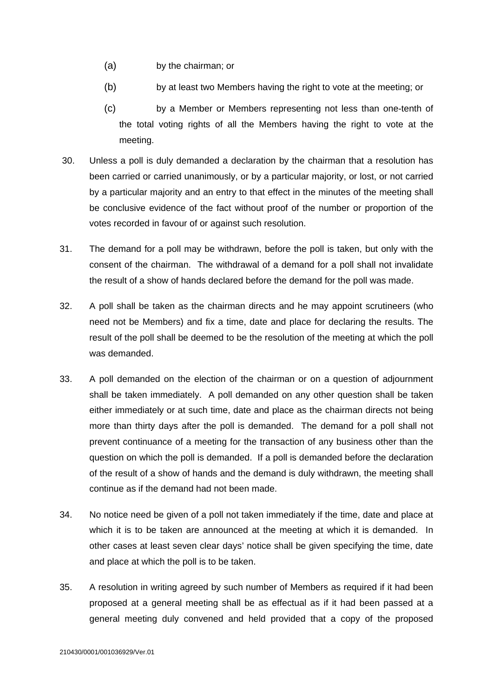- (a) by the chairman; or
- (b) by at least two Members having the right to vote at the meeting; or
- (c) by a Member or Members representing not less than one-tenth of the total voting rights of all the Members having the right to vote at the meeting.
- 30. Unless a poll is duly demanded a declaration by the chairman that a resolution has been carried or carried unanimously, or by a particular majority, or lost, or not carried by a particular majority and an entry to that effect in the minutes of the meeting shall be conclusive evidence of the fact without proof of the number or proportion of the votes recorded in favour of or against such resolution.
- 31. The demand for a poll may be withdrawn, before the poll is taken, but only with the consent of the chairman. The withdrawal of a demand for a poll shall not invalidate the result of a show of hands declared before the demand for the poll was made.
- 32. A poll shall be taken as the chairman directs and he may appoint scrutineers (who need not be Members) and fix a time, date and place for declaring the results. The result of the poll shall be deemed to be the resolution of the meeting at which the poll was demanded.
- 33. A poll demanded on the election of the chairman or on a question of adjournment shall be taken immediately. A poll demanded on any other question shall be taken either immediately or at such time, date and place as the chairman directs not being more than thirty days after the poll is demanded. The demand for a poll shall not prevent continuance of a meeting for the transaction of any business other than the question on which the poll is demanded. If a poll is demanded before the declaration of the result of a show of hands and the demand is duly withdrawn, the meeting shall continue as if the demand had not been made.
- 34. No notice need be given of a poll not taken immediately if the time, date and place at which it is to be taken are announced at the meeting at which it is demanded. In other cases at least seven clear days' notice shall be given specifying the time, date and place at which the poll is to be taken.
- 35. A resolution in writing agreed by such number of Members as required if it had been proposed at a general meeting shall be as effectual as if it had been passed at a general meeting duly convened and held provided that a copy of the proposed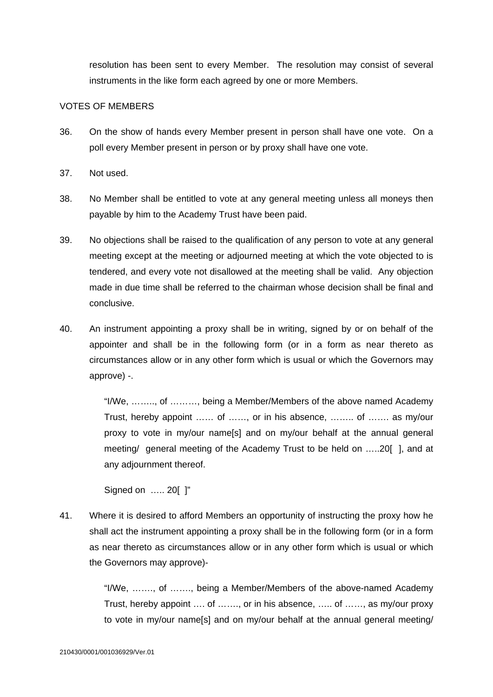resolution has been sent to every Member. The resolution may consist of several instruments in the like form each agreed by one or more Members.

#### VOTES OF MEMBERS

- 36. On the show of hands every Member present in person shall have one vote. On a poll every Member present in person or by proxy shall have one vote.
- 37. Not used.
- 38. No Member shall be entitled to vote at any general meeting unless all moneys then payable by him to the Academy Trust have been paid.
- 39. No objections shall be raised to the qualification of any person to vote at any general meeting except at the meeting or adjourned meeting at which the vote objected to is tendered, and every vote not disallowed at the meeting shall be valid. Any objection made in due time shall be referred to the chairman whose decision shall be final and conclusive.
- 40. An instrument appointing a proxy shall be in writing, signed by or on behalf of the appointer and shall be in the following form (or in a form as near thereto as circumstances allow or in any other form which is usual or which the Governors may approve) -.

"I/We, …….., of ………, being a Member/Members of the above named Academy Trust, hereby appoint …… of ……, or in his absence, …….. of ……. as my/our proxy to vote in my/our name[s] and on my/our behalf at the annual general meeting/ general meeting of the Academy Trust to be held on …..20[ ], and at any adjournment thereof.

Signed on ….. 20[ ]"

41. Where it is desired to afford Members an opportunity of instructing the proxy how he shall act the instrument appointing a proxy shall be in the following form (or in a form as near thereto as circumstances allow or in any other form which is usual or which the Governors may approve)-

> "I/We, ……., of ……., being a Member/Members of the above-named Academy Trust, hereby appoint …. of ……., or in his absence, ….. of ……, as my/our proxy to vote in my/our name[s] and on my/our behalf at the annual general meeting/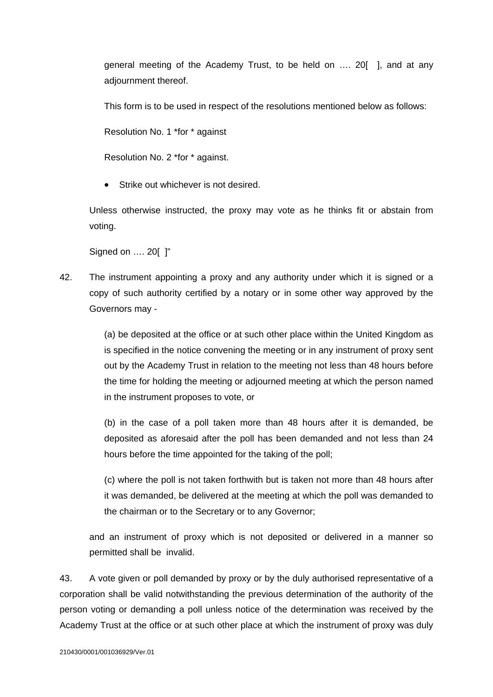general meeting of the Academy Trust, to be held on …. 20[ ], and at any adjournment thereof.

This form is to be used in respect of the resolutions mentioned below as follows:

Resolution No. 1 \*for \* against

Resolution No. 2 \*for \* against.

Strike out whichever is not desired.

Unless otherwise instructed, the proxy may vote as he thinks fit or abstain from voting.

Signed on …. 20[ ]"

42. The instrument appointing a proxy and any authority under which it is signed or a copy of such authority certified by a notary or in some other way approved by the Governors may -

> (a) be deposited at the office or at such other place within the United Kingdom as is specified in the notice convening the meeting or in any instrument of proxy sent out by the Academy Trust in relation to the meeting not less than 48 hours before the time for holding the meeting or adjourned meeting at which the person named in the instrument proposes to vote, or

> (b) in the case of a poll taken more than 48 hours after it is demanded, be deposited as aforesaid after the poll has been demanded and not less than 24 hours before the time appointed for the taking of the poll;

> (c) where the poll is not taken forthwith but is taken not more than 48 hours after it was demanded, be delivered at the meeting at which the poll was demanded to the chairman or to the Secretary or to any Governor;

and an instrument of proxy which is not deposited or delivered in a manner so permitted shall be invalid.

43. A vote given or poll demanded by proxy or by the duly authorised representative of a corporation shall be valid notwithstanding the previous determination of the authority of the person voting or demanding a poll unless notice of the determination was received by the Academy Trust at the office or at such other place at which the instrument of proxy was duly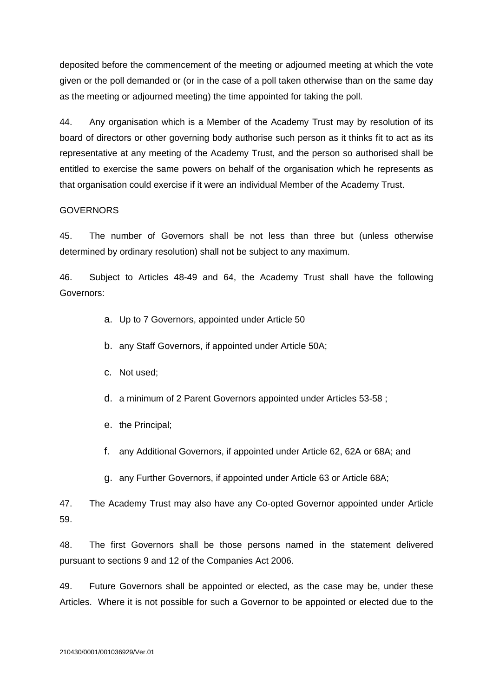deposited before the commencement of the meeting or adjourned meeting at which the vote given or the poll demanded or (or in the case of a poll taken otherwise than on the same day as the meeting or adjourned meeting) the time appointed for taking the poll.

44. Any organisation which is a Member of the Academy Trust may by resolution of its board of directors or other governing body authorise such person as it thinks fit to act as its representative at any meeting of the Academy Trust, and the person so authorised shall be entitled to exercise the same powers on behalf of the organisation which he represents as that organisation could exercise if it were an individual Member of the Academy Trust.

### GOVERNORS

45. The number of Governors shall be not less than three but (unless otherwise determined by ordinary resolution) shall not be subject to any maximum.

46. Subject to Articles 48-49 and 64, the Academy Trust shall have the following Governors:

- a. Up to 7 Governors, appointed under Article 50
- b. any Staff Governors, if appointed under Article 50A;
- c. Not used;
- d. a minimum of 2 Parent Governors appointed under Articles 53-58 ;
- e. the Principal;
- f. any Additional Governors, if appointed under Article 62, 62A or 68A; and
- g. any Further Governors, if appointed under Article 63 or Article 68A;

47. The Academy Trust may also have any Co-opted Governor appointed under Article 59.

48. The first Governors shall be those persons named in the statement delivered pursuant to sections 9 and 12 of the Companies Act 2006.

49. Future Governors shall be appointed or elected, as the case may be, under these Articles. Where it is not possible for such a Governor to be appointed or elected due to the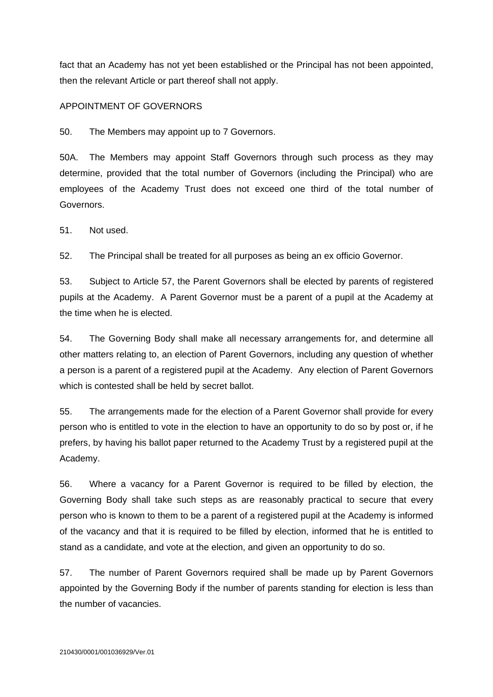fact that an Academy has not yet been established or the Principal has not been appointed, then the relevant Article or part thereof shall not apply.

### APPOINTMENT OF GOVERNORS

50. The Members may appoint up to 7 Governors.

50A. The Members may appoint Staff Governors through such process as they may determine, provided that the total number of Governors (including the Principal) who are employees of the Academy Trust does not exceed one third of the total number of Governors.

51. Not used.

52. The Principal shall be treated for all purposes as being an ex officio Governor.

53. Subject to Article 57, the Parent Governors shall be elected by parents of registered pupils at the Academy. A Parent Governor must be a parent of a pupil at the Academy at the time when he is elected.

54. The Governing Body shall make all necessary arrangements for, and determine all other matters relating to, an election of Parent Governors, including any question of whether a person is a parent of a registered pupil at the Academy. Any election of Parent Governors which is contested shall be held by secret ballot.

55. The arrangements made for the election of a Parent Governor shall provide for every person who is entitled to vote in the election to have an opportunity to do so by post or, if he prefers, by having his ballot paper returned to the Academy Trust by a registered pupil at the Academy.

56. Where a vacancy for a Parent Governor is required to be filled by election, the Governing Body shall take such steps as are reasonably practical to secure that every person who is known to them to be a parent of a registered pupil at the Academy is informed of the vacancy and that it is required to be filled by election, informed that he is entitled to stand as a candidate, and vote at the election, and given an opportunity to do so.

57. The number of Parent Governors required shall be made up by Parent Governors appointed by the Governing Body if the number of parents standing for election is less than the number of vacancies.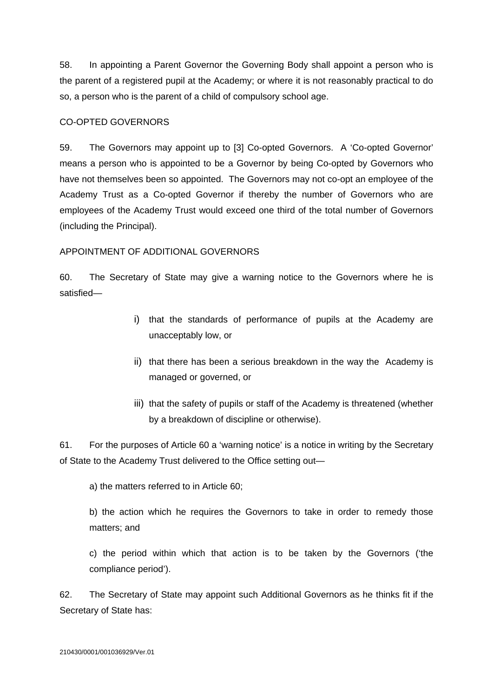58. In appointing a Parent Governor the Governing Body shall appoint a person who is the parent of a registered pupil at the Academy; or where it is not reasonably practical to do so, a person who is the parent of a child of compulsory school age.

### CO-OPTED GOVERNORS

59. The Governors may appoint up to [3] Co-opted Governors. A 'Co-opted Governor' means a person who is appointed to be a Governor by being Co-opted by Governors who have not themselves been so appointed. The Governors may not co-opt an employee of the Academy Trust as a Co-opted Governor if thereby the number of Governors who are employees of the Academy Trust would exceed one third of the total number of Governors (including the Principal).

### APPOINTMENT OF ADDITIONAL GOVERNORS

60. The Secretary of State may give a warning notice to the Governors where he is satisfied—

- i) that the standards of performance of pupils at the Academy are unacceptably low, or
- ii) that there has been a serious breakdown in the way the Academy is managed or governed, or
- iii) that the safety of pupils or staff of the Academy is threatened (whether by a breakdown of discipline or otherwise).

61. For the purposes of Article 60 a 'warning notice' is a notice in writing by the Secretary of State to the Academy Trust delivered to the Office setting out—

a) the matters referred to in Article 60;

b) the action which he requires the Governors to take in order to remedy those matters; and

c) the period within which that action is to be taken by the Governors ('the compliance period').

62. The Secretary of State may appoint such Additional Governors as he thinks fit if the Secretary of State has: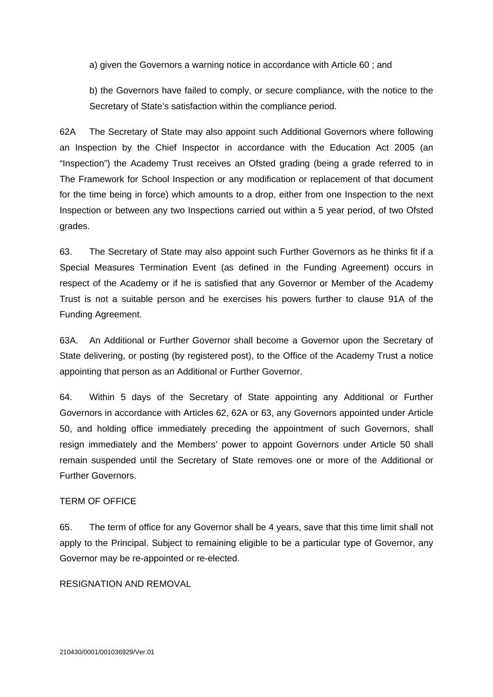a) given the Governors a warning notice in accordance with Article 60 ; and

b) the Governors have failed to comply, or secure compliance, with the notice to the Secretary of State's satisfaction within the compliance period.

62A The Secretary of State may also appoint such Additional Governors where following an Inspection by the Chief Inspector in accordance with the Education Act 2005 (an "Inspection") the Academy Trust receives an Ofsted grading (being a grade referred to in The Framework for School Inspection or any modification or replacement of that document for the time being in force) which amounts to a drop, either from one Inspection to the next Inspection or between any two Inspections carried out within a 5 year period, of two Ofsted grades.

63. The Secretary of State may also appoint such Further Governors as he thinks fit if a Special Measures Termination Event (as defined in the Funding Agreement) occurs in respect of the Academy or if he is satisfied that any Governor or Member of the Academy Trust is not a suitable person and he exercises his powers further to clause 91A of the Funding Agreement.

63A. An Additional or Further Governor shall become a Governor upon the Secretary of State delivering, or posting (by registered post), to the Office of the Academy Trust a notice appointing that person as an Additional or Further Governor.

64. Within 5 days of the Secretary of State appointing any Additional or Further Governors in accordance with Articles 62, 62A or 63, any Governors appointed under Article 50, and holding office immediately preceding the appointment of such Governors, shall resign immediately and the Members' power to appoint Governors under Article 50 shall remain suspended until the Secretary of State removes one or more of the Additional or Further Governors.

### TERM OF OFFICE

65. The term of office for any Governor shall be 4 years, save that this time limit shall not apply to the Principal. Subject to remaining eligible to be a particular type of Governor, any Governor may be re-appointed or re-elected.

RESIGNATION AND REMOVAL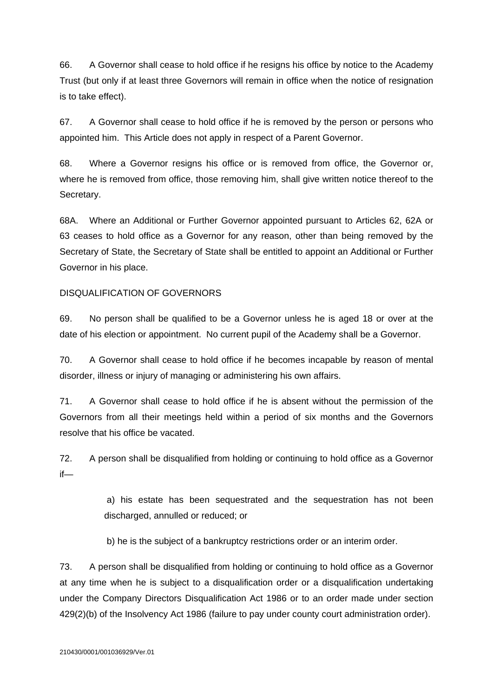66. A Governor shall cease to hold office if he resigns his office by notice to the Academy Trust (but only if at least three Governors will remain in office when the notice of resignation is to take effect).

67. A Governor shall cease to hold office if he is removed by the person or persons who appointed him. This Article does not apply in respect of a Parent Governor.

68. Where a Governor resigns his office or is removed from office, the Governor or, where he is removed from office, those removing him, shall give written notice thereof to the Secretary.

68A. Where an Additional or Further Governor appointed pursuant to Articles 62, 62A or 63 ceases to hold office as a Governor for any reason, other than being removed by the Secretary of State, the Secretary of State shall be entitled to appoint an Additional or Further Governor in his place.

### DISQUALIFICATION OF GOVERNORS

69. No person shall be qualified to be a Governor unless he is aged 18 or over at the date of his election or appointment. No current pupil of the Academy shall be a Governor.

70. A Governor shall cease to hold office if he becomes incapable by reason of mental disorder, illness or injury of managing or administering his own affairs.

71. A Governor shall cease to hold office if he is absent without the permission of the Governors from all their meetings held within a period of six months and the Governors resolve that his office be vacated.

72. A person shall be disqualified from holding or continuing to hold office as a Governor if—

> a) his estate has been sequestrated and the sequestration has not been discharged, annulled or reduced; or

b) he is the subject of a bankruptcy restrictions order or an interim order.

73. A person shall be disqualified from holding or continuing to hold office as a Governor at any time when he is subject to a disqualification order or a disqualification undertaking under the Company Directors Disqualification Act 1986 or to an order made under section 429(2)(b) of the Insolvency Act 1986 (failure to pay under county court administration order).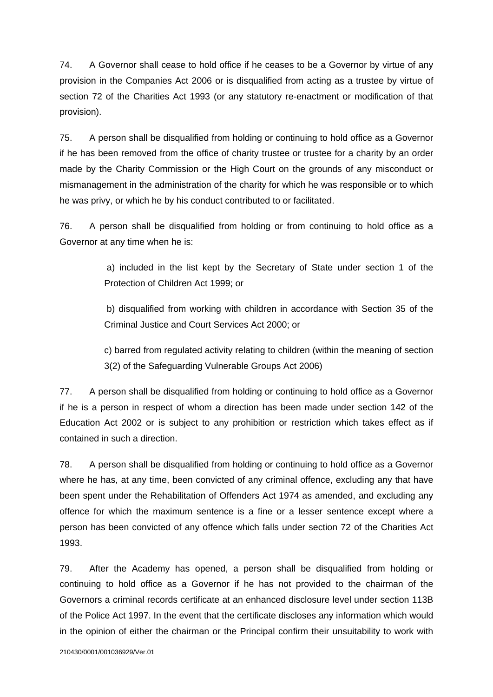74. A Governor shall cease to hold office if he ceases to be a Governor by virtue of any provision in the Companies Act 2006 or is disqualified from acting as a trustee by virtue of section 72 of the Charities Act 1993 (or any statutory re-enactment or modification of that provision).

75. A person shall be disqualified from holding or continuing to hold office as a Governor if he has been removed from the office of charity trustee or trustee for a charity by an order made by the Charity Commission or the High Court on the grounds of any misconduct or mismanagement in the administration of the charity for which he was responsible or to which he was privy, or which he by his conduct contributed to or facilitated.

76. A person shall be disqualified from holding or from continuing to hold office as a Governor at any time when he is:

> a) included in the list kept by the Secretary of State under section 1 of the Protection of Children Act 1999; or

> b) disqualified from working with children in accordance with Section 35 of the Criminal Justice and Court Services Act 2000; or

> c) barred from regulated activity relating to children (within the meaning of section 3(2) of the Safeguarding Vulnerable Groups Act 2006)

77. A person shall be disqualified from holding or continuing to hold office as a Governor if he is a person in respect of whom a direction has been made under section 142 of the Education Act 2002 or is subject to any prohibition or restriction which takes effect as if contained in such a direction.

78. A person shall be disqualified from holding or continuing to hold office as a Governor where he has, at any time, been convicted of any criminal offence, excluding any that have been spent under the Rehabilitation of Offenders Act 1974 as amended, and excluding any offence for which the maximum sentence is a fine or a lesser sentence except where a person has been convicted of any offence which falls under section 72 of the Charities Act 1993.

79. After the Academy has opened, a person shall be disqualified from holding or continuing to hold office as a Governor if he has not provided to the chairman of the Governors a criminal records certificate at an enhanced disclosure level under section 113B of the Police Act 1997. In the event that the certificate discloses any information which would in the opinion of either the chairman or the Principal confirm their unsuitability to work with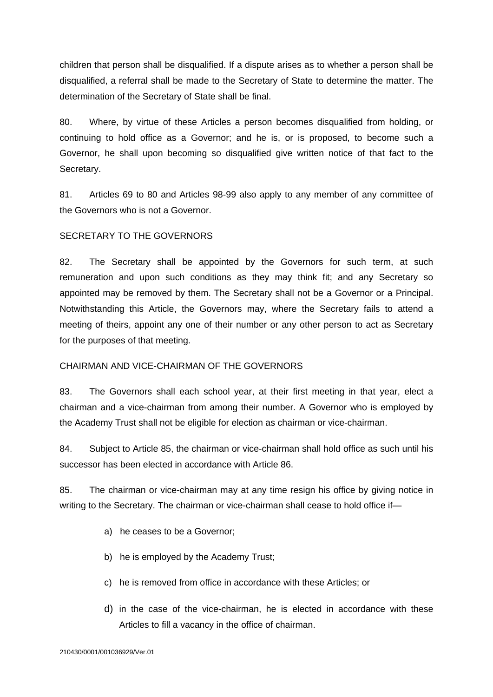children that person shall be disqualified. If a dispute arises as to whether a person shall be disqualified, a referral shall be made to the Secretary of State to determine the matter. The determination of the Secretary of State shall be final.

80. Where, by virtue of these Articles a person becomes disqualified from holding, or continuing to hold office as a Governor; and he is, or is proposed, to become such a Governor, he shall upon becoming so disqualified give written notice of that fact to the Secretary.

81. Articles 69 to 80 and Articles 98-99 also apply to any member of any committee of the Governors who is not a Governor.

#### SECRETARY TO THE GOVERNORS

82. The Secretary shall be appointed by the Governors for such term, at such remuneration and upon such conditions as they may think fit; and any Secretary so appointed may be removed by them. The Secretary shall not be a Governor or a Principal. Notwithstanding this Article, the Governors may, where the Secretary fails to attend a meeting of theirs, appoint any one of their number or any other person to act as Secretary for the purposes of that meeting.

#### CHAIRMAN AND VICE-CHAIRMAN OF THE GOVERNORS

83. The Governors shall each school year, at their first meeting in that year, elect a chairman and a vice-chairman from among their number. A Governor who is employed by the Academy Trust shall not be eligible for election as chairman or vice-chairman.

84. Subject to Article 85, the chairman or vice-chairman shall hold office as such until his successor has been elected in accordance with Article 86.

85. The chairman or vice-chairman may at any time resign his office by giving notice in writing to the Secretary. The chairman or vice-chairman shall cease to hold office if—

- a) he ceases to be a Governor;
- b) he is employed by the Academy Trust;
- c) he is removed from office in accordance with these Articles; or
- d) in the case of the vice-chairman, he is elected in accordance with these Articles to fill a vacancy in the office of chairman.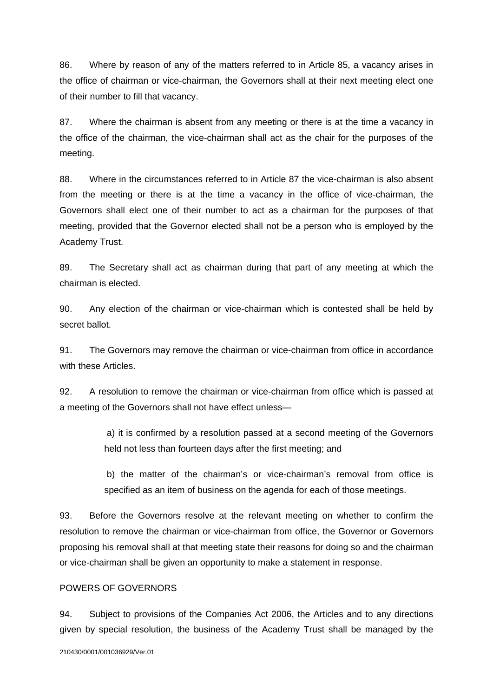86. Where by reason of any of the matters referred to in Article 85, a vacancy arises in the office of chairman or vice-chairman, the Governors shall at their next meeting elect one of their number to fill that vacancy.

87. Where the chairman is absent from any meeting or there is at the time a vacancy in the office of the chairman, the vice-chairman shall act as the chair for the purposes of the meeting.

88. Where in the circumstances referred to in Article 87 the vice-chairman is also absent from the meeting or there is at the time a vacancy in the office of vice-chairman, the Governors shall elect one of their number to act as a chairman for the purposes of that meeting, provided that the Governor elected shall not be a person who is employed by the Academy Trust.

89. The Secretary shall act as chairman during that part of any meeting at which the chairman is elected.

90. Any election of the chairman or vice-chairman which is contested shall be held by secret ballot.

91. The Governors may remove the chairman or vice-chairman from office in accordance with these Articles.

92. A resolution to remove the chairman or vice-chairman from office which is passed at a meeting of the Governors shall not have effect unless—

> a) it is confirmed by a resolution passed at a second meeting of the Governors held not less than fourteen days after the first meeting; and

> b) the matter of the chairman's or vice-chairman's removal from office is specified as an item of business on the agenda for each of those meetings.

93. Before the Governors resolve at the relevant meeting on whether to confirm the resolution to remove the chairman or vice-chairman from office, the Governor or Governors proposing his removal shall at that meeting state their reasons for doing so and the chairman or vice-chairman shall be given an opportunity to make a statement in response.

#### POWERS OF GOVERNORS

94. Subject to provisions of the Companies Act 2006, the Articles and to any directions given by special resolution, the business of the Academy Trust shall be managed by the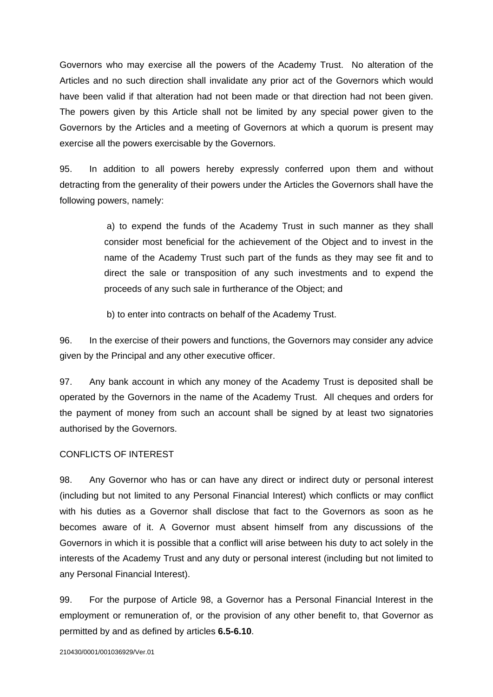Governors who may exercise all the powers of the Academy Trust. No alteration of the Articles and no such direction shall invalidate any prior act of the Governors which would have been valid if that alteration had not been made or that direction had not been given. The powers given by this Article shall not be limited by any special power given to the Governors by the Articles and a meeting of Governors at which a quorum is present may exercise all the powers exercisable by the Governors.

95. In addition to all powers hereby expressly conferred upon them and without detracting from the generality of their powers under the Articles the Governors shall have the following powers, namely:

> a) to expend the funds of the Academy Trust in such manner as they shall consider most beneficial for the achievement of the Object and to invest in the name of the Academy Trust such part of the funds as they may see fit and to direct the sale or transposition of any such investments and to expend the proceeds of any such sale in furtherance of the Object; and

b) to enter into contracts on behalf of the Academy Trust.

96. In the exercise of their powers and functions, the Governors may consider any advice given by the Principal and any other executive officer.

97. Any bank account in which any money of the Academy Trust is deposited shall be operated by the Governors in the name of the Academy Trust. All cheques and orders for the payment of money from such an account shall be signed by at least two signatories authorised by the Governors.

#### CONFLICTS OF INTEREST

98. Any Governor who has or can have any direct or indirect duty or personal interest (including but not limited to any Personal Financial Interest) which conflicts or may conflict with his duties as a Governor shall disclose that fact to the Governors as soon as he becomes aware of it. A Governor must absent himself from any discussions of the Governors in which it is possible that a conflict will arise between his duty to act solely in the interests of the Academy Trust and any duty or personal interest (including but not limited to any Personal Financial Interest).

99. For the purpose of Article 98, a Governor has a Personal Financial Interest in the employment or remuneration of, or the provision of any other benefit to, that Governor as permitted by and as defined by articles **6.5-6.10**.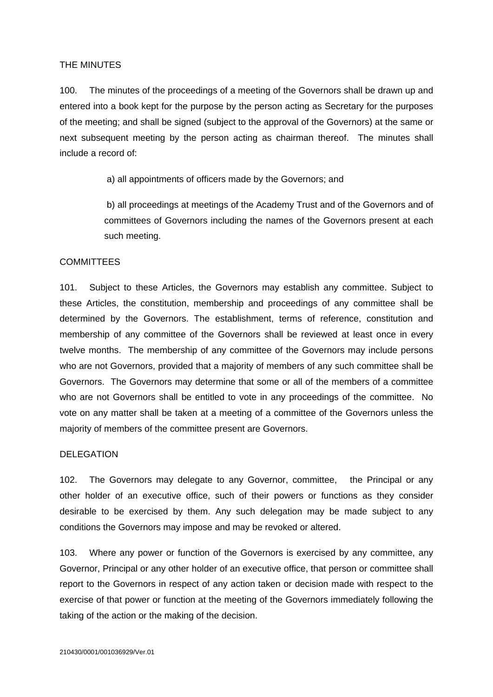#### THE MINUTES

100. The minutes of the proceedings of a meeting of the Governors shall be drawn up and entered into a book kept for the purpose by the person acting as Secretary for the purposes of the meeting; and shall be signed (subject to the approval of the Governors) at the same or next subsequent meeting by the person acting as chairman thereof. The minutes shall include a record of:

a) all appointments of officers made by the Governors; and

 b) all proceedings at meetings of the Academy Trust and of the Governors and of committees of Governors including the names of the Governors present at each such meeting.

#### **COMMITTEES**

101. Subject to these Articles, the Governors may establish any committee. Subject to these Articles, the constitution, membership and proceedings of any committee shall be determined by the Governors. The establishment, terms of reference, constitution and membership of any committee of the Governors shall be reviewed at least once in every twelve months. The membership of any committee of the Governors may include persons who are not Governors, provided that a majority of members of any such committee shall be Governors. The Governors may determine that some or all of the members of a committee who are not Governors shall be entitled to vote in any proceedings of the committee. No vote on any matter shall be taken at a meeting of a committee of the Governors unless the majority of members of the committee present are Governors.

#### DELEGATION

102. The Governors may delegate to any Governor, committee, the Principal or any other holder of an executive office, such of their powers or functions as they consider desirable to be exercised by them. Any such delegation may be made subject to any conditions the Governors may impose and may be revoked or altered.

103. Where any power or function of the Governors is exercised by any committee, any Governor, Principal or any other holder of an executive office, that person or committee shall report to the Governors in respect of any action taken or decision made with respect to the exercise of that power or function at the meeting of the Governors immediately following the taking of the action or the making of the decision.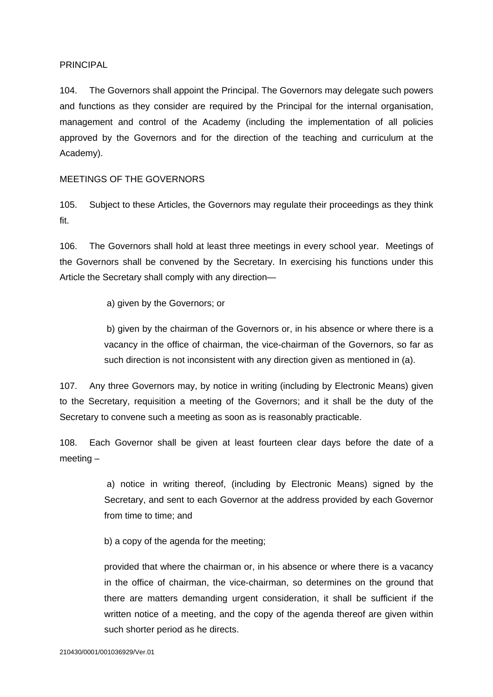#### PRINCIPAL

104. The Governors shall appoint the Principal. The Governors may delegate such powers and functions as they consider are required by the Principal for the internal organisation, management and control of the Academy (including the implementation of all policies approved by the Governors and for the direction of the teaching and curriculum at the Academy).

#### MEETINGS OF THE GOVERNORS

105. Subject to these Articles, the Governors may regulate their proceedings as they think fit.

106. The Governors shall hold at least three meetings in every school year. Meetings of the Governors shall be convened by the Secretary. In exercising his functions under this Article the Secretary shall comply with any direction—

a) given by the Governors; or

 b) given by the chairman of the Governors or, in his absence or where there is a vacancy in the office of chairman, the vice-chairman of the Governors, so far as such direction is not inconsistent with any direction given as mentioned in (a).

107. Any three Governors may, by notice in writing (including by Electronic Means) given to the Secretary, requisition a meeting of the Governors; and it shall be the duty of the Secretary to convene such a meeting as soon as is reasonably practicable.

108. Each Governor shall be given at least fourteen clear days before the date of a meeting –

> a) notice in writing thereof, (including by Electronic Means) signed by the Secretary, and sent to each Governor at the address provided by each Governor from time to time; and

b) a copy of the agenda for the meeting;

provided that where the chairman or, in his absence or where there is a vacancy in the office of chairman, the vice-chairman, so determines on the ground that there are matters demanding urgent consideration, it shall be sufficient if the written notice of a meeting, and the copy of the agenda thereof are given within such shorter period as he directs.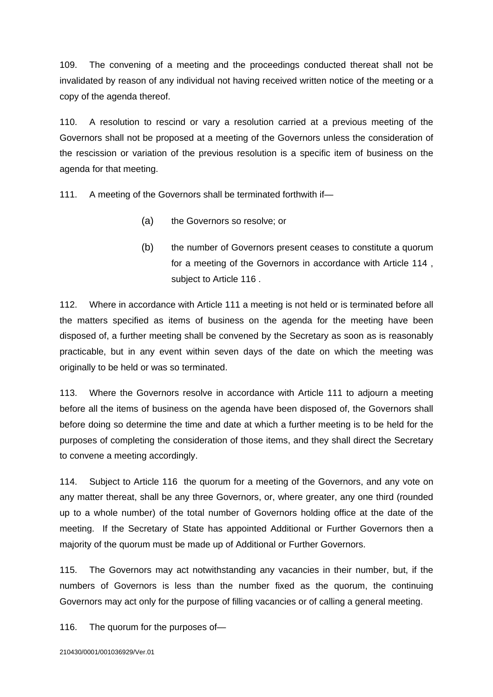109. The convening of a meeting and the proceedings conducted thereat shall not be invalidated by reason of any individual not having received written notice of the meeting or a copy of the agenda thereof.

110. A resolution to rescind or vary a resolution carried at a previous meeting of the Governors shall not be proposed at a meeting of the Governors unless the consideration of the rescission or variation of the previous resolution is a specific item of business on the agenda for that meeting.

111. A meeting of the Governors shall be terminated forthwith if-

- (a) the Governors so resolve; or
- (b) the number of Governors present ceases to constitute a quorum for a meeting of the Governors in accordance with Article 114 , subject to Article 116 .

112. Where in accordance with Article 111 a meeting is not held or is terminated before all the matters specified as items of business on the agenda for the meeting have been disposed of, a further meeting shall be convened by the Secretary as soon as is reasonably practicable, but in any event within seven days of the date on which the meeting was originally to be held or was so terminated.

113. Where the Governors resolve in accordance with Article 111 to adjourn a meeting before all the items of business on the agenda have been disposed of, the Governors shall before doing so determine the time and date at which a further meeting is to be held for the purposes of completing the consideration of those items, and they shall direct the Secretary to convene a meeting accordingly.

114. Subject to Article 116 the quorum for a meeting of the Governors, and any vote on any matter thereat, shall be any three Governors, or, where greater, any one third (rounded up to a whole number) of the total number of Governors holding office at the date of the meeting. If the Secretary of State has appointed Additional or Further Governors then a majority of the quorum must be made up of Additional or Further Governors.

115. The Governors may act notwithstanding any vacancies in their number, but, if the numbers of Governors is less than the number fixed as the quorum, the continuing Governors may act only for the purpose of filling vacancies or of calling a general meeting.

116. The quorum for the purposes of—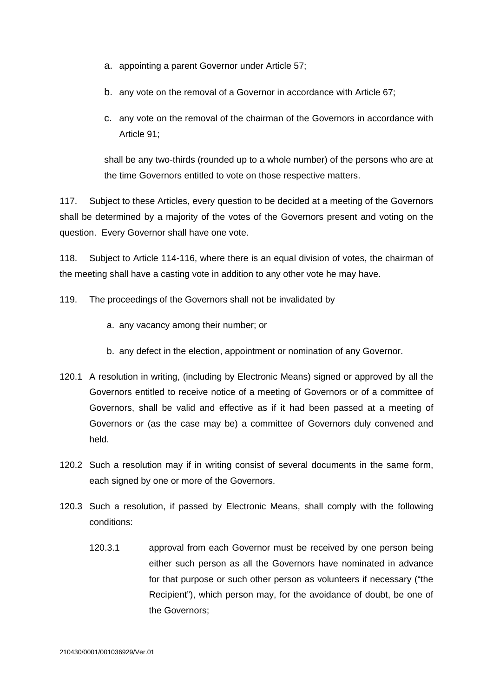- a. appointing a parent Governor under Article 57;
- b. any vote on the removal of a Governor in accordance with Article 67;
- c. any vote on the removal of the chairman of the Governors in accordance with Article 91;

shall be any two-thirds (rounded up to a whole number) of the persons who are at the time Governors entitled to vote on those respective matters.

117. Subject to these Articles, every question to be decided at a meeting of the Governors shall be determined by a majority of the votes of the Governors present and voting on the question. Every Governor shall have one vote.

118. Subject to Article 114-116, where there is an equal division of votes, the chairman of the meeting shall have a casting vote in addition to any other vote he may have.

- 119. The proceedings of the Governors shall not be invalidated by
	- a. any vacancy among their number; or
	- b. any defect in the election, appointment or nomination of any Governor.
- 120.1 A resolution in writing, (including by Electronic Means) signed or approved by all the Governors entitled to receive notice of a meeting of Governors or of a committee of Governors, shall be valid and effective as if it had been passed at a meeting of Governors or (as the case may be) a committee of Governors duly convened and held.
- 120.2 Such a resolution may if in writing consist of several documents in the same form, each signed by one or more of the Governors.
- 120.3 Such a resolution, if passed by Electronic Means, shall comply with the following conditions:
	- 120.3.1 approval from each Governor must be received by one person being either such person as all the Governors have nominated in advance for that purpose or such other person as volunteers if necessary ("the Recipient"), which person may, for the avoidance of doubt, be one of the Governors;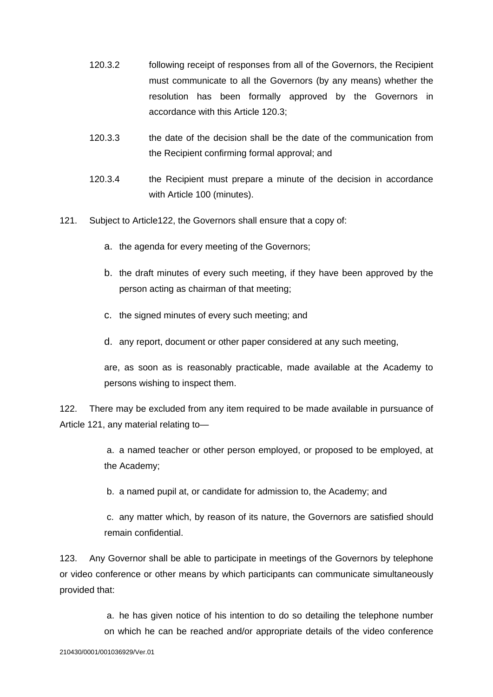- 120.3.2 following receipt of responses from all of the Governors, the Recipient must communicate to all the Governors (by any means) whether the resolution has been formally approved by the Governors in accordance with this Article 120.3;
- 120.3.3 the date of the decision shall be the date of the communication from the Recipient confirming formal approval; and
- 120.3.4 the Recipient must prepare a minute of the decision in accordance with Article 100 (minutes).
- 121. Subject to Article122, the Governors shall ensure that a copy of:
	- a. the agenda for every meeting of the Governors;
	- b. the draft minutes of every such meeting, if they have been approved by the person acting as chairman of that meeting;
	- c. the signed minutes of every such meeting; and
	- d. any report, document or other paper considered at any such meeting,

are, as soon as is reasonably practicable, made available at the Academy to persons wishing to inspect them.

122. There may be excluded from any item required to be made available in pursuance of Article 121, any material relating to—

> a. a named teacher or other person employed, or proposed to be employed, at the Academy;

b. a named pupil at, or candidate for admission to, the Academy; and

 c. any matter which, by reason of its nature, the Governors are satisfied should remain confidential.

123. Any Governor shall be able to participate in meetings of the Governors by telephone or video conference or other means by which participants can communicate simultaneously provided that:

> a. he has given notice of his intention to do so detailing the telephone number on which he can be reached and/or appropriate details of the video conference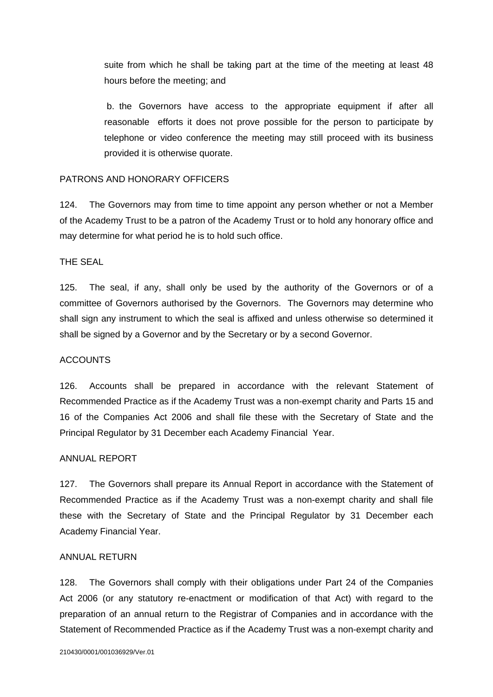suite from which he shall be taking part at the time of the meeting at least 48 hours before the meeting; and

 b. the Governors have access to the appropriate equipment if after all reasonable efforts it does not prove possible for the person to participate by telephone or video conference the meeting may still proceed with its business provided it is otherwise quorate.

#### PATRONS AND HONORARY OFFICERS

124. The Governors may from time to time appoint any person whether or not a Member of the Academy Trust to be a patron of the Academy Trust or to hold any honorary office and may determine for what period he is to hold such office.

#### THE SEAL

125. The seal, if any, shall only be used by the authority of the Governors or of a committee of Governors authorised by the Governors. The Governors may determine who shall sign any instrument to which the seal is affixed and unless otherwise so determined it shall be signed by a Governor and by the Secretary or by a second Governor.

#### ACCOUNTS

126. Accounts shall be prepared in accordance with the relevant Statement of Recommended Practice as if the Academy Trust was a non-exempt charity and Parts 15 and 16 of the Companies Act 2006 and shall file these with the Secretary of State and the Principal Regulator by 31 December each Academy Financial Year.

#### ANNUAL REPORT

127. The Governors shall prepare its Annual Report in accordance with the Statement of Recommended Practice as if the Academy Trust was a non-exempt charity and shall file these with the Secretary of State and the Principal Regulator by 31 December each Academy Financial Year.

#### ANNUAL RETURN

128. The Governors shall comply with their obligations under Part 24 of the Companies Act 2006 (or any statutory re-enactment or modification of that Act) with regard to the preparation of an annual return to the Registrar of Companies and in accordance with the Statement of Recommended Practice as if the Academy Trust was a non-exempt charity and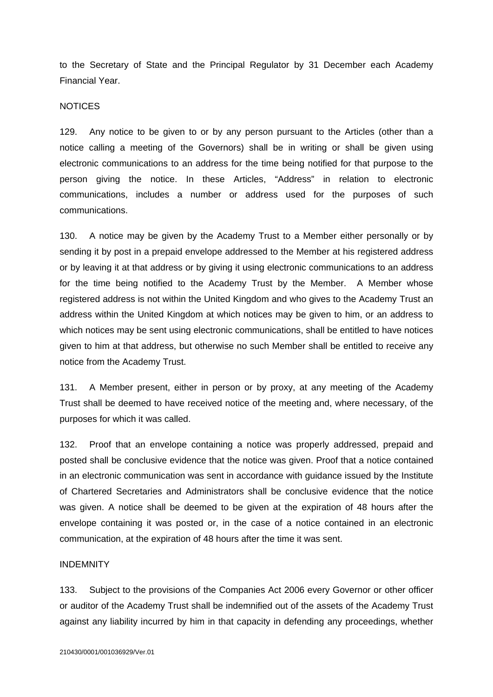to the Secretary of State and the Principal Regulator by 31 December each Academy Financial Year.

#### **NOTICES**

129. Any notice to be given to or by any person pursuant to the Articles (other than a notice calling a meeting of the Governors) shall be in writing or shall be given using electronic communications to an address for the time being notified for that purpose to the person giving the notice. In these Articles, "Address" in relation to electronic communications, includes a number or address used for the purposes of such communications.

130. A notice may be given by the Academy Trust to a Member either personally or by sending it by post in a prepaid envelope addressed to the Member at his registered address or by leaving it at that address or by giving it using electronic communications to an address for the time being notified to the Academy Trust by the Member. A Member whose registered address is not within the United Kingdom and who gives to the Academy Trust an address within the United Kingdom at which notices may be given to him, or an address to which notices may be sent using electronic communications, shall be entitled to have notices given to him at that address, but otherwise no such Member shall be entitled to receive any notice from the Academy Trust.

131. A Member present, either in person or by proxy, at any meeting of the Academy Trust shall be deemed to have received notice of the meeting and, where necessary, of the purposes for which it was called.

132. Proof that an envelope containing a notice was properly addressed, prepaid and posted shall be conclusive evidence that the notice was given. Proof that a notice contained in an electronic communication was sent in accordance with guidance issued by the Institute of Chartered Secretaries and Administrators shall be conclusive evidence that the notice was given. A notice shall be deemed to be given at the expiration of 48 hours after the envelope containing it was posted or, in the case of a notice contained in an electronic communication, at the expiration of 48 hours after the time it was sent.

#### INDEMNITY

133. Subject to the provisions of the Companies Act 2006 every Governor or other officer or auditor of the Academy Trust shall be indemnified out of the assets of the Academy Trust against any liability incurred by him in that capacity in defending any proceedings, whether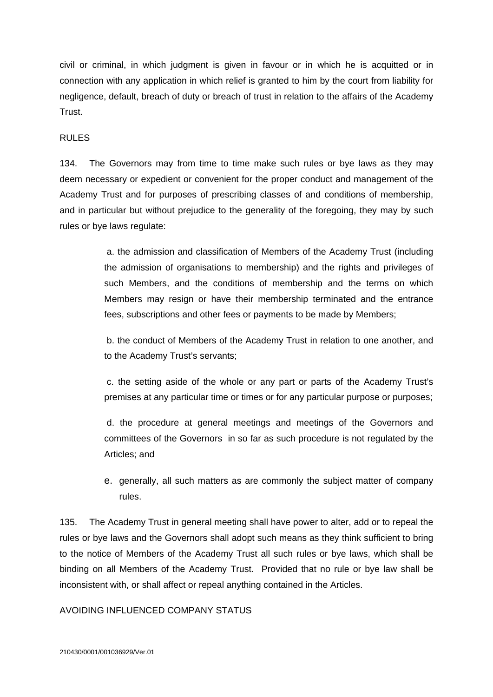civil or criminal, in which judgment is given in favour or in which he is acquitted or in connection with any application in which relief is granted to him by the court from liability for negligence, default, breach of duty or breach of trust in relation to the affairs of the Academy Trust.

#### RULES

134. The Governors may from time to time make such rules or bye laws as they may deem necessary or expedient or convenient for the proper conduct and management of the Academy Trust and for purposes of prescribing classes of and conditions of membership, and in particular but without prejudice to the generality of the foregoing, they may by such rules or bye laws regulate:

> a. the admission and classification of Members of the Academy Trust (including the admission of organisations to membership) and the rights and privileges of such Members, and the conditions of membership and the terms on which Members may resign or have their membership terminated and the entrance fees, subscriptions and other fees or payments to be made by Members;

> b. the conduct of Members of the Academy Trust in relation to one another, and to the Academy Trust's servants;

> c. the setting aside of the whole or any part or parts of the Academy Trust's premises at any particular time or times or for any particular purpose or purposes;

> d. the procedure at general meetings and meetings of the Governors and committees of the Governors in so far as such procedure is not regulated by the Articles; and

> e. generally, all such matters as are commonly the subject matter of company rules.

135. The Academy Trust in general meeting shall have power to alter, add or to repeal the rules or bye laws and the Governors shall adopt such means as they think sufficient to bring to the notice of Members of the Academy Trust all such rules or bye laws, which shall be binding on all Members of the Academy Trust. Provided that no rule or bye law shall be inconsistent with, or shall affect or repeal anything contained in the Articles.

#### AVOIDING INFLUENCED COMPANY STATUS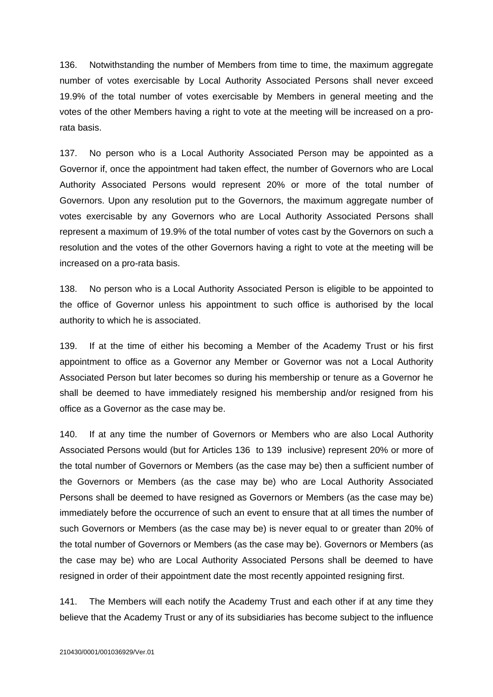136. Notwithstanding the number of Members from time to time, the maximum aggregate number of votes exercisable by Local Authority Associated Persons shall never exceed 19.9% of the total number of votes exercisable by Members in general meeting and the votes of the other Members having a right to vote at the meeting will be increased on a prorata basis.

137. No person who is a Local Authority Associated Person may be appointed as a Governor if, once the appointment had taken effect, the number of Governors who are Local Authority Associated Persons would represent 20% or more of the total number of Governors. Upon any resolution put to the Governors, the maximum aggregate number of votes exercisable by any Governors who are Local Authority Associated Persons shall represent a maximum of 19.9% of the total number of votes cast by the Governors on such a resolution and the votes of the other Governors having a right to vote at the meeting will be increased on a pro-rata basis.

138. No person who is a Local Authority Associated Person is eligible to be appointed to the office of Governor unless his appointment to such office is authorised by the local authority to which he is associated.

139. If at the time of either his becoming a Member of the Academy Trust or his first appointment to office as a Governor any Member or Governor was not a Local Authority Associated Person but later becomes so during his membership or tenure as a Governor he shall be deemed to have immediately resigned his membership and/or resigned from his office as a Governor as the case may be.

140. If at any time the number of Governors or Members who are also Local Authority Associated Persons would (but for Articles 136 to 139 inclusive) represent 20% or more of the total number of Governors or Members (as the case may be) then a sufficient number of the Governors or Members (as the case may be) who are Local Authority Associated Persons shall be deemed to have resigned as Governors or Members (as the case may be) immediately before the occurrence of such an event to ensure that at all times the number of such Governors or Members (as the case may be) is never equal to or greater than 20% of the total number of Governors or Members (as the case may be). Governors or Members (as the case may be) who are Local Authority Associated Persons shall be deemed to have resigned in order of their appointment date the most recently appointed resigning first.

141. The Members will each notify the Academy Trust and each other if at any time they believe that the Academy Trust or any of its subsidiaries has become subject to the influence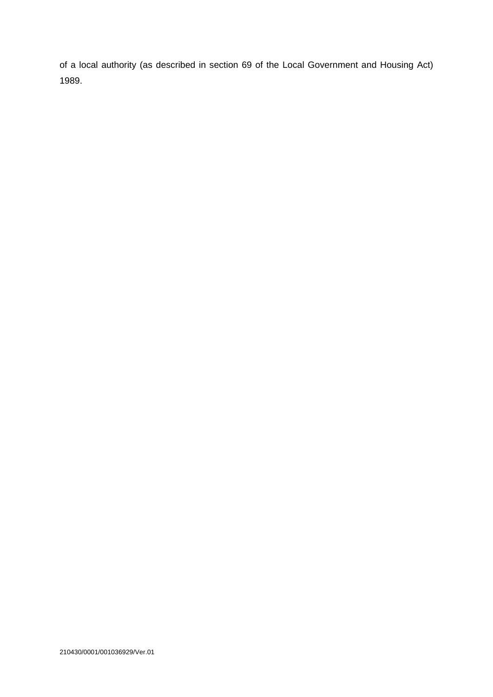of a local authority (as described in section 69 of the Local Government and Housing Act) 1989.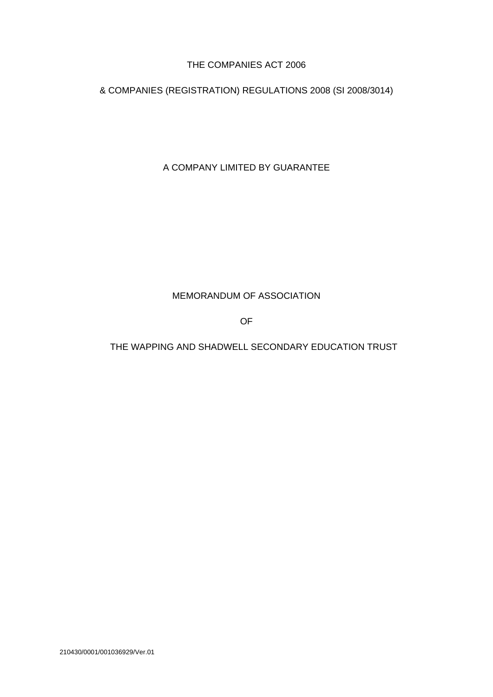#### THE COMPANIES ACT 2006

& COMPANIES (REGISTRATION) REGULATIONS 2008 (SI 2008/3014)

A COMPANY LIMITED BY GUARANTEE

#### MEMORANDUM OF ASSOCIATION

OF

THE WAPPING AND SHADWELL SECONDARY EDUCATION TRUST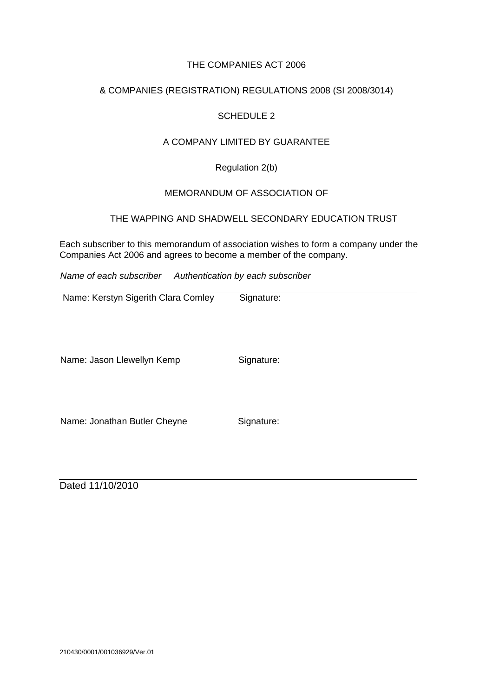#### THE COMPANIES ACT 2006

#### & COMPANIES (REGISTRATION) REGULATIONS 2008 (SI 2008/3014)

#### SCHEDULE 2

#### A COMPANY LIMITED BY GUARANTEE

Regulation 2(b)

#### MEMORANDUM OF ASSOCIATION OF

#### THE WAPPING AND SHADWELL SECONDARY EDUCATION TRUST

Each subscriber to this memorandum of association wishes to form a company under the Companies Act 2006 and agrees to become a member of the company.

*Name of each subscriber Authentication by each subscriber*

Name: Kerstyn Sigerith Clara Comley Signature:

Name: Jason Llewellyn Kemp Signature:

Name: Jonathan Butler Cheyne Signature:

Dated 11/10/2010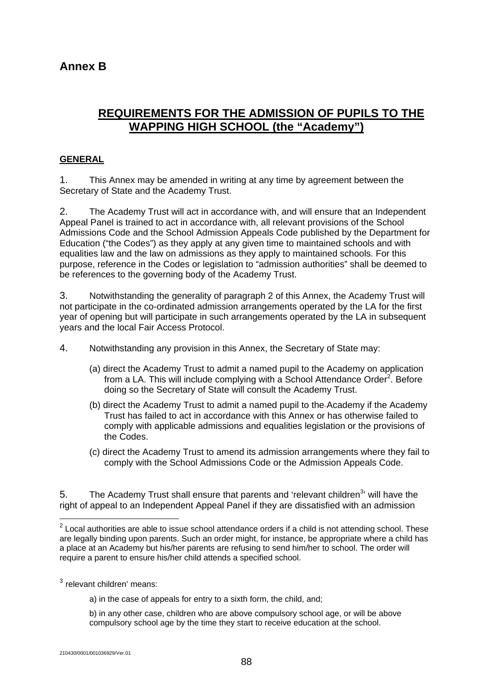## **Annex B**

## **REQUIREMENTS FOR THE ADMISSION OF PUPILS TO THE WAPPING HIGH SCHOOL (the "Academy")**

#### **GENERAL**

1. This Annex may be amended in writing at any time by agreement between the Secretary of State and the Academy Trust.

2. The Academy Trust will act in accordance with, and will ensure that an Independent Appeal Panel is trained to act in accordance with, all relevant provisions of the School Admissions Code and the School Admission Appeals Code published by the Department for Education ("the Codes") as they apply at any given time to maintained schools and with equalities law and the law on admissions as they apply to maintained schools. For this purpose, reference in the Codes or legislation to "admission authorities" shall be deemed to be references to the governing body of the Academy Trust.

3. Notwithstanding the generality of paragraph 2 of this Annex, the Academy Trust will not participate in the co-ordinated admission arrangements operated by the LA for the first year of opening but will participate in such arrangements operated by the LA in subsequent years and the local Fair Access Protocol.

4. Notwithstanding any provision in this Annex, the Secretary of State may:

- (a) direct the Academy Trust to admit a named pupil to the Academy on application from a LA. This will include complying with a School Attendance Order<sup>2</sup>. Before doing so the Secretary of State will consult the Academy Trust.
- (b) direct the Academy Trust to admit a named pupil to the Academy if the Academy Trust has failed to act in accordance with this Annex or has otherwise failed to comply with applicable admissions and equalities legislation or the provisions of the Codes.
- (c) direct the Academy Trust to amend its admission arrangements where they fail to comply with the School Admissions Code or the Admission Appeals Code.

5. The Academy Trust shall ensure that parents and 'relevant children<sup>3</sup>' will have the right of appeal to an Independent Appeal Panel if they are dissatisfied with an admission

<sup>3</sup> relevant children' means:

a) in the case of appeals for entry to a sixth form, the child, and;

b) in any other case, children who are above compulsory school age, or will be above compulsory school age by the time they start to receive education at the school.

1

 $2$  Local authorities are able to issue school attendance orders if a child is not attending school. These are legally binding upon parents. Such an order might, for instance, be appropriate where a child has a place at an Academy but his/her parents are refusing to send him/her to school. The order will require a parent to ensure his/her child attends a specified school.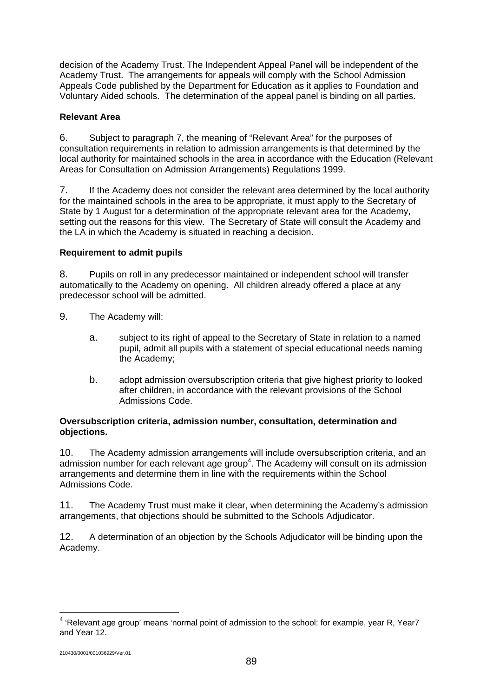decision of the Academy Trust. The Independent Appeal Panel will be independent of the Academy Trust. The arrangements for appeals will comply with the School Admission Appeals Code published by the Department for Education as it applies to Foundation and Voluntary Aided schools. The determination of the appeal panel is binding on all parties.

#### **Relevant Area**

6. Subject to paragraph 7, the meaning of "Relevant Area" for the purposes of consultation requirements in relation to admission arrangements is that determined by the local authority for maintained schools in the area in accordance with the Education (Relevant Areas for Consultation on Admission Arrangements) Regulations 1999.

7. If the Academy does not consider the relevant area determined by the local authority for the maintained schools in the area to be appropriate, it must apply to the Secretary of State by 1 August for a determination of the appropriate relevant area for the Academy, setting out the reasons for this view. The Secretary of State will consult the Academy and the LA in which the Academy is situated in reaching a decision.

#### **Requirement to admit pupils**

8. Pupils on roll in any predecessor maintained or independent school will transfer automatically to the Academy on opening. All children already offered a place at any predecessor school will be admitted.

- 9. The Academy will:
	- a. subject to its right of appeal to the Secretary of State in relation to a named pupil, admit all pupils with a statement of special educational needs naming the Academy;
	- b. adopt admission oversubscription criteria that give highest priority to looked after children, in accordance with the relevant provisions of the School Admissions Code.

#### **Oversubscription criteria, admission number, consultation, determination and objections.**

10. The Academy admission arrangements will include oversubscription criteria, and an admission number for each relevant age group<sup>4</sup>. The Academy will consult on its admission arrangements and determine them in line with the requirements within the School Admissions Code.

11. The Academy Trust must make it clear, when determining the Academy's admission arrangements, that objections should be submitted to the Schools Adjudicator.

12. A determination of an objection by the Schools Adjudicator will be binding upon the Academy.

1

<sup>&</sup>lt;sup>4</sup> 'Relevant age group' means 'normal point of admission to the school: for example, year R, Year7 and Year 12.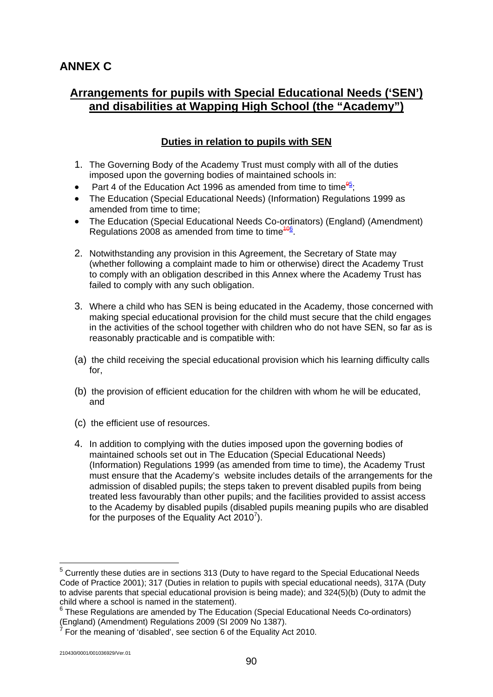## **ANNEX C**

## **Arrangements for pupils with Special Educational Needs ('SEN') and disabilities at Wapping High School (the "Academy")**

### **Duties in relation to pupils with SEN**

- 1. The Governing Body of the Academy Trust must comply with all of the duties imposed upon the governing bodies of maintained schools in:
- Part 4 of the Education Act 1996 as amended from time to time $\frac{95}{7}$ ;
- The Education (Special Educational Needs) (Information) Regulations 1999 as amended from time to time;
- The Education (Special Educational Needs Co-ordinators) (England) (Amendment) Regulations 2008 as amended from time to time $\frac{406}{6}$ .
- 2. Notwithstanding any provision in this Agreement, the Secretary of State may (whether following a complaint made to him or otherwise) direct the Academy Trust to comply with an obligation described in this Annex where the Academy Trust has failed to comply with any such obligation.
- 3. Where a child who has SEN is being educated in the Academy, those concerned with making special educational provision for the child must secure that the child engages in the activities of the school together with children who do not have SEN, so far as is reasonably practicable and is compatible with:
- (a) the child receiving the special educational provision which his learning difficulty calls for,
- (b) the provision of efficient education for the children with whom he will be educated, and
- (c) the efficient use of resources.
- 4. In addition to complying with the duties imposed upon the governing bodies of maintained schools set out in The Education (Special Educational Needs) (Information) Regulations 1999 (as amended from time to time), the Academy Trust must ensure that the Academy's website includes details of the arrangements for the admission of disabled pupils; the steps taken to prevent disabled pupils from being treated less favourably than other pupils; and the facilities provided to assist access to the Academy by disabled pupils (disabled pupils meaning pupils who are disabled for the purposes of the Equality Act 2010<sup>7</sup>).

<u>.</u>

<sup>&</sup>lt;sup>5</sup> Currently these duties are in sections 313 (Duty to have regard to the Special Educational Needs Code of Practice 2001); 317 (Duties in relation to pupils with special educational needs), 317A (Duty to advise parents that special educational provision is being made); and 324(5)(b) (Duty to admit the child where a school is named in the statement).

<sup>&</sup>lt;sup>6</sup> These Regulations are amended by The Education (Special Educational Needs Co-ordinators) (England) (Amendment) Regulations 2009 (SI 2009 No 1387).<br><sup>7</sup> Ear the meaning of idiophlad', ass asstign 6 of the Equality Ad

For the meaning of 'disabled', see section 6 of the Equality Act 2010.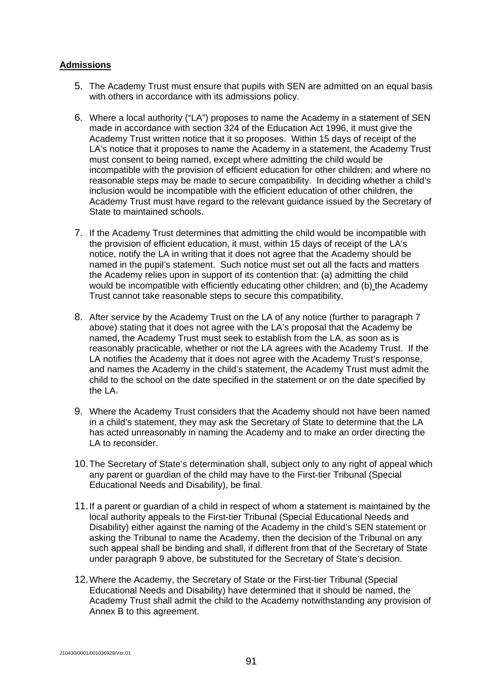#### **Admissions**

- 5. The Academy Trust must ensure that pupils with SEN are admitted on an equal basis with others in accordance with its admissions policy.
- 6. Where a local authority ("LA") proposes to name the Academy in a statement of SEN made in accordance with section 324 of the Education Act 1996, it must give the Academy Trust written notice that it so proposes. Within 15 days of receipt of the LA's notice that it proposes to name the Academy in a statement, the Academy Trust must consent to being named, except where admitting the child would be incompatible with the provision of efficient education for other children; and where no reasonable steps may be made to secure compatibility. In deciding whether a child's inclusion would be incompatible with the efficient education of other children, the Academy Trust must have regard to the relevant guidance issued by the Secretary of State to maintained schools.
- 7. If the Academy Trust determines that admitting the child would be incompatible with the provision of efficient education, it must, within 15 days of receipt of the LA's notice, notify the LA in writing that it does not agree that the Academy should be named in the pupil's statement. Such notice must set out all the facts and matters the Academy relies upon in support of its contention that: (a) admitting the child would be incompatible with efficiently educating other children; and (b) the Academy Trust cannot take reasonable steps to secure this compatibility.
- 8. After service by the Academy Trust on the LA of any notice (further to paragraph 7 above) stating that it does not agree with the LA's proposal that the Academy be named, the Academy Trust must seek to establish from the LA, as soon as is reasonably practicable, whether or not the LA agrees with the Academy Trust. If the LA notifies the Academy that it does not agree with the Academy Trust's response, and names the Academy in the child's statement, the Academy Trust must admit the child to the school on the date specified in the statement or on the date specified by the LA.
- 9. Where the Academy Trust considers that the Academy should not have been named in a child's statement, they may ask the Secretary of State to determine that the LA has acted unreasonably in naming the Academy and to make an order directing the LA to reconsider.
- 10. The Secretary of State's determination shall, subject only to any right of appeal which any parent or guardian of the child may have to the First-tier Tribunal (Special Educational Needs and Disability), be final.
- 11. If a parent or guardian of a child in respect of whom a statement is maintained by the local authority appeals to the First-tier Tribunal (Special Educational Needs and Disability) either against the naming of the Academy in the child's SEN statement or asking the Tribunal to name the Academy, then the decision of the Tribunal on any such appeal shall be binding and shall, if different from that of the Secretary of State under paragraph 9 above, be substituted for the Secretary of State's decision.
- 12. Where the Academy, the Secretary of State or the First-tier Tribunal (Special Educational Needs and Disability) have determined that it should be named, the Academy Trust shall admit the child to the Academy notwithstanding any provision of Annex B to this agreement.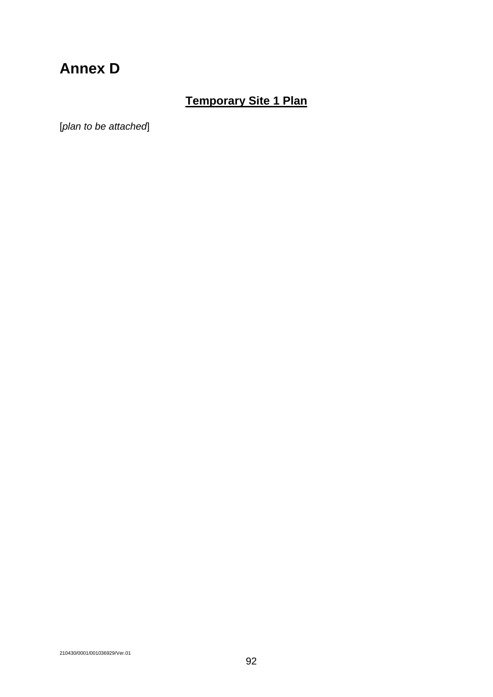# **Annex D**

# **Temporary Site 1 Plan**

[*plan to be attached*]